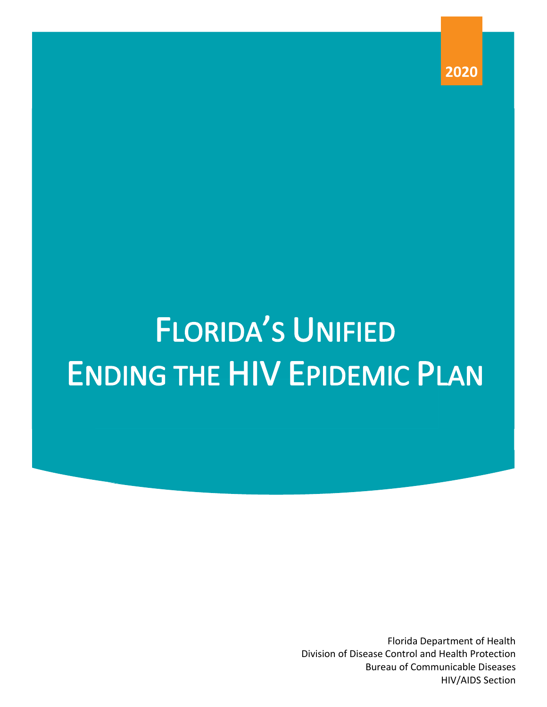**FLORIDA'S UNIFIED ENDING THE HIV EPIDEMIC PLAN** 

> Florida Department of Health Division of Disease Control and Health Protection Bureau of Communicable Diseases HIV/AIDS Section

**2020**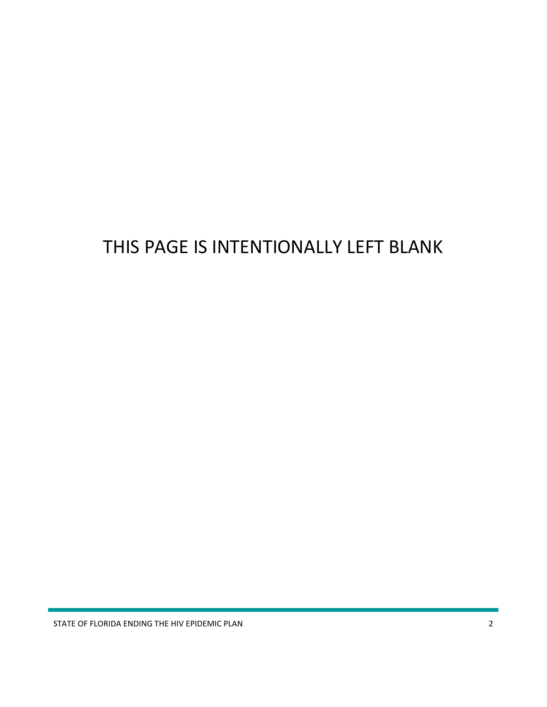# THIS PAGE IS INTENTIONALLY LEFT BLANK

STATE OF FLORIDA ENDING THE HIV EPIDEMIC PLAN **2**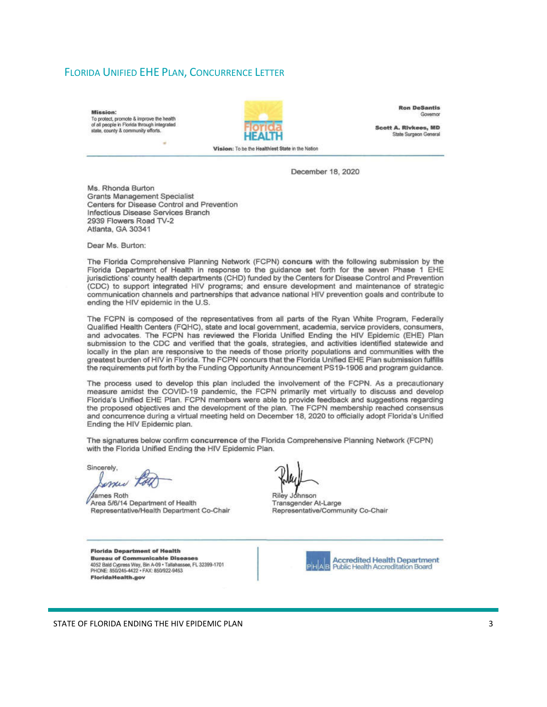#### FLORIDA UNIFIED EHE PLAN, CONCURRENCE LETTER

**Mission:** To protect, promote & improve the health of all people in Florida through integrated state, county & community efforts.



**Ron DeSantis** Governor

Scott A. Rivkees, MD State Surgeon General

Vision: To be the Healthlest State in the Nation

December 18, 2020

Ms. Rhonda Burton **Grants Management Specialist** Centers for Disease Control and Prevention Infectious Disease Services Branch 2939 Flowers Road TV-2 Atlanta, GA 30341

Dear Ms. Burton:

The Florida Comprehensive Planning Network (FCPN) concurs with the following submission by the Florida Department of Health in response to the guidance set forth for the seven Phase 1 EHE jurisdictions' county health departments (CHD) funded by the Centers for Disease Control and Prevention (CDC) to support integrated HIV programs; and ensure development and maintenance of strategic communication channels and partnerships that advance national HIV prevention goals and contribute to ending the HIV epidemic in the U.S.

The FCPN is composed of the representatives from all parts of the Ryan White Program, Federally Qualified Health Centers (FQHC), state and local government, academia, service providers, consumers, and advocates. The FCPN has reviewed the Florida Unified Ending the HIV Epidemic (EHE) Plan submission to the CDC and verified that the goals, strategies, and activities identified statewide and locally in the plan are responsive to the needs of those priority populations and communities with the greatest burden of HIV in Florida. The FCPN concurs that the Florida Unified EHE Plan submission fulfills the requirements put forth by the Funding Opportunity Announcement PS19-1906 and program guidance.

The process used to develop this plan included the involvement of the FCPN. As a precautionary measure amidst the COVID-19 pandemic, the FCPN primarily met virtually to discuss and develop Florida's Unified EHE Plan. FCPN members were able to provide feedback and suggestions regarding the proposed objectives and the development of the plan. The FCPN membership reached consensus and concurrence during a virtual meeting held on December 18, 2020 to officially adopt Florida's Unified Ending the HIV Epidemic plan.

The signatures below confirm concurrence of the Florida Comprehensive Planning Network (FCPN) with the Florida Unified Ending the HIV Epidemic Plan.

Sincerely,

mu

lames Roth Area 5/6/14 Department of Health Representative/Health Department Co-Chair

Riley Johnson Transgender At-Large Representative/Community Co-Chair

**Florida Department of Health Bureau of Communicable Diseases** 4052 Bald Cypress Way, Bin A-09 . Tallahassee, FL 32399-1701<br>PHONE: 850/245-4422 . FAX: 850/922-9453 **FloridaHealth.gov** 

**Accredited Health Department** Public Health Accreditation Board

STATE OF FLORIDA ENDING THE HIV EPIDEMIC PLAN 33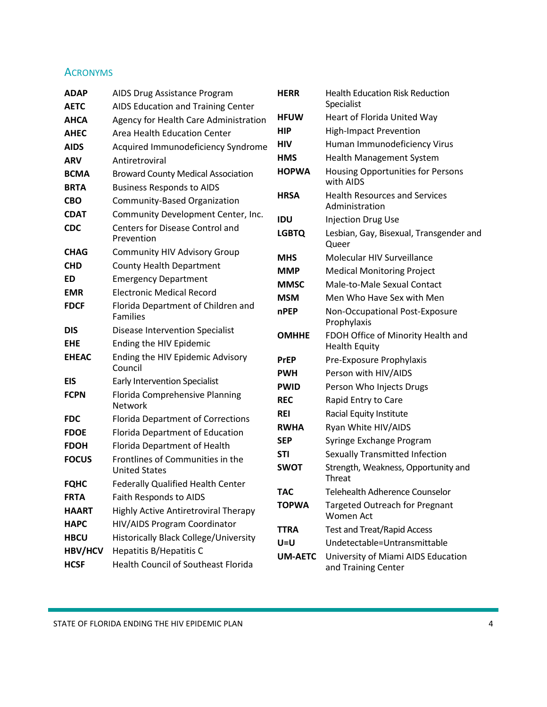### ACRONYMS

| <b>ADAP</b>              | AIDS Drug Assistance Program                                          | <b>HERR</b>    | <b>Health Education Risk Reduction</b><br>Specialist       |
|--------------------------|-----------------------------------------------------------------------|----------------|------------------------------------------------------------|
| <b>AETC</b>              | AIDS Education and Training Center                                    | <b>HFUW</b>    | Heart of Florida United Way                                |
| <b>AHCA</b>              | Agency for Health Care Administration                                 | <b>HIP</b>     | <b>High-Impact Prevention</b>                              |
| <b>AHEC</b>              | Area Health Education Center                                          | <b>HIV</b>     | Human Immunodeficiency Virus                               |
| <b>AIDS</b>              | Acquired Immunodeficiency Syndrome                                    | <b>HMS</b>     | <b>Health Management System</b>                            |
| <b>ARV</b>               | Antiretroviral                                                        | <b>HOPWA</b>   | Housing Opportunities for Persons                          |
| <b>BCMA</b>              | <b>Broward County Medical Association</b>                             |                | with AIDS                                                  |
| <b>BRTA</b>              | <b>Business Responds to AIDS</b>                                      | <b>HRSA</b>    | <b>Health Resources and Services</b>                       |
| <b>CBO</b>               | Community-Based Organization                                          |                | Administration                                             |
| <b>CDAT</b>              | Community Development Center, Inc.                                    | IDU            | <b>Injection Drug Use</b>                                  |
| <b>CDC</b>               | Centers for Disease Control and<br>Prevention                         | <b>LGBTQ</b>   | Lesbian, Gay, Bisexual, Transgender and<br>Queer           |
| <b>CHAG</b>              | <b>Community HIV Advisory Group</b>                                   | <b>MHS</b>     | Molecular HIV Surveillance                                 |
| <b>CHD</b>               | <b>County Health Department</b>                                       | <b>MMP</b>     | <b>Medical Monitoring Project</b>                          |
| <b>ED</b>                | <b>Emergency Department</b>                                           | <b>MMSC</b>    | Male-to-Male Sexual Contact                                |
| <b>EMR</b>               | <b>Electronic Medical Record</b>                                      | <b>MSM</b>     | Men Who Have Sex with Men                                  |
| <b>FDCF</b>              | Florida Department of Children and<br><b>Families</b>                 | nPEP           | Non-Occupational Post-Exposure<br>Prophylaxis              |
| <b>DIS</b><br><b>EHE</b> | <b>Disease Intervention Specialist</b><br>Ending the HIV Epidemic     | <b>OMHHE</b>   | FDOH Office of Minority Health and<br><b>Health Equity</b> |
| <b>EHEAC</b>             | Ending the HIV Epidemic Advisory<br>Council                           | <b>PrEP</b>    | Pre-Exposure Prophylaxis                                   |
| <b>EIS</b>               |                                                                       | <b>PWH</b>     | Person with HIV/AIDS                                       |
| <b>FCPN</b>              | <b>Early Intervention Specialist</b>                                  | <b>PWID</b>    | Person Who Injects Drugs                                   |
|                          | Florida Comprehensive Planning<br>Network                             | <b>REC</b>     | Rapid Entry to Care                                        |
| <b>FDC</b>               | <b>Florida Department of Corrections</b>                              | <b>REI</b>     | Racial Equity Institute                                    |
| <b>FDOE</b>              | Florida Department of Education                                       | <b>RWHA</b>    | Ryan White HIV/AIDS                                        |
| <b>FDOH</b>              | Florida Department of Health                                          | <b>SEP</b>     | Syringe Exchange Program                                   |
| <b>FOCUS</b>             | Frontlines of Communities in the                                      | <b>STI</b>     | Sexually Transmitted Infection                             |
|                          | <b>United States</b>                                                  | <b>SWOT</b>    | Strength, Weakness, Opportunity and<br>Threat              |
| <b>FQHC</b>              | <b>Federally Qualified Health Center</b>                              | <b>TAC</b>     | Telehealth Adherence Counselor                             |
| <b>FRTA</b>              | <b>Faith Responds to AIDS</b>                                         | <b>TOPWA</b>   | <b>Targeted Outreach for Pregnant</b>                      |
| <b>HAART</b>             | <b>Highly Active Antiretroviral Therapy</b>                           |                | Women Act                                                  |
| <b>HAPC</b>              | HIV/AIDS Program Coordinator                                          | <b>TTRA</b>    | <b>Test and Treat/Rapid Access</b>                         |
| <b>HBCU</b>              | <b>Historically Black College/University</b>                          | U=U            | Undetectable=Untransmittable                               |
| HBV/HCV<br><b>HCSF</b>   | Hepatitis B/Hepatitis C<br><b>Health Council of Southeast Florida</b> | <b>UM-AETC</b> | University of Miami AIDS Education<br>and Training Center  |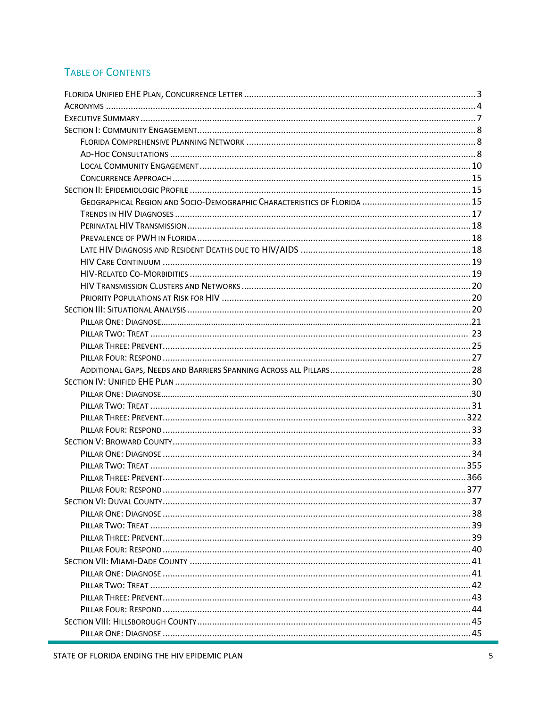## **TABLE OF CONTENTS**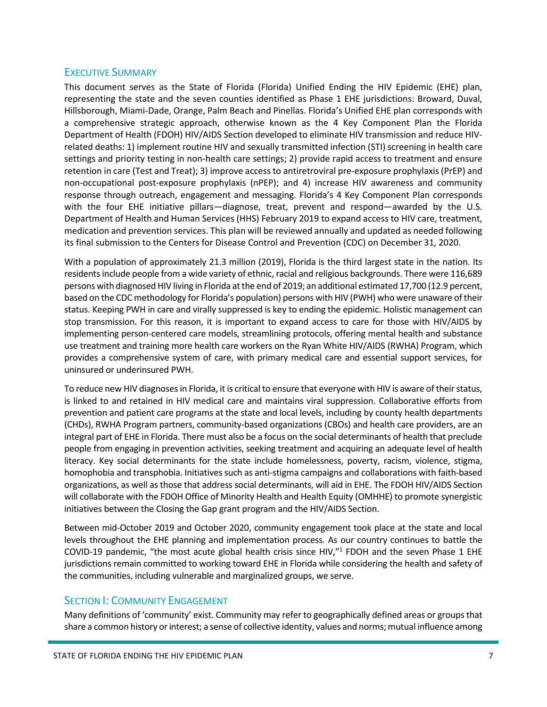#### EXECUTIVE SUMMARY

This document serves as the State of Florida (Florida) Unified Ending the HIV Epidemic (EHE) plan, representing the state and the seven counties identified as Phase 1 EHE jurisdictions: Broward, Duval, Hillsborough, Miami-Dade, Orange, Palm Beach and Pinellas. Florida's Unified EHE plan corresponds with a comprehensive strategic approach, otherwise known as the 4 Key Component Plan the Florida Department of Health (FDOH) HIV/AIDS Section developed to eliminate HIV transmission and reduce HIVrelated deaths: 1) implement routine HIV and sexually transmitted infection (STI) screening in health care settings and priority testing in non-health care settings; 2) provide rapid access to treatment and ensure retention in care (Test and Treat); 3) improve access to antiretroviral pre-exposure prophylaxis (PrEP) and non-occupational post-exposure prophylaxis (nPEP); and 4) increase HIV awareness and community response through outreach, engagement and messaging. Florida's 4 Key Component Plan corresponds with the four EHE initiative pillars—diagnose, treat, prevent and respond—awarded by the U.S. Department of Health and Human Services (HHS) February 2019 to expand access to HIV care, treatment, medication and prevention services. This plan will be reviewed annually and updated as needed following its final submission to the Centers for Disease Control and Prevention (CDC) on December 31, 2020.

With a population of approximately 21.3 million (2019), Florida is the third largest state in the nation. Its residents include people from a wide variety of ethnic, racial and religious backgrounds. There were 116,689 persons with diagnosed HIV living in Florida at the end of 2019; an additional estimated 17,700 (12.9 percent, based on the CDC methodology for Florida's population) persons with HIV (PWH) who were unaware of their status. Keeping PWH in care and virally suppressed is key to ending the epidemic. Holistic management can stop transmission. For this reason, it is important to expand access to care for those with HIV/AIDS by implementing person-centered care models, streamlining protocols, offering mental health and substance use treatment and training more health care workers on the Ryan White HIV/AIDS (RWHA) Program, which provides a comprehensive system of care, with primary medical care and essential support services, for uninsured or underinsured PWH.

To reduce new HIV diagnoses in Florida, it is critical to ensure that everyone with HIV is aware of their status, is linked to and retained in HIV medical care and maintains viral suppression. Collaborative efforts from prevention and patient care programs at the state and local levels, including by county health departments (CHDs), RWHA Program partners, community-based organizations (CBOs) and health care providers, are an integral part of EHE in Florida. There must also be a focus on the social determinants of health that preclude people from engaging in prevention activities, seeking treatment and acquiring an adequate level of health literacy. Key social determinants for the state include homelessness, poverty, racism, violence, stigma, homophobia and transphobia. Initiatives such as anti-stigma campaigns and collaborations with faith-based organizations, as well asthose that address social determinants, will aid in EHE. The FDOH HIV/AIDS Section will collaborate with the FDOH Office of Minority Health and Health Equity (OMHHE) to promote synergistic initiatives between the Closing the Gap grant program and the HIV/AIDS Section.

Between mid-October 2019 and October 2020, community engagement took place at the state and local levels throughout the EHE planning and implementation process. As our country continues to battle the COVID-19 pandemic, "the most acute global health crisis since HIV,"1 FDOH and the seven Phase 1 EHE jurisdictions remain committed to working toward EHE in Florida while considering the health and safety of the communities, including vulnerable and marginalized groups, we serve.

#### SECTION I: COMMUNITY ENGAGEMENT

Many definitions of 'community' exist. Community may refer to geographically defined areas or groups that share a common history or interest; a sense of collective identity, values and norms; mutual influence among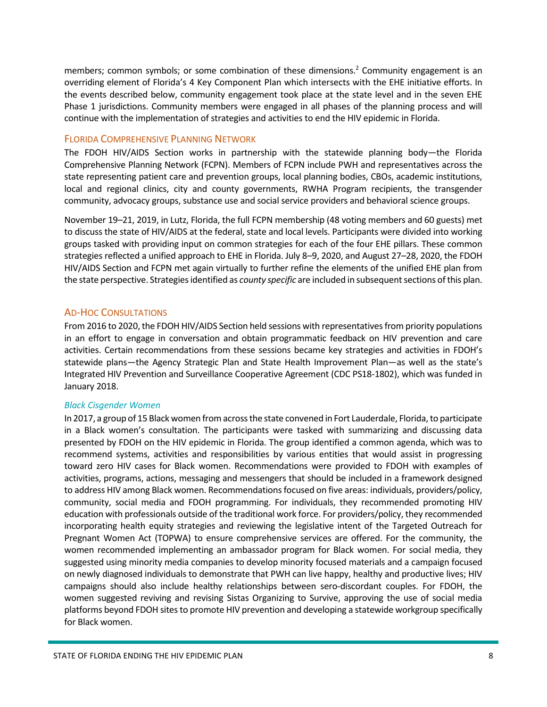members; common symbols; or some combination of these dimensions.<sup>2</sup> Community engagement is an overriding element of Florida's 4 Key Component Plan which intersects with the EHE initiative efforts. In the events described below, community engagement took place at the state level and in the seven EHE Phase 1 jurisdictions. Community members were engaged in all phases of the planning process and will continue with the implementation of strategies and activities to end the HIV epidemic in Florida.

#### FLORIDA COMPREHENSIVE PLANNING NETWORK

The FDOH HIV/AIDS Section works in partnership with the statewide planning body—the Florida Comprehensive Planning Network (FCPN). Members of FCPN include PWH and representatives across the state representing patient care and prevention groups, local planning bodies, CBOs, academic institutions, local and regional clinics, city and county governments, RWHA Program recipients, the transgender community, advocacy groups, substance use and social service providers and behavioral science groups.

November 19–21, 2019, in Lutz, Florida, the full FCPN membership (48 voting members and 60 guests) met to discuss the state of HIV/AIDS at the federal, state and local levels. Participants were divided into working groups tasked with providing input on common strategies for each of the four EHE pillars. These common strategies reflected a unified approach to EHE in Florida. July 8–9, 2020, and August 27–28, 2020, the FDOH HIV/AIDS Section and FCPN met again virtually to further refine the elements of the unified EHE plan from the state perspective. Strategies identified as *county specific* are included in subsequent sections of this plan.

### AD-HOC CONSULTATIONS

From 2016 to 2020, the FDOH HIV/AIDS Section held sessions with representatives from priority populations in an effort to engage in conversation and obtain programmatic feedback on HIV prevention and care activities. Certain recommendations from these sessions became key strategies and activities in FDOH's statewide plans—the Agency Strategic Plan and State Health Improvement Plan—as well as the state's Integrated HIV Prevention and Surveillance Cooperative Agreement (CDC PS18-1802), which was funded in January 2018.

#### *Black Cisgender Women*

In 2017, a group of 15 Black women from across the state convened in Fort Lauderdale, Florida, to participate in a Black women's consultation. The participants were tasked with summarizing and discussing data presented by FDOH on the HIV epidemic in Florida. The group identified a common agenda, which was to recommend systems, activities and responsibilities by various entities that would assist in progressing toward zero HIV cases for Black women. Recommendations were provided to FDOH with examples of activities, programs, actions, messaging and messengers that should be included in a framework designed to address HIV among Black women. Recommendations focused on five areas: individuals, providers/policy, community, social media and FDOH programming. For individuals, they recommended promoting HIV education with professionals outside of the traditional work force. For providers/policy, they recommended incorporating health equity strategies and reviewing the legislative intent of the Targeted Outreach for Pregnant Women Act (TOPWA) to ensure comprehensive services are offered. For the community, the women recommended implementing an ambassador program for Black women. For social media, they suggested using minority media companies to develop minority focused materials and a campaign focused on newly diagnosed individuals to demonstrate that PWH can live happy, healthy and productive lives; HIV campaigns should also include healthy relationships between sero-discordant couples. For FDOH, the women suggested reviving and revising Sistas Organizing to Survive, approving the use of social media platforms beyond FDOH sites to promote HIV prevention and developing a statewide workgroup specifically for Black women.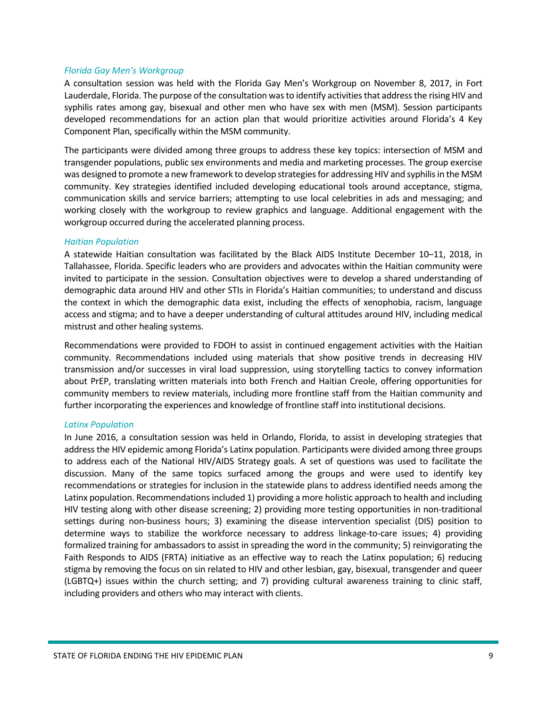#### *Florida Gay Men's Workgroup*

A consultation session was held with the Florida Gay Men's Workgroup on November 8, 2017, in Fort Lauderdale, Florida. The purpose of the consultation was to identify activities that address the rising HIV and syphilis rates among gay, bisexual and other men who have sex with men (MSM). Session participants developed recommendations for an action plan that would prioritize activities around Florida's 4 Key Component Plan, specifically within the MSM community.

The participants were divided among three groups to address these key topics: intersection of MSM and transgender populations, public sex environments and media and marketing processes. The group exercise was designed to promote a new framework to develop strategies for addressing HIV and syphilis in the MSM community. Key strategies identified included developing educational tools around acceptance, stigma, communication skills and service barriers; attempting to use local celebrities in ads and messaging; and working closely with the workgroup to review graphics and language. Additional engagement with the workgroup occurred during the accelerated planning process.

#### *Haitian Population*

A statewide Haitian consultation was facilitated by the Black AIDS Institute December 10–11, 2018, in Tallahassee, Florida. Specific leaders who are providers and advocates within the Haitian community were invited to participate in the session. Consultation objectives were to develop a shared understanding of demographic data around HIV and other STIs in Florida's Haitian communities; to understand and discuss the context in which the demographic data exist, including the effects of xenophobia, racism, language access and stigma; and to have a deeper understanding of cultural attitudes around HIV, including medical mistrust and other healing systems.

Recommendations were provided to FDOH to assist in continued engagement activities with the Haitian community. Recommendations included using materials that show positive trends in decreasing HIV transmission and/or successes in viral load suppression, using storytelling tactics to convey information about PrEP, translating written materials into both French and Haitian Creole, offering opportunities for community members to review materials, including more frontline staff from the Haitian community and further incorporating the experiences and knowledge of frontline staff into institutional decisions.

#### *Latinx Population*

In June 2016, a consultation session was held in Orlando, Florida, to assist in developing strategies that address the HIV epidemic among Florida's Latinx population. Participants were divided among three groups to address each of the National HIV/AIDS Strategy goals. A set of questions was used to facilitate the discussion. Many of the same topics surfaced among the groups and were used to identify key recommendations or strategies for inclusion in the statewide plans to address identified needs among the Latinx population. Recommendations included 1) providing a more holistic approach to health and including HIV testing along with other disease screening; 2) providing more testing opportunities in non-traditional settings during non-business hours; 3) examining the disease intervention specialist (DIS) position to determine ways to stabilize the workforce necessary to address linkage-to-care issues; 4) providing formalized training for ambassadors to assist in spreading the word in the community; 5) reinvigorating the Faith Responds to AIDS (FRTA) initiative as an effective way to reach the Latinx population; 6) reducing stigma by removing the focus on sin related to HIV and other lesbian, gay, bisexual, transgender and queer (LGBTQ+) issues within the church setting; and 7) providing cultural awareness training to clinic staff, including providers and others who may interact with clients.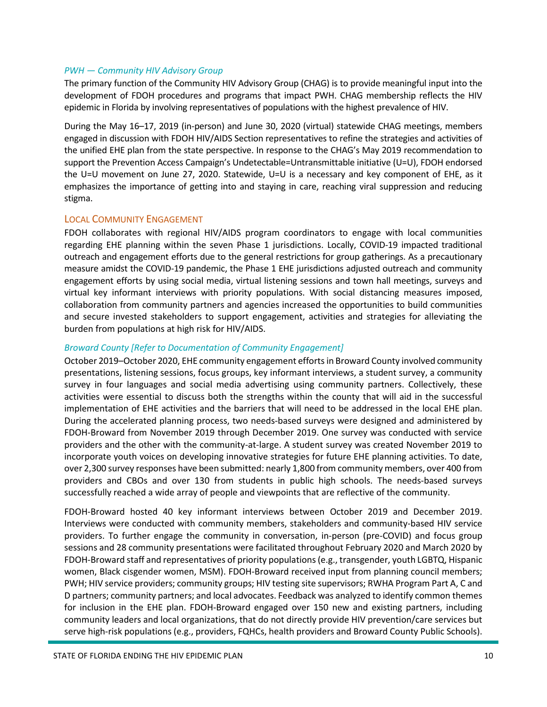#### *PWH — Community HIV Advisory Group*

The primary function of the Community HIV Advisory Group (CHAG) is to provide meaningful input into the development of FDOH procedures and programs that impact PWH. CHAG membership reflects the HIV epidemic in Florida by involving representatives of populations with the highest prevalence of HIV.

During the May 16–17, 2019 (in-person) and June 30, 2020 (virtual) statewide CHAG meetings, members engaged in discussion with FDOH HIV/AIDS Section representatives to refine the strategies and activities of the unified EHE plan from the state perspective. In response to the CHAG's May 2019 recommendation to support the Prevention Access Campaign's Undetectable=Untransmittable initiative (U=U), FDOH endorsed the U=U movement on June 27, 2020. Statewide, U=U is a necessary and key component of EHE, as it emphasizes the importance of getting into and staying in care, reaching viral suppression and reducing stigma.

#### LOCAL COMMUNITY ENGAGEMENT

FDOH collaborates with regional HIV/AIDS program coordinators to engage with local communities regarding EHE planning within the seven Phase 1 jurisdictions. Locally, COVID-19 impacted traditional outreach and engagement efforts due to the general restrictions for group gatherings. As a precautionary measure amidst the COVID-19 pandemic, the Phase 1 EHE jurisdictions adjusted outreach and community engagement efforts by using social media, virtual listening sessions and town hall meetings, surveys and virtual key informant interviews with priority populations. With social distancing measures imposed, collaboration from community partners and agencies increased the opportunities to build communities and secure invested stakeholders to support engagement, activities and strategies for alleviating the burden from populations at high risk for HIV/AIDS.

#### *Broward County [Refer to Documentation of Community Engagement]*

October 2019–October 2020, EHE community engagement efforts in Broward County involved community presentations, listening sessions, focus groups, key informant interviews, a student survey, a community survey in four languages and social media advertising using community partners. Collectively, these activities were essential to discuss both the strengths within the county that will aid in the successful implementation of EHE activities and the barriers that will need to be addressed in the local EHE plan. During the accelerated planning process, two needs-based surveys were designed and administered by FDOH-Broward from November 2019 through December 2019. One survey was conducted with service providers and the other with the community-at-large. A student survey was created November 2019 to incorporate youth voices on developing innovative strategies for future EHE planning activities. To date, over 2,300 survey responses have been submitted: nearly 1,800 from community members, over 400 from providers and CBOs and over 130 from students in public high schools. The needs-based surveys successfully reached a wide array of people and viewpoints that are reflective of the community.

FDOH-Broward hosted 40 key informant interviews between October 2019 and December 2019. Interviews were conducted with community members, stakeholders and community-based HIV service providers. To further engage the community in conversation, in-person (pre-COVID) and focus group sessions and 28 community presentations were facilitated throughout February 2020 and March 2020 by FDOH-Broward staff and representatives of priority populations (e.g., transgender, youth LGBTQ, Hispanic women, Black cisgender women, MSM). FDOH-Broward received input from planning council members; PWH; HIV service providers; community groups; HIV testing site supervisors; RWHA Program Part A, C and D partners; community partners; and local advocates. Feedback was analyzed to identify common themes for inclusion in the EHE plan. FDOH-Broward engaged over 150 new and existing partners, including community leaders and local organizations, that do not directly provide HIV prevention/care services but serve high-risk populations (e.g., providers, FQHCs, health providers and Broward County Public Schools).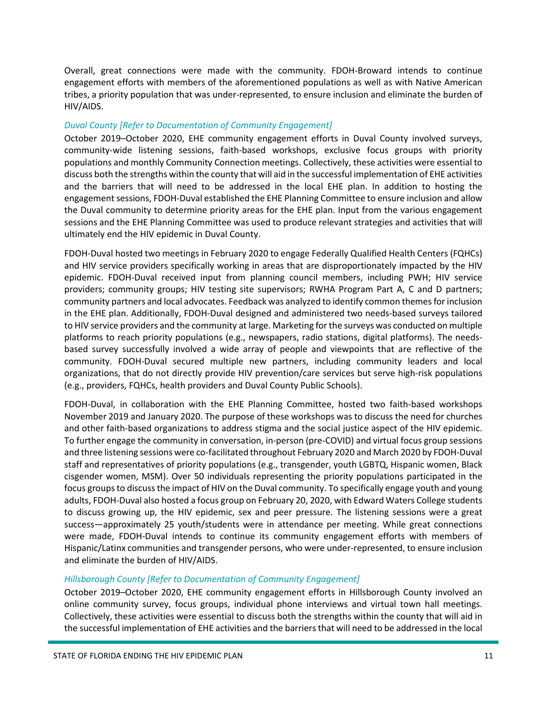Overall, great connections were made with the community. FDOH-Broward intends to continue engagement efforts with members of the aforementioned populations as well as with Native American tribes, a priority population that was under-represented, to ensure inclusion and eliminate the burden of HIV/AIDS.

### *Duval County [Refer to Documentation of Community Engagement]*

October 2019–October 2020, EHE community engagement efforts in Duval County involved surveys, community-wide listening sessions, faith-based workshops, exclusive focus groups with priority populations and monthly Community Connection meetings. Collectively, these activities were essential to discuss both the strengths within the county that will aid in the successful implementation of EHE activities and the barriers that will need to be addressed in the local EHE plan. In addition to hosting the engagement sessions, FDOH-Duval established the EHE Planning Committee to ensure inclusion and allow the Duval community to determine priority areas for the EHE plan. Input from the various engagement sessions and the EHE Planning Committee was used to produce relevant strategies and activities that will ultimately end the HIV epidemic in Duval County.

FDOH-Duval hosted two meetings in February 2020 to engage Federally Qualified Health Centers (FQHCs) and HIV service providers specifically working in areas that are disproportionately impacted by the HIV epidemic. FDOH-Duval received input from planning council members, including PWH; HIV service providers; community groups; HIV testing site supervisors; RWHA Program Part A, C and D partners; community partners and local advocates. Feedback was analyzed to identify common themes for inclusion in the EHE plan. Additionally, FDOH-Duval designed and administered two needs-based surveys tailored to HIV service providers and the community at large. Marketing for the surveys was conducted on multiple platforms to reach priority populations (e.g., newspapers, radio stations, digital platforms). The needsbased survey successfully involved a wide array of people and viewpoints that are reflective of the community. FDOH-Duval secured multiple new partners, including community leaders and local organizations, that do not directly provide HIV prevention/care services but serve high-risk populations (e.g., providers, FQHCs, health providers and Duval County Public Schools).

FDOH-Duval, in collaboration with the EHE Planning Committee, hosted two faith-based workshops November 2019 and January 2020. The purpose of these workshops was to discuss the need for churches and other faith-based organizations to address stigma and the social justice aspect of the HIV epidemic. To further engage the community in conversation, in-person (pre-COVID) and virtual focus group sessions and three listening sessions were co-facilitated throughout February 2020 and March 2020 by FDOH-Duval staff and representatives of priority populations (e.g., transgender, youth LGBTQ, Hispanic women, Black cisgender women, MSM). Over 50 individuals representing the priority populations participated in the focus groups to discuss the impact of HIV on the Duval community. To specifically engage youth and young adults, FDOH-Duval also hosted a focus group on February 20, 2020, with Edward Waters College students to discuss growing up, the HIV epidemic, sex and peer pressure. The listening sessions were a great success—approximately 25 youth/students were in attendance per meeting. While great connections were made, FDOH-Duval intends to continue its community engagement efforts with members of Hispanic/Latinx communities and transgender persons, who were under-represented, to ensure inclusion and eliminate the burden of HIV/AIDS.

#### *Hillsborough County [Refer to Documentation of Community Engagement]*

October 2019–October 2020, EHE community engagement efforts in Hillsborough County involved an online community survey, focus groups, individual phone interviews and virtual town hall meetings. Collectively, these activities were essential to discuss both the strengths within the county that will aid in the successful implementation of EHE activities and the barriers that will need to be addressed in the local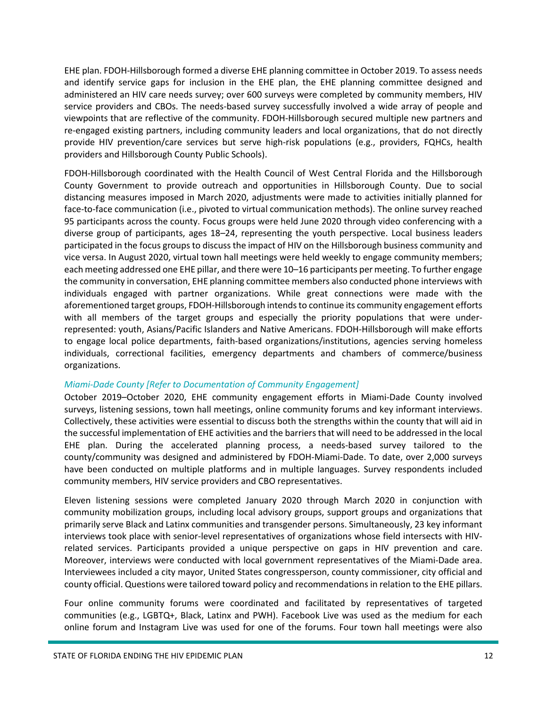EHE plan. FDOH-Hillsborough formed a diverse EHE planning committee in October 2019. To assess needs and identify service gaps for inclusion in the EHE plan, the EHE planning committee designed and administered an HIV care needs survey; over 600 surveys were completed by community members, HIV service providers and CBOs. The needs-based survey successfully involved a wide array of people and viewpoints that are reflective of the community. FDOH-Hillsborough secured multiple new partners and re-engaged existing partners, including community leaders and local organizations, that do not directly provide HIV prevention/care services but serve high-risk populations (e.g., providers, FQHCs, health providers and Hillsborough County Public Schools).

FDOH-Hillsborough coordinated with the Health Council of West Central Florida and the Hillsborough County Government to provide outreach and opportunities in Hillsborough County. Due to social distancing measures imposed in March 2020, adjustments were made to activities initially planned for face-to-face communication (i.e., pivoted to virtual communication methods). The online survey reached 95 participants across the county. Focus groups were held June 2020 through video conferencing with a diverse group of participants, ages 18–24, representing the youth perspective. Local business leaders participated in the focus groups to discuss the impact of HIV on the Hillsborough business community and vice versa. In August 2020, virtual town hall meetings were held weekly to engage community members; each meeting addressed one EHE pillar, and there were 10–16 participants per meeting. To further engage the community in conversation, EHE planning committee members also conducted phone interviews with individuals engaged with partner organizations. While great connections were made with the aforementioned target groups, FDOH-Hillsborough intends to continue its community engagement efforts with all members of the target groups and especially the priority populations that were underrepresented: youth, Asians/Pacific Islanders and Native Americans. FDOH-Hillsborough will make efforts to engage local police departments, faith-based organizations/institutions, agencies serving homeless individuals, correctional facilities, emergency departments and chambers of commerce/business organizations.

#### *Miami-Dade County [Refer to Documentation of Community Engagement]*

October 2019–October 2020, EHE community engagement efforts in Miami-Dade County involved surveys, listening sessions, town hall meetings, online community forums and key informant interviews. Collectively, these activities were essential to discuss both the strengths within the county that will aid in the successful implementation of EHE activities and the barriers that will need to be addressed in the local EHE plan. During the accelerated planning process, a needs-based survey tailored to the county/community was designed and administered by FDOH-Miami-Dade. To date, over 2,000 surveys have been conducted on multiple platforms and in multiple languages. Survey respondents included community members, HIV service providers and CBO representatives.

Eleven listening sessions were completed January 2020 through March 2020 in conjunction with community mobilization groups, including local advisory groups, support groups and organizations that primarily serve Black and Latinx communities and transgender persons. Simultaneously, 23 key informant interviews took place with senior-level representatives of organizations whose field intersects with HIVrelated services. Participants provided a unique perspective on gaps in HIV prevention and care. Moreover, interviews were conducted with local government representatives of the Miami-Dade area. Interviewees included a city mayor, United States congressperson, county commissioner, city official and county official. Questions were tailored toward policy and recommendations in relation to the EHE pillars.

Four online community forums were coordinated and facilitated by representatives of targeted communities (e.g., LGBTQ+, Black, Latinx and PWH). Facebook Live was used as the medium for each online forum and Instagram Live was used for one of the forums. Four town hall meetings were also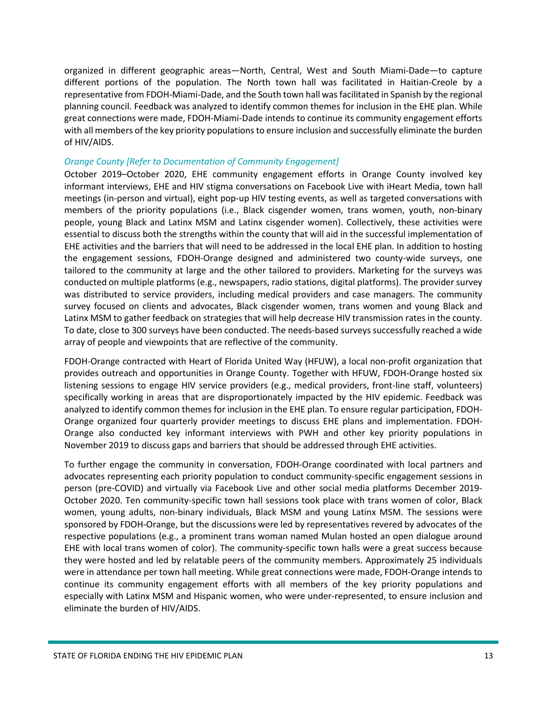organized in different geographic areas—North, Central, West and South Miami-Dade—to capture different portions of the population. The North town hall was facilitated in Haitian-Creole by a representative from FDOH-Miami-Dade, and the South town hall was facilitated in Spanish by the regional planning council. Feedback was analyzed to identify common themes for inclusion in the EHE plan. While great connections were made, FDOH-Miami-Dade intends to continue its community engagement efforts with all members of the key priority populations to ensure inclusion and successfully eliminate the burden of HIV/AIDS.

#### *Orange County [Refer to Documentation of Community Engagement]*

October 2019–October 2020, EHE community engagement efforts in Orange County involved key informant interviews, EHE and HIV stigma conversations on Facebook Live with iHeart Media, town hall meetings (in-person and virtual), eight pop-up HIV testing events, as well as targeted conversations with members of the priority populations (i.e., Black cisgender women, trans women, youth, non-binary people, young Black and Latinx MSM and Latinx cisgender women). Collectively, these activities were essential to discuss both the strengths within the county that will aid in the successful implementation of EHE activities and the barriers that will need to be addressed in the local EHE plan. In addition to hosting the engagement sessions, FDOH-Orange designed and administered two county-wide surveys, one tailored to the community at large and the other tailored to providers. Marketing for the surveys was conducted on multiple platforms (e.g., newspapers, radio stations, digital platforms). The provider survey was distributed to service providers, including medical providers and case managers. The community survey focused on clients and advocates, Black cisgender women, trans women and young Black and Latinx MSM to gather feedback on strategies that will help decrease HIV transmission rates in the county. To date, close to 300 surveys have been conducted. The needs-based surveys successfully reached a wide array of people and viewpoints that are reflective of the community.

FDOH-Orange contracted with Heart of Florida United Way (HFUW), a local non-profit organization that provides outreach and opportunities in Orange County. Together with HFUW, FDOH-Orange hosted six listening sessions to engage HIV service providers (e.g., medical providers, front-line staff, volunteers) specifically working in areas that are disproportionately impacted by the HIV epidemic. Feedback was analyzed to identify common themes for inclusion in the EHE plan. To ensure regular participation, FDOH-Orange organized four quarterly provider meetings to discuss EHE plans and implementation. FDOH-Orange also conducted key informant interviews with PWH and other key priority populations in November 2019 to discuss gaps and barriers that should be addressed through EHE activities.

To further engage the community in conversation, FDOH-Orange coordinated with local partners and advocates representing each priority population to conduct community-specific engagement sessions in person (pre-COVID) and virtually via Facebook Live and other social media platforms December 2019- October 2020. Ten community-specific town hall sessions took place with trans women of color, Black women, young adults, non-binary individuals, Black MSM and young Latinx MSM. The sessions were sponsored by FDOH-Orange, but the discussions were led by representatives revered by advocates of the respective populations (e.g., a prominent trans woman named Mulan hosted an open dialogue around EHE with local trans women of color). The community-specific town halls were a great success because they were hosted and led by relatable peers of the community members. Approximately 25 individuals were in attendance per town hall meeting. While great connections were made, FDOH-Orange intends to continue its community engagement efforts with all members of the key priority populations and especially with Latinx MSM and Hispanic women, who were under-represented, to ensure inclusion and eliminate the burden of HIV/AIDS.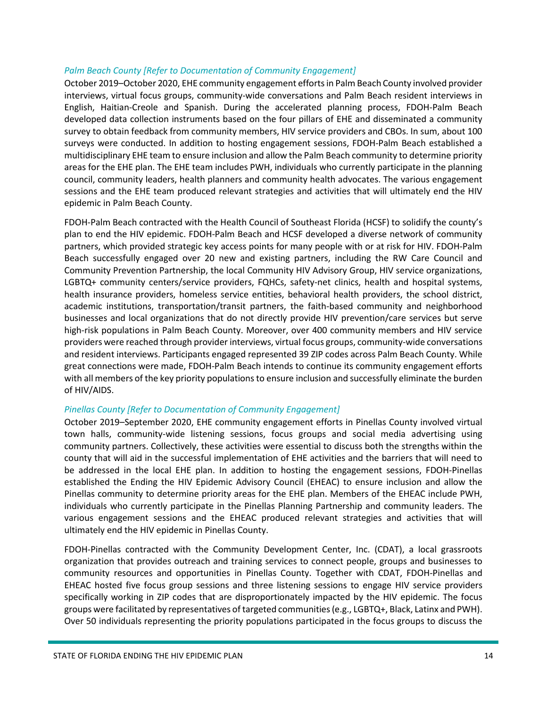#### *Palm Beach County [Refer to Documentation of Community Engagement]*

October 2019–October 2020, EHE community engagement efforts in Palm Beach County involved provider interviews, virtual focus groups, community-wide conversations and Palm Beach resident interviews in English, Haitian-Creole and Spanish. During the accelerated planning process, FDOH-Palm Beach developed data collection instruments based on the four pillars of EHE and disseminated a community survey to obtain feedback from community members, HIV service providers and CBOs. In sum, about 100 surveys were conducted. In addition to hosting engagement sessions, FDOH-Palm Beach established a multidisciplinary EHE team to ensure inclusion and allow the Palm Beach community to determine priority areas for the EHE plan. The EHE team includes PWH, individuals who currently participate in the planning council, community leaders, health planners and community health advocates. The various engagement sessions and the EHE team produced relevant strategies and activities that will ultimately end the HIV epidemic in Palm Beach County.

FDOH-Palm Beach contracted with the Health Council of Southeast Florida (HCSF) to solidify the county's plan to end the HIV epidemic. FDOH-Palm Beach and HCSF developed a diverse network of community partners, which provided strategic key access points for many people with or at risk for HIV. FDOH-Palm Beach successfully engaged over 20 new and existing partners, including the RW Care Council and Community Prevention Partnership, the local Community HIV Advisory Group, HIV service organizations, LGBTQ+ community centers/service providers, FQHCs, safety-net clinics, health and hospital systems, health insurance providers, homeless service entities, behavioral health providers, the school district, academic institutions, transportation/transit partners, the faith-based community and neighborhood businesses and local organizations that do not directly provide HIV prevention/care services but serve high-risk populations in Palm Beach County. Moreover, over 400 community members and HIV service providers were reached through provider interviews, virtual focus groups, community-wide conversations and resident interviews. Participants engaged represented 39 ZIP codes across Palm Beach County. While great connections were made, FDOH-Palm Beach intends to continue its community engagement efforts with all members of the key priority populations to ensure inclusion and successfully eliminate the burden of HIV/AIDS.

#### *Pinellas County [Refer to Documentation of Community Engagement]*

October 2019–September 2020, EHE community engagement efforts in Pinellas County involved virtual town halls, community-wide listening sessions, focus groups and social media advertising using community partners. Collectively, these activities were essential to discuss both the strengths within the county that will aid in the successful implementation of EHE activities and the barriers that will need to be addressed in the local EHE plan. In addition to hosting the engagement sessions, FDOH-Pinellas established the Ending the HIV Epidemic Advisory Council (EHEAC) to ensure inclusion and allow the Pinellas community to determine priority areas for the EHE plan. Members of the EHEAC include PWH, individuals who currently participate in the Pinellas Planning Partnership and community leaders. The various engagement sessions and the EHEAC produced relevant strategies and activities that will ultimately end the HIV epidemic in Pinellas County.

FDOH-Pinellas contracted with the Community Development Center, Inc. (CDAT), a local grassroots organization that provides outreach and training services to connect people, groups and businesses to community resources and opportunities in Pinellas County. Together with CDAT, FDOH-Pinellas and EHEAC hosted five focus group sessions and three listening sessions to engage HIV service providers specifically working in ZIP codes that are disproportionately impacted by the HIV epidemic. The focus groups were facilitated by representatives of targeted communities (e.g., LGBTQ+, Black, Latinx and PWH). Over 50 individuals representing the priority populations participated in the focus groups to discuss the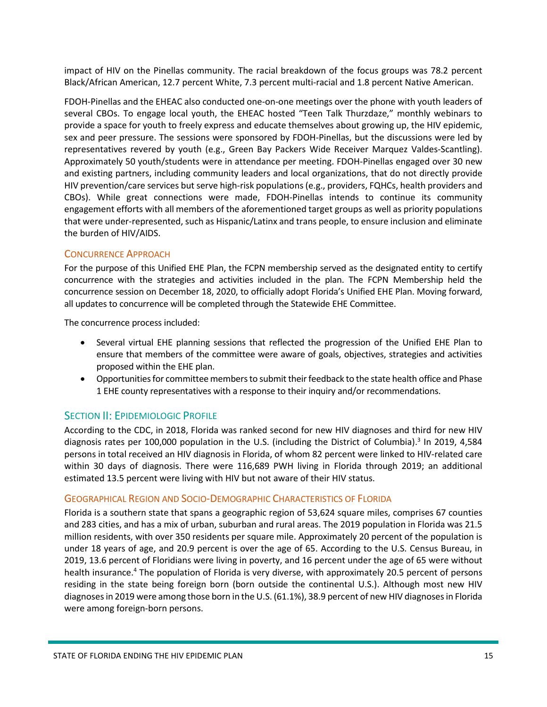impact of HIV on the Pinellas community. The racial breakdown of the focus groups was 78.2 percent Black/African American, 12.7 percent White, 7.3 percent multi-racial and 1.8 percent Native American.

FDOH-Pinellas and the EHEAC also conducted one-on-one meetings over the phone with youth leaders of several CBOs. To engage local youth, the EHEAC hosted "Teen Talk Thurzdaze," monthly webinars to provide a space for youth to freely express and educate themselves about growing up, the HIV epidemic, sex and peer pressure. The sessions were sponsored by FDOH-Pinellas, but the discussions were led by representatives revered by youth (e.g., Green Bay Packers Wide Receiver Marquez Valdes-Scantling). Approximately 50 youth/students were in attendance per meeting. FDOH-Pinellas engaged over 30 new and existing partners, including community leaders and local organizations, that do not directly provide HIV prevention/care services but serve high-risk populations (e.g., providers, FQHCs, health providers and CBOs). While great connections were made, FDOH-Pinellas intends to continue its community engagement efforts with all members of the aforementioned target groups as well as priority populations that were under-represented, such as Hispanic/Latinx and trans people, to ensure inclusion and eliminate the burden of HIV/AIDS.

#### CONCURRENCE APPROACH

For the purpose of this Unified EHE Plan, the FCPN membership served as the designated entity to certify concurrence with the strategies and activities included in the plan. The FCPN Membership held the concurrence session on December 18, 2020, to officially adopt Florida's Unified EHE Plan. Moving forward, all updates to concurrence will be completed through the Statewide EHE Committee.

The concurrence process included:

- Several virtual EHE planning sessions that reflected the progression of the Unified EHE Plan to ensure that members of the committee were aware of goals, objectives, strategies and activities proposed within the EHE plan.
- Opportunities for committee members to submit their feedback to the state health office and Phase 1 EHE county representatives with a response to their inquiry and/or recommendations.

### **SECTION II: EPIDEMIOLOGIC PROFILE**

According to the CDC, in 2018, Florida was ranked second for new HIV diagnoses and third for new HIV diagnosis rates per 100,000 population in the U.S. (including the District of Columbia).3 In 2019, 4,584 persons in total received an HIV diagnosis in Florida, of whom 82 percent were linked to HIV-related care within 30 days of diagnosis. There were 116,689 PWH living in Florida through 2019; an additional estimated 13.5 percent were living with HIV but not aware of their HIV status.

#### GEOGRAPHICAL REGION AND SOCIO-DEMOGRAPHIC CHARACTERISTICS OF FLORIDA

Florida is a southern state that spans a geographic region of 53,624 square miles, comprises 67 counties and 283 cities, and has a mix of urban, suburban and rural areas. The 2019 population in Florida was 21.5 million residents, with over 350 residents per square mile. Approximately 20 percent of the population is under 18 years of age, and 20.9 percent is over the age of 65. According to the U.S. Census Bureau, in 2019, 13.6 percent of Floridians were living in poverty, and 16 percent under the age of 65 were without health insurance.<sup>4</sup> The population of Florida is very diverse, with approximately 20.5 percent of persons residing in the state being foreign born (born outside the continental U.S.). Although most new HIV diagnoses in 2019 were among those born in the U.S. (61.1%), 38.9 percent of new HIV diagnoses in Florida were among foreign-born persons.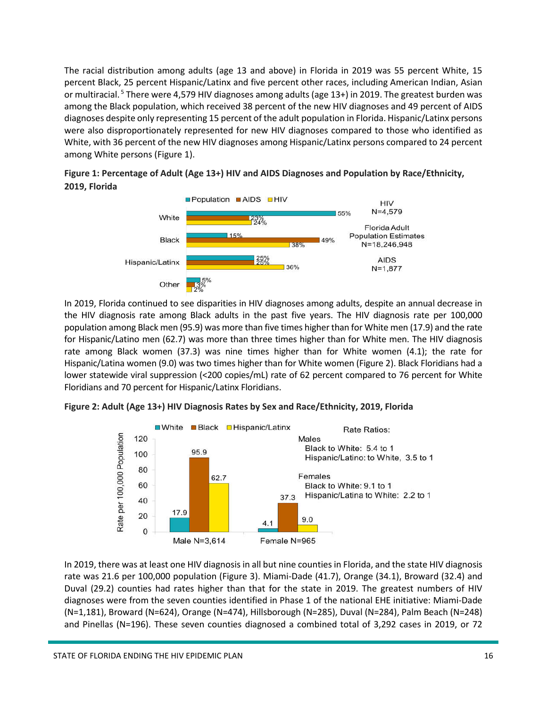The racial distribution among adults (age 13 and above) in Florida in 2019 was 55 percent White, 15 percent Black, 25 percent Hispanic/Latinx and five percent other races, including American Indian, Asian or multiracial.<sup>5</sup> There were 4,579 HIV diagnoses among adults (age 13+) in 2019. The greatest burden was among the Black population, which received 38 percent of the new HIV diagnoses and 49 percent of AIDS diagnoses despite only representing 15 percent of the adult population in Florida. Hispanic/Latinx persons were also disproportionately represented for new HIV diagnoses compared to those who identified as White, with 36 percent of the new HIV diagnoses among Hispanic/Latinx persons compared to 24 percent among White persons (Figure 1).



35%

36%

**AIDS** 

 $N = 1,877$ 

**Figure 1: Percentage of Adult (Age 13+) HIV and AIDS Diagnoses and Population by Race/Ethnicity, 2019, Florida** 

In 2019, Florida continued to see disparities in HIV diagnoses among adults, despite an annual decrease in the HIV diagnosis rate among Black adults in the past five years. The HIV diagnosis rate per 100,000 population among Black men (95.9) was more than five times higher than for White men (17.9) and the rate for Hispanic/Latino men (62.7) was more than three times higher than for White men. The HIV diagnosis rate among Black women (37.3) was nine times higher than for White women (4.1); the rate for Hispanic/Latina women (9.0) was two times higher than for White women (Figure 2). Black Floridians had a lower statewide viral suppression (<200 copies/mL) rate of 62 percent compared to 76 percent for White Floridians and 70 percent for Hispanic/Latinx Floridians.

**Figure 2: Adult (Age 13+) HIV Diagnosis Rates by Sex and Race/Ethnicity, 2019, Florida**



In 2019, there was at least one HIV diagnosis in all but nine counties in Florida, and the state HIV diagnosis rate was 21.6 per 100,000 population (Figure 3). Miami-Dade (41.7), Orange (34.1), Broward (32.4) and Duval (29.2) counties had rates higher than that for the state in 2019. The greatest numbers of HIV diagnoses were from the seven counties identified in Phase 1 of the national EHE initiative: Miami-Dade (N=1,181), Broward (N=624), Orange (N=474), Hillsborough (N=285), Duval (N=284), Palm Beach (N=248) and Pinellas (N=196). These seven counties diagnosed a combined total of 3,292 cases in 2019, or 72

Hispanic/Latinx

Other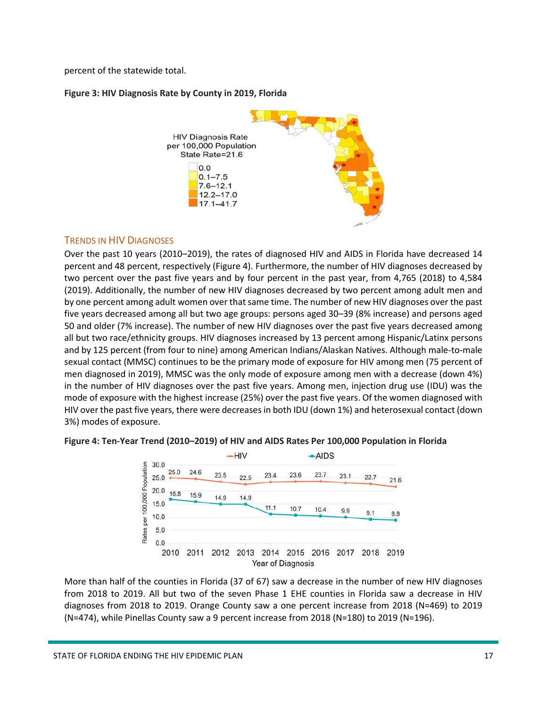percent of the statewide total.

#### **Figure 3: HIV Diagnosis Rate by County in 2019, Florida**



### TRENDS IN HIV DIAGNOSES

Over the past 10 years (2010–2019), the rates of diagnosed HIV and AIDS in Florida have decreased 14 percent and 48 percent, respectively (Figure 4). Furthermore, the number of HIV diagnoses decreased by two percent over the past five years and by four percent in the past year, from 4,765 (2018) to 4,584 (2019). Additionally, the number of new HIV diagnoses decreased by two percent among adult men and by one percent among adult women over that same time. The number of new HIV diagnoses over the past five years decreased among all but two age groups: persons aged 30–39 (8% increase) and persons aged 50 and older (7% increase). The number of new HIV diagnoses over the past five years decreased among all but two race/ethnicity groups. HIV diagnoses increased by 13 percent among Hispanic/Latinx persons and by 125 percent (from four to nine) among American Indians/Alaskan Natives. Although male-to-male sexual contact (MMSC) continues to be the primary mode of exposure for HIV among men (75 percent of men diagnosed in 2019), MMSC was the only mode of exposure among men with a decrease (down 4%) in the number of HIV diagnoses over the past five years. Among men, injection drug use (IDU) was the mode of exposure with the highest increase (25%) over the past five years. Of the women diagnosed with HIV over the past five years, there were decreasesin both IDU (down 1%) and heterosexual contact (down 3%) modes of exposure.

#### **Figure 4: Ten-Year Trend (2010–2019) of HIV and AIDS Rates Per 100,000 Population in Florida**



More than half of the counties in Florida (37 of 67) saw a decrease in the number of new HIV diagnoses from 2018 to 2019. All but two of the seven Phase 1 EHE counties in Florida saw a decrease in HIV diagnoses from 2018 to 2019. Orange County saw a one percent increase from 2018 (N=469) to 2019 (N=474), while Pinellas County saw a 9 percent increase from 2018 (N=180) to 2019 (N=196).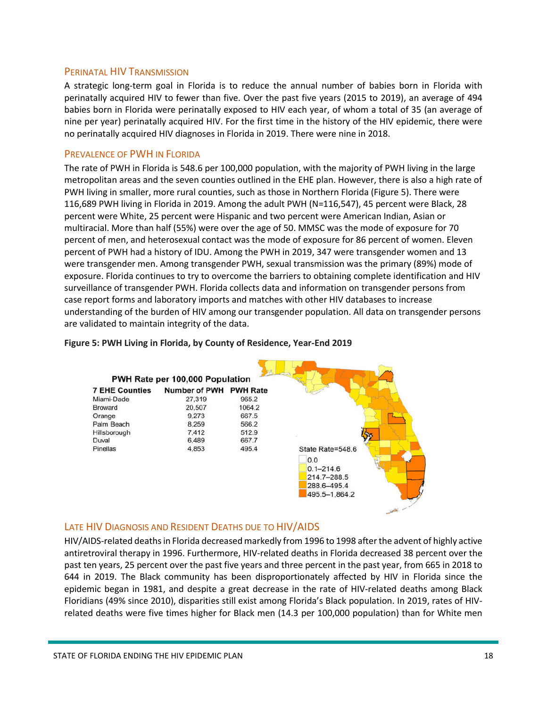#### PERINATAL HIV TRANSMISSION

A strategic long-term goal in Florida is to reduce the annual number of babies born in Florida with perinatally acquired HIV to fewer than five. Over the past five years (2015 to 2019), an average of 494 babies born in Florida were perinatally exposed to HIV each year, of whom a total of 35 (an average of nine per year) perinatally acquired HIV. For the first time in the history of the HIV epidemic, there were no perinatally acquired HIV diagnoses in Florida in 2019. There were nine in 2018.

#### PREVALENCE OF PWH IN FLORIDA

The rate of PWH in Florida is 548.6 per 100,000 population, with the majority of PWH living in the large metropolitan areas and the seven counties outlined in the EHE plan. However, there is also a high rate of PWH living in smaller, more rural counties, such as those in Northern Florida (Figure 5). There were 116,689 PWH living in Florida in 2019. Among the adult PWH (N=116,547), 45 percent were Black, 28 percent were White, 25 percent were Hispanic and two percent were American Indian, Asian or multiracial. More than half (55%) were over the age of 50. MMSC was the mode of exposure for 70 percent of men, and heterosexual contact was the mode of exposure for 86 percent of women. Eleven percent of PWH had a history of IDU. Among the PWH in 2019, 347 were transgender women and 13 were transgender men. Among transgender PWH, sexual transmission was the primary (89%) mode of exposure. Florida continues to try to overcome the barriers to obtaining complete identification and HIV surveillance of transgender PWH. Florida collects data and information on transgender persons from case report forms and laboratory imports and matches with other HIV databases to increase understanding of the burden of HIV among our transgender population. All data on transgender persons are validated to maintain integrity of the data.

#### PWH Rate per 100,000 Population Number of PWH PWH Rate **7 EHE Counties** Miami-Dade 27,319 965.2 **Broward** 20,507 1064.2 Orange 9.273 667.5 Palm Beach 8,259 566.2 Hillsborough 7.412 512.9 Duval 6.489 667.7 Pinellas 4,853 4954 State Rate=548.6  $0<sub>0</sub>$  $0.1 - 214.6$ 214.7-288.5 288.6-495.4 495.5-1,864.2

#### **Figure 5: PWH Living in Florida, by County of Residence, Year-End 2019**

#### LATE HIV DIAGNOSIS AND RESIDENT DEATHS DUE TO HIV/AIDS

HIV/AIDS-related deaths in Florida decreased markedly from 1996 to 1998 after the advent of highly active antiretroviral therapy in 1996. Furthermore, HIV-related deaths in Florida decreased 38 percent over the past ten years, 25 percent over the past five years and three percent in the past year, from 665 in 2018 to 644 in 2019. The Black community has been disproportionately affected by HIV in Florida since the epidemic began in 1981, and despite a great decrease in the rate of HIV-related deaths among Black Floridians (49% since 2010), disparities still exist among Florida's Black population. In 2019, rates of HIVrelated deaths were five times higher for Black men (14.3 per 100,000 population) than for White men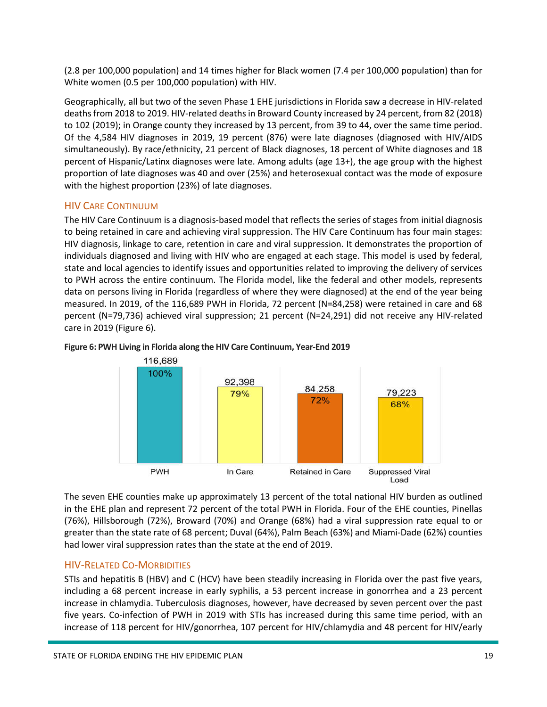(2.8 per 100,000 population) and 14 times higher for Black women (7.4 per 100,000 population) than for White women (0.5 per 100,000 population) with HIV.

Geographically, all but two of the seven Phase 1 EHE jurisdictions in Florida saw a decrease in HIV-related deaths from 2018 to 2019. HIV-related deaths in Broward County increased by 24 percent, from 82 (2018) to 102 (2019); in Orange county they increased by 13 percent, from 39 to 44, over the same time period. Of the 4,584 HIV diagnoses in 2019, 19 percent (876) were late diagnoses (diagnosed with HIV/AIDS simultaneously). By race/ethnicity, 21 percent of Black diagnoses, 18 percent of White diagnoses and 18 percent of Hispanic/Latinx diagnoses were late. Among adults (age 13+), the age group with the highest proportion of late diagnoses was 40 and over (25%) and heterosexual contact was the mode of exposure with the highest proportion (23%) of late diagnoses.

### HIV CARE CONTINUUM

The HIV Care Continuum is a diagnosis-based model that reflects the series of stages from initial diagnosis to being retained in care and achieving viral suppression. The HIV Care Continuum has four main stages: HIV diagnosis, linkage to care, retention in care and viral suppression. It demonstrates the proportion of individuals diagnosed and living with HIV who are engaged at each stage. This model is used by federal, state and local agencies to identify issues and opportunities related to improving the delivery of services to PWH across the entire continuum. The Florida model, like the federal and other models, represents data on persons living in Florida (regardless of where they were diagnosed) at the end of the year being measured. In 2019, of the 116,689 PWH in Florida, 72 percent (N=84,258) were retained in care and 68 percent (N=79,736) achieved viral suppression; 21 percent (N=24,291) did not receive any HIV-related care in 2019 (Figure 6).



**Figure 6: PWH Living in Florida along the HIV Care Continuum, Year-End 2019**

The seven EHE counties make up approximately 13 percent of the total national HIV burden as outlined in the EHE plan and represent 72 percent of the total PWH in Florida. Four of the EHE counties, Pinellas (76%), Hillsborough (72%), Broward (70%) and Orange (68%) had a viral suppression rate equal to or greater than the state rate of 68 percent; Duval (64%), Palm Beach (63%) and Miami-Dade (62%) counties had lower viral suppression rates than the state at the end of 2019.

### HIV-RELATED CO-MORBIDITIES

STIs and hepatitis B (HBV) and C (HCV) have been steadily increasing in Florida over the past five years, including a 68 percent increase in early syphilis, a 53 percent increase in gonorrhea and a 23 percent increase in chlamydia. Tuberculosis diagnoses, however, have decreased by seven percent over the past five years. Co-infection of PWH in 2019 with STIs has increased during this same time period, with an increase of 118 percent for HIV/gonorrhea, 107 percent for HIV/chlamydia and 48 percent for HIV/early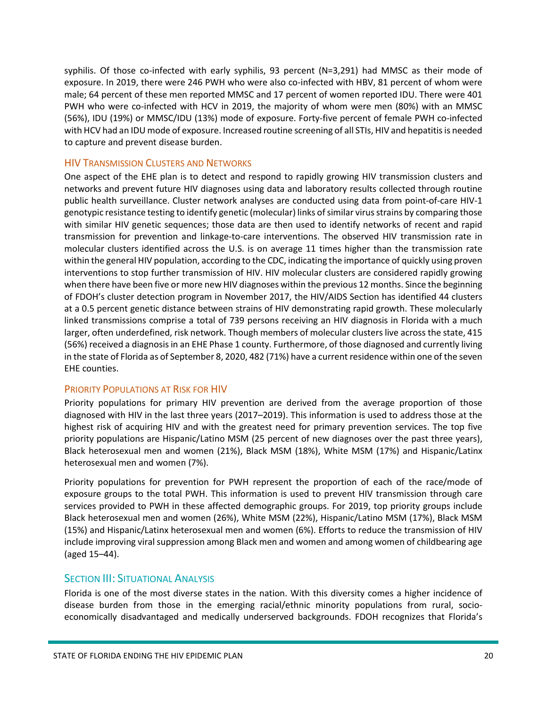syphilis. Of those co-infected with early syphilis, 93 percent (N=3,291) had MMSC as their mode of exposure. In 2019, there were 246 PWH who were also co-infected with HBV, 81 percent of whom were male; 64 percent of these men reported MMSC and 17 percent of women reported IDU. There were 401 PWH who were co-infected with HCV in 2019, the majority of whom were men (80%) with an MMSC (56%), IDU (19%) or MMSC/IDU (13%) mode of exposure. Forty-five percent of female PWH co-infected with HCV had an IDU mode of exposure. Increased routine screening of all STIs, HIV and hepatitis is needed to capture and prevent disease burden.

#### HIV TRANSMISSION CLUSTERS AND NETWORKS

One aspect of the EHE plan is to detect and respond to rapidly growing HIV transmission clusters and networks and prevent future HIV diagnoses using data and laboratory results collected through routine public health surveillance. Cluster network analyses are conducted using data from point-of-care HIV-1 genotypic resistance testing to identify genetic (molecular) links of similar virus strains by comparing those with similar HIV genetic sequences; those data are then used to identify networks of recent and rapid transmission for prevention and linkage-to-care interventions. The observed HIV transmission rate in molecular clusters identified across the U.S. is on average 11 times higher than the transmission rate within the general HIV population, according to the CDC, indicating the importance of quickly using proven interventions to stop further transmission of HIV. HIV molecular clusters are considered rapidly growing when there have been five or more new HIV diagnoses within the previous 12 months. Since the beginning of FDOH's cluster detection program in November 2017, the HIV/AIDS Section has identified 44 clusters at a 0.5 percent genetic distance between strains of HIV demonstrating rapid growth. These molecularly linked transmissions comprise a total of 739 persons receiving an HIV diagnosis in Florida with a much larger, often underdefined, risk network. Though members of molecular clusters live across the state, 415 (56%) received a diagnosis in an EHE Phase 1 county. Furthermore, of those diagnosed and currently living in the state of Florida as of September 8, 2020, 482 (71%) have a current residence within one of the seven EHE counties.

### PRIORITY POPULATIONS AT RISK FOR HIV

Priority populations for primary HIV prevention are derived from the average proportion of those diagnosed with HIV in the last three years (2017–2019). This information is used to address those at the highest risk of acquiring HIV and with the greatest need for primary prevention services. The top five priority populations are Hispanic/Latino MSM (25 percent of new diagnoses over the past three years), Black heterosexual men and women (21%), Black MSM (18%), White MSM (17%) and Hispanic/Latinx heterosexual men and women (7%).

Priority populations for prevention for PWH represent the proportion of each of the race/mode of exposure groups to the total PWH. This information is used to prevent HIV transmission through care services provided to PWH in these affected demographic groups. For 2019, top priority groups include Black heterosexual men and women (26%), White MSM (22%), Hispanic/Latino MSM (17%), Black MSM (15%) and Hispanic/Latinx heterosexual men and women (6%). Efforts to reduce the transmission of HIV include improving viral suppression among Black men and women and among women of childbearing age (aged 15–44).

### **SECTION III: SITUATIONAL ANALYSIS**

Florida is one of the most diverse states in the nation. With this diversity comes a higher incidence of disease burden from those in the emerging racial/ethnic minority populations from rural, socioeconomically disadvantaged and medically underserved backgrounds. FDOH recognizes that Florida's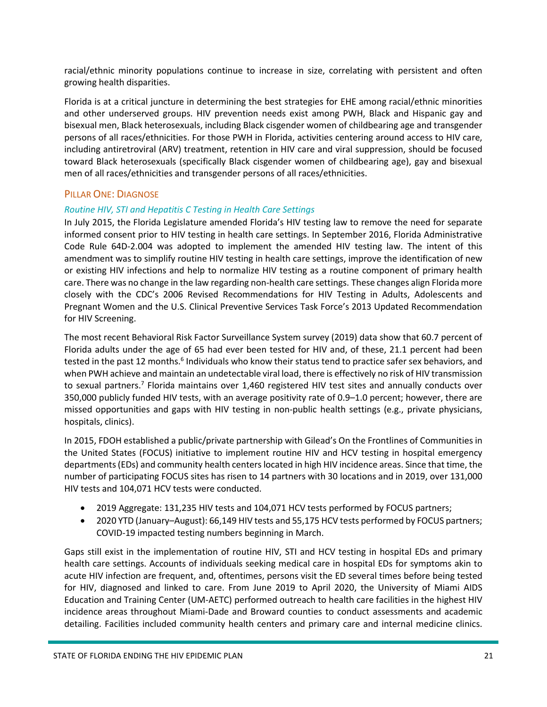racial/ethnic minority populations continue to increase in size, correlating with persistent and often growing health disparities.

Florida is at a critical juncture in determining the best strategies for EHE among racial/ethnic minorities and other underserved groups. HIV prevention needs exist among PWH, Black and Hispanic gay and bisexual men, Black heterosexuals, including Black cisgender women of childbearing age and transgender persons of all races/ethnicities. For those PWH in Florida, activities centering around access to HIV care, including antiretroviral (ARV) treatment, retention in HIV care and viral suppression, should be focused toward Black heterosexuals (specifically Black cisgender women of childbearing age), gay and bisexual men of all races/ethnicities and transgender persons of all races/ethnicities.

### PILLAR ONE: DIAGNOSE

#### *Routine HIV, STI and Hepatitis C Testing in Health Care Settings*

In July 2015, the Florida Legislature amended Florida's HIV testing law to remove the need for separate informed consent prior to HIV testing in health care settings. In September 2016, Florida Administrative Code Rule 64D-2.004 was adopted to implement the amended HIV testing law. The intent of this amendment was to simplify routine HIV testing in health care settings, improve the identification of new or existing HIV infections and help to normalize HIV testing as a routine component of primary health care. There was no change in the law regarding non-health care settings. These changes align Florida more closely with the CDC's 2006 Revised Recommendations for HIV Testing in Adults, Adolescents and Pregnant Women and the U.S. Clinical Preventive Services Task Force's 2013 Updated Recommendation for HIV Screening.

The most recent Behavioral Risk Factor Surveillance System survey (2019) data show that 60.7 percent of Florida adults under the age of 65 had ever been tested for HIV and, of these, 21.1 percent had been tested in the past 12 months.<sup>6</sup> Individuals who know their status tend to practice safer sex behaviors, and when PWH achieve and maintain an undetectable viral load, there is effectively no risk of HIV transmission to sexual partners.<sup>7</sup> Florida maintains over 1,460 registered HIV test sites and annually conducts over 350,000 publicly funded HIV tests, with an average positivity rate of 0.9–1.0 percent; however, there are missed opportunities and gaps with HIV testing in non-public health settings (e.g., private physicians, hospitals, clinics).

In 2015, FDOH established a public/private partnership with Gilead's On the Frontlines of Communities in the United States (FOCUS) initiative to implement routine HIV and HCV testing in hospital emergency departments (EDs) and community health centers located in high HIV incidence areas. Since that time, the number of participating FOCUS sites has risen to 14 partners with 30 locations and in 2019, over 131,000 HIV tests and 104,071 HCV tests were conducted.

- 2019 Aggregate: 131,235 HIV tests and 104,071 HCV tests performed by FOCUS partners;
- 2020 YTD (January–August): 66,149 HIV tests and 55,175 HCV tests performed by FOCUS partners; COVID-19 impacted testing numbers beginning in March.

Gaps still exist in the implementation of routine HIV, STI and HCV testing in hospital EDs and primary health care settings. Accounts of individuals seeking medical care in hospital EDs for symptoms akin to acute HIV infection are frequent, and, oftentimes, persons visit the ED several times before being tested for HIV, diagnosed and linked to care. From June 2019 to April 2020, the University of Miami AIDS Education and Training Center (UM-AETC) performed outreach to health care facilities in the highest HIV incidence areas throughout Miami-Dade and Broward counties to conduct assessments and academic detailing. Facilities included community health centers and primary care and internal medicine clinics.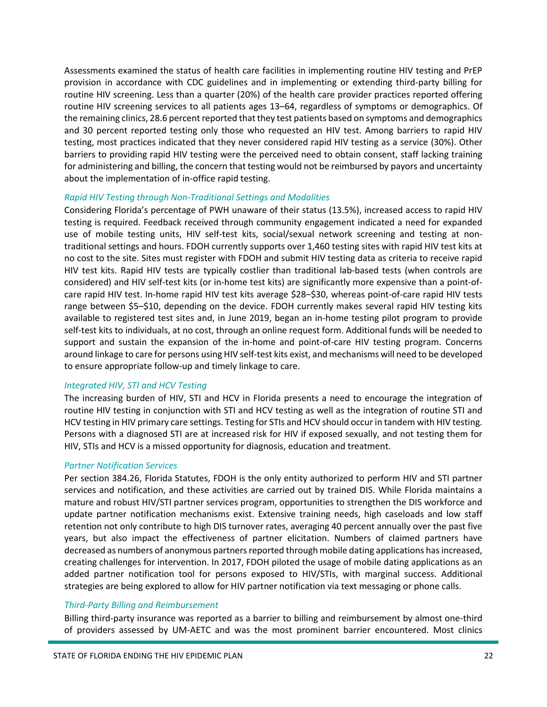Assessments examined the status of health care facilities in implementing routine HIV testing and PrEP provision in accordance with CDC guidelines and in implementing or extending third-party billing for routine HIV screening. Less than a quarter (20%) of the health care provider practices reported offering routine HIV screening services to all patients ages 13–64, regardless of symptoms or demographics. Of the remaining clinics, 28.6 percent reported that they test patients based on symptoms and demographics and 30 percent reported testing only those who requested an HIV test. Among barriers to rapid HIV testing, most practices indicated that they never considered rapid HIV testing as a service (30%). Other barriers to providing rapid HIV testing were the perceived need to obtain consent, staff lacking training for administering and billing, the concern that testing would not be reimbursed by payors and uncertainty about the implementation of in-office rapid testing.

#### *Rapid HIV Testing through Non-Traditional Settings and Modalities*

Considering Florida's percentage of PWH unaware of their status (13.5%), increased access to rapid HIV testing is required. Feedback received through community engagement indicated a need for expanded use of mobile testing units, HIV self-test kits, social/sexual network screening and testing at nontraditional settings and hours. FDOH currently supports over 1,460 testing sites with rapid HIV test kits at no cost to the site. Sites must register with FDOH and submit HIV testing data as criteria to receive rapid HIV test kits. Rapid HIV tests are typically costlier than traditional lab-based tests (when controls are considered) and HIV self-test kits (or in-home test kits) are significantly more expensive than a point-ofcare rapid HIV test. In-home rapid HIV test kits average \$28–\$30, whereas point-of-care rapid HIV tests range between \$5–\$10, depending on the device. FDOH currently makes several rapid HIV testing kits available to registered test sites and, in June 2019, began an in-home testing pilot program to provide self-test kits to individuals, at no cost, through an online request form. Additional funds will be needed to support and sustain the expansion of the in-home and point-of-care HIV testing program. Concerns around linkage to care for persons using HIV self-test kits exist, and mechanisms will need to be developed to ensure appropriate follow-up and timely linkage to care.

#### *Integrated HIV, STI and HCV Testing*

The increasing burden of HIV, STI and HCV in Florida presents a need to encourage the integration of routine HIV testing in conjunction with STI and HCV testing as well as the integration of routine STI and HCV testing in HIV primary care settings. Testing for STIs and HCV should occur in tandem with HIV testing. Persons with a diagnosed STI are at increased risk for HIV if exposed sexually, and not testing them for HIV, STIs and HCV is a missed opportunity for diagnosis, education and treatment.

#### *Partner Notification Services*

Per section 384.26, Florida Statutes, FDOH is the only entity authorized to perform HIV and STI partner services and notification, and these activities are carried out by trained DIS. While Florida maintains a mature and robust HIV/STI partner services program, opportunities to strengthen the DIS workforce and update partner notification mechanisms exist. Extensive training needs, high caseloads and low staff retention not only contribute to high DIS turnover rates, averaging 40 percent annually over the past five years, but also impact the effectiveness of partner elicitation. Numbers of claimed partners have decreased as numbers of anonymous partners reported through mobile dating applications has increased, creating challenges for intervention. In 2017, FDOH piloted the usage of mobile dating applications as an added partner notification tool for persons exposed to HIV/STIs, with marginal success. Additional strategies are being explored to allow for HIV partner notification via text messaging or phone calls.

#### *Third-Party Billing and Reimbursement*

Billing third-party insurance was reported as a barrier to billing and reimbursement by almost one-third of providers assessed by UM-AETC and was the most prominent barrier encountered. Most clinics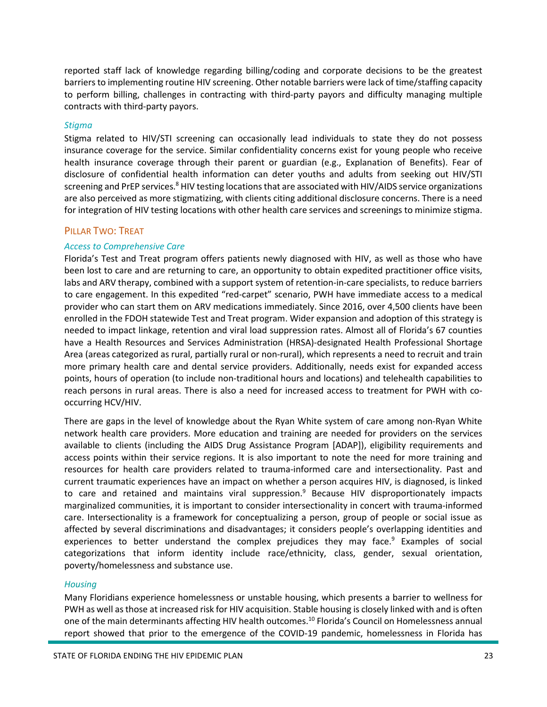reported staff lack of knowledge regarding billing/coding and corporate decisions to be the greatest barriers to implementing routine HIV screening. Other notable barriers were lack of time/staffing capacity to perform billing, challenges in contracting with third-party payors and difficulty managing multiple contracts with third-party payors.

#### *Stigma*

Stigma related to HIV/STI screening can occasionally lead individuals to state they do not possess insurance coverage for the service. Similar confidentiality concerns exist for young people who receive health insurance coverage through their parent or guardian (e.g., Explanation of Benefits). Fear of disclosure of confidential health information can deter youths and adults from seeking out HIV/STI screening and PrEP services.<sup>8</sup> HIV testing locations that are associated with HIV/AIDS service organizations are also perceived as more stigmatizing, with clients citing additional disclosure concerns. There is a need for integration of HIV testing locations with other health care services and screenings to minimize stigma.

#### PILLAR TWO: TREAT

#### *Access to Comprehensive Care*

Florida's Test and Treat program offers patients newly diagnosed with HIV, as well as those who have been lost to care and are returning to care, an opportunity to obtain expedited practitioner office visits, labs and ARV therapy, combined with a support system of retention-in-care specialists, to reduce barriers to care engagement. In this expedited "red-carpet" scenario, PWH have immediate access to a medical provider who can start them on ARV medications immediately. Since 2016, over 4,500 clients have been enrolled in the FDOH statewide Test and Treat program. Wider expansion and adoption of this strategy is needed to impact linkage, retention and viral load suppression rates. Almost all of Florida's 67 counties have a Health Resources and Services Administration (HRSA)-designated Health Professional Shortage Area (areas categorized as rural, partially rural or non-rural), which represents a need to recruit and train more primary health care and dental service providers. Additionally, needs exist for expanded access points, hours of operation (to include non-traditional hours and locations) and telehealth capabilities to reach persons in rural areas. There is also a need for increased access to treatment for PWH with cooccurring HCV/HIV.

There are gaps in the level of knowledge about the Ryan White system of care among non-Ryan White network health care providers. More education and training are needed for providers on the services available to clients (including the AIDS Drug Assistance Program [ADAP]), eligibility requirements and access points within their service regions. It is also important to note the need for more training and resources for health care providers related to trauma-informed care and intersectionality. Past and current traumatic experiences have an impact on whether a person acquires HIV, is diagnosed, is linked to care and retained and maintains viral suppression.<sup>9</sup> Because HIV disproportionately impacts marginalized communities, it is important to consider intersectionality in concert with trauma-informed care. Intersectionality is a framework for conceptualizing a person, group of people or social issue as affected by several discriminations and disadvantages; it considers people's overlapping identities and experiences to better understand the complex prejudices they may face.<sup>9</sup> Examples of social categorizations that inform identity include race/ethnicity, class, gender, sexual orientation, poverty/homelessness and substance use.

#### *Housing*

Many Floridians experience homelessness or unstable housing, which presents a barrier to wellness for PWH as well as those at increased risk for HIV acquisition. Stable housing is closely linked with and is often one of the main determinants affecting HIV health outcomes.<sup>10</sup> Florida's Council on Homelessness annual report showed that prior to the emergence of the COVID-19 pandemic, homelessness in Florida has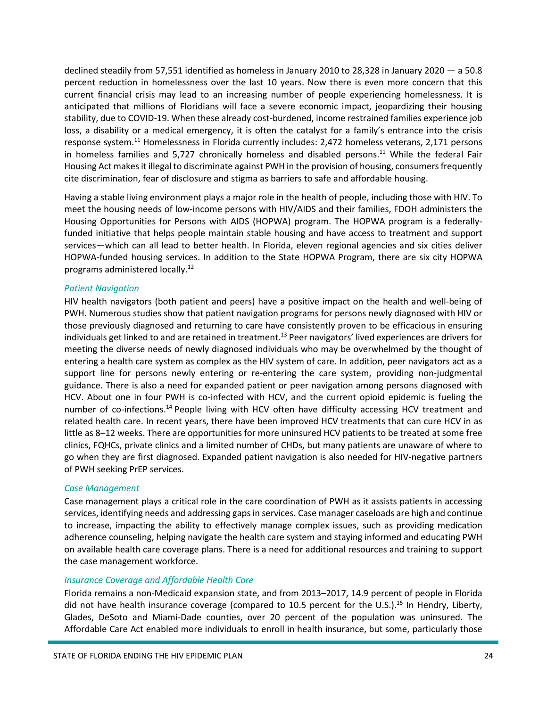declined steadily from 57,551 identified as homeless in January 2010 to 28,328 in January 2020 — a 50.8 percent reduction in homelessness over the last 10 years. Now there is even more concern that this current financial crisis may lead to an increasing number of people experiencing homelessness. It is anticipated that millions of Floridians will face a severe economic impact, jeopardizing their housing stability, due to COVID-19. When these already cost-burdened, income restrained families experience job loss, a disability or a medical emergency, it is often the catalyst for a family's entrance into the crisis response system.<sup>11</sup> Homelessness in Florida currently includes: 2,472 homeless veterans, 2,171 persons in homeless families and 5,727 chronically homeless and disabled persons.<sup>11</sup> While the federal Fair Housing Act makes it illegal to discriminate against PWH in the provision of housing, consumers frequently cite discrimination, fear of disclosure and stigma as barriers to safe and affordable housing.

Having a stable living environment plays a major role in the health of people, including those with HIV. To meet the housing needs of low-income persons with HIV/AIDS and their families, FDOH administers the Housing Opportunities for Persons with AIDS (HOPWA) program. The HOPWA program is a federallyfunded initiative that helps people maintain stable housing and have access to treatment and support services—which can all lead to better health. In Florida, eleven regional agencies and six cities deliver HOPWA-funded housing services. In addition to the State HOPWA Program, there are six city HOPWA programs administered locally. 12

#### *Patient Navigation*

HIV health navigators (both patient and peers) have a positive impact on the health and well-being of PWH. Numerous studies show that patient navigation programs for persons newly diagnosed with HIV or those previously diagnosed and returning to care have consistently proven to be efficacious in ensuring individuals get linked to and are retained in treatment.<sup>13</sup> Peer navigators' lived experiences are drivers for meeting the diverse needs of newly diagnosed individuals who may be overwhelmed by the thought of entering a health care system as complex as the HIV system of care. In addition, peer navigators act as a support line for persons newly entering or re-entering the care system, providing non-judgmental guidance. There is also a need for expanded patient or peer navigation among persons diagnosed with HCV. About one in four PWH is co-infected with HCV, and the current opioid epidemic is fueling the number of co-infections.14 People living with HCV often have difficulty accessing HCV treatment and related health care. In recent years, there have been improved HCV treatments that can cure HCV in as little as 8–12 weeks. There are opportunities for more uninsured HCV patients to be treated at some free clinics, FQHCs, private clinics and a limited number of CHDs, but many patients are unaware of where to go when they are first diagnosed. Expanded patient navigation is also needed for HIV-negative partners of PWH seeking PrEP services.

#### *Case Management*

Case management plays a critical role in the care coordination of PWH as it assists patients in accessing services, identifying needs and addressing gaps in services. Case manager caseloads are high and continue to increase, impacting the ability to effectively manage complex issues, such as providing medication adherence counseling, helping navigate the health care system and staying informed and educating PWH on available health care coverage plans. There is a need for additional resources and training to support the case management workforce.

#### *Insurance Coverage and Affordable Health Care*

Florida remains a non-Medicaid expansion state, and from 2013–2017, 14.9 percent of people in Florida did not have health insurance coverage (compared to 10.5 percent for the U.S.).<sup>15</sup> In Hendry, Liberty, Glades, DeSoto and Miami-Dade counties, over 20 percent of the population was uninsured. The Affordable Care Act enabled more individuals to enroll in health insurance, but some, particularly those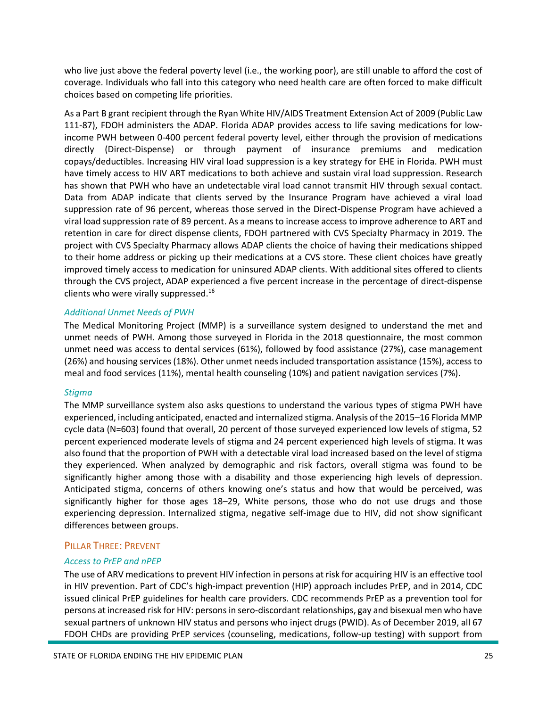who live just above the federal poverty level (i.e., the working poor), are still unable to afford the cost of coverage. Individuals who fall into this category who need health care are often forced to make difficult choices based on competing life priorities.

As a Part B grant recipient through the Ryan White HIV/AIDS Treatment Extension Act of 2009 (Public Law 111-87), FDOH administers the ADAP. Florida ADAP provides access to life saving medications for lowincome PWH between 0-400 percent federal poverty level, either through the provision of medications directly (Direct-Dispense) or through payment of insurance premiums and medication copays/deductibles. Increasing HIV viral load suppression is a key strategy for EHE in Florida. PWH must have timely access to HIV ART medications to both achieve and sustain viral load suppression. Research has shown that PWH who have an undetectable viral load cannot transmit HIV through sexual contact. Data from ADAP indicate that clients served by the Insurance Program have achieved a viral load suppression rate of 96 percent, whereas those served in the Direct-Dispense Program have achieved a viral load suppression rate of 89 percent. As a means to increase access to improve adherence to ART and retention in care for direct dispense clients, FDOH partnered with CVS Specialty Pharmacy in 2019. The project with CVS Specialty Pharmacy allows ADAP clients the choice of having their medications shipped to their home address or picking up their medications at a CVS store. These client choices have greatly improved timely access to medication for uninsured ADAP clients. With additional sites offered to clients through the CVS project, ADAP experienced a five percent increase in the percentage of direct-dispense clients who were virally suppressed.16

#### *Additional Unmet Needs of PWH*

The Medical Monitoring Project (MMP) is a surveillance system designed to understand the met and unmet needs of PWH. Among those surveyed in Florida in the 2018 questionnaire, the most common unmet need was access to dental services (61%), followed by food assistance (27%), case management (26%) and housing services (18%). Other unmet needs included transportation assistance (15%), access to meal and food services (11%), mental health counseling (10%) and patient navigation services (7%).

#### *Stigma*

The MMP surveillance system also asks questions to understand the various types of stigma PWH have experienced, including anticipated, enacted and internalized stigma. Analysis of the 2015–16 Florida MMP cycle data (N=603) found that overall, 20 percent of those surveyed experienced low levels of stigma, 52 percent experienced moderate levels of stigma and 24 percent experienced high levels of stigma. It was also found that the proportion of PWH with a detectable viral load increased based on the level of stigma they experienced. When analyzed by demographic and risk factors, overall stigma was found to be significantly higher among those with a disability and those experiencing high levels of depression. Anticipated stigma, concerns of others knowing one's status and how that would be perceived, was significantly higher for those ages 18–29, White persons, those who do not use drugs and those experiencing depression. Internalized stigma, negative self-image due to HIV, did not show significant differences between groups.

### PILLAR THREE: PREVENT

### *Access to PrEP and nPEP*

The use of ARV medications to prevent HIV infection in persons at risk for acquiring HIV is an effective tool in HIV prevention. Part of CDC's high-impact prevention (HIP) approach includes PrEP, and in 2014, CDC issued clinical PrEP guidelines for health care providers. CDC recommends PrEP as a prevention tool for persons at increased risk for HIV: persons in sero-discordant relationships, gay and bisexual men who have sexual partners of unknown HIV status and persons who inject drugs (PWID). As of December 2019, all 67 FDOH CHDs are providing PrEP services (counseling, medications, follow-up testing) with support from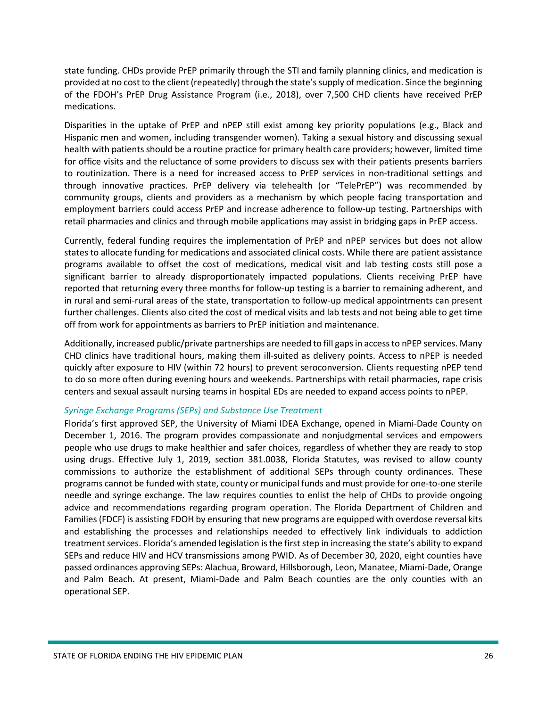state funding. CHDs provide PrEP primarily through the STI and family planning clinics, and medication is provided at no cost to the client (repeatedly) through the state's supply of medication. Since the beginning of the FDOH's PrEP Drug Assistance Program (i.e., 2018), over 7,500 CHD clients have received PrEP medications.

Disparities in the uptake of PrEP and nPEP still exist among key priority populations (e.g., Black and Hispanic men and women, including transgender women). Taking a sexual history and discussing sexual health with patients should be a routine practice for primary health care providers; however, limited time for office visits and the reluctance of some providers to discuss sex with their patients presents barriers to routinization. There is a need for increased access to PrEP services in non-traditional settings and through innovative practices. PrEP delivery via telehealth (or "TelePrEP") was recommended by community groups, clients and providers as a mechanism by which people facing transportation and employment barriers could access PrEP and increase adherence to follow-up testing. Partnerships with retail pharmacies and clinics and through mobile applications may assist in bridging gaps in PrEP access.

Currently, federal funding requires the implementation of PrEP and nPEP services but does not allow states to allocate funding for medications and associated clinical costs. While there are patient assistance programs available to offset the cost of medications, medical visit and lab testing costs still pose a significant barrier to already disproportionately impacted populations. Clients receiving PrEP have reported that returning every three months for follow-up testing is a barrier to remaining adherent, and in rural and semi-rural areas of the state, transportation to follow-up medical appointments can present further challenges. Clients also cited the cost of medical visits and lab tests and not being able to get time off from work for appointments as barriers to PrEP initiation and maintenance.

Additionally, increased public/private partnerships are needed to fill gaps in access to nPEP services. Many CHD clinics have traditional hours, making them ill-suited as delivery points. Access to nPEP is needed quickly after exposure to HIV (within 72 hours) to prevent seroconversion. Clients requesting nPEP tend to do so more often during evening hours and weekends. Partnerships with retail pharmacies, rape crisis centers and sexual assault nursing teams in hospital EDs are needed to expand access points to nPEP.

#### *Syringe Exchange Programs (SEPs) and Substance Use Treatment*

Florida's first approved SEP, the University of Miami IDEA Exchange, opened in Miami-Dade County on December 1, 2016. The program provides compassionate and nonjudgmental services and empowers people who use drugs to make healthier and safer choices, regardless of whether they are ready to stop using drugs. Effective July 1, 2019, section 381.0038, Florida Statutes, was revised to allow county commissions to authorize the establishment of additional SEPs through county ordinances. These programs cannot be funded with state, county or municipal funds and must provide for one-to-one sterile needle and syringe exchange. The law requires counties to enlist the help of CHDs to provide ongoing advice and recommendations regarding program operation. The Florida Department of Children and Families(FDCF) is assisting FDOH by ensuring that new programs are equipped with overdose reversal kits and establishing the processes and relationships needed to effectively link individuals to addiction treatment services. Florida's amended legislation is the first step in increasing the state's ability to expand SEPs and reduce HIV and HCV transmissions among PWID. As of December 30, 2020, eight counties have passed ordinances approving SEPs: Alachua, Broward, Hillsborough, Leon, Manatee, Miami-Dade, Orange and Palm Beach. At present, Miami-Dade and Palm Beach counties are the only counties with an operational SEP.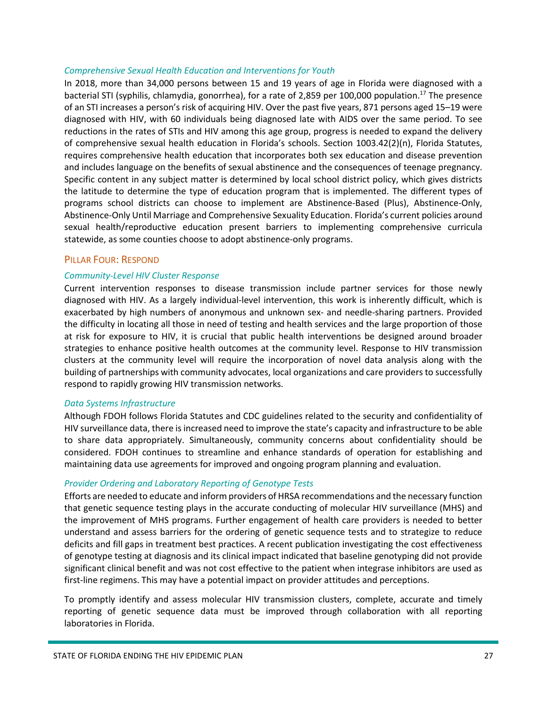#### *Comprehensive Sexual Health Education and Interventions for Youth*

In 2018, more than 34,000 persons between 15 and 19 years of age in Florida were diagnosed with a bacterial STI (syphilis, chlamydia, gonorrhea), for a rate of 2,859 per 100,000 population.17 The presence of an STI increases a person's risk of acquiring HIV. Over the past five years, 871 persons aged 15–19 were diagnosed with HIV, with 60 individuals being diagnosed late with AIDS over the same period. To see reductions in the rates of STIs and HIV among this age group, progress is needed to expand the delivery of comprehensive sexual health education in Florida's schools. Section 1003.42(2)(n), Florida Statutes, requires comprehensive health education that incorporates both sex education and disease prevention and includes language on the benefits of sexual abstinence and the consequences of teenage pregnancy. Specific content in any subject matter is determined by local school district policy, which gives districts the latitude to determine the type of education program that is implemented. The different types of programs school districts can choose to implement are Abstinence-Based (Plus), Abstinence-Only, Abstinence-Only Until Marriage and Comprehensive Sexuality Education. Florida's current policies around sexual health/reproductive education present barriers to implementing comprehensive curricula statewide, as some counties choose to adopt abstinence-only programs.

#### PILLAR FOUR: RESPOND

#### *Community-Level HIV Cluster Response*

Current intervention responses to disease transmission include partner services for those newly diagnosed with HIV. As a largely individual-level intervention, this work is inherently difficult, which is exacerbated by high numbers of anonymous and unknown sex- and needle-sharing partners. Provided the difficulty in locating all those in need of testing and health services and the large proportion of those at risk for exposure to HIV, it is crucial that public health interventions be designed around broader strategies to enhance positive health outcomes at the community level. Response to HIV transmission clusters at the community level will require the incorporation of novel data analysis along with the building of partnerships with community advocates, local organizations and care providers to successfully respond to rapidly growing HIV transmission networks.

#### *Data Systems Infrastructure*

Although FDOH follows Florida Statutes and CDC guidelines related to the security and confidentiality of HIV surveillance data, there is increased need to improve the state's capacity and infrastructure to be able to share data appropriately. Simultaneously, community concerns about confidentiality should be considered. FDOH continues to streamline and enhance standards of operation for establishing and maintaining data use agreements for improved and ongoing program planning and evaluation.

#### *Provider Ordering and Laboratory Reporting of Genotype Tests*

Efforts are needed to educate and inform providers of HRSA recommendations and the necessary function that genetic sequence testing plays in the accurate conducting of molecular HIV surveillance (MHS) and the improvement of MHS programs. Further engagement of health care providers is needed to better understand and assess barriers for the ordering of genetic sequence tests and to strategize to reduce deficits and fill gaps in treatment best practices. A recent publication investigating the cost effectiveness of genotype testing at diagnosis and its clinical impact indicated that baseline genotyping did not provide significant clinical benefit and was not cost effective to the patient when integrase inhibitors are used as first-line regimens. This may have a potential impact on provider attitudes and perceptions.

To promptly identify and assess molecular HIV transmission clusters, complete, accurate and timely reporting of genetic sequence data must be improved through collaboration with all reporting laboratories in Florida.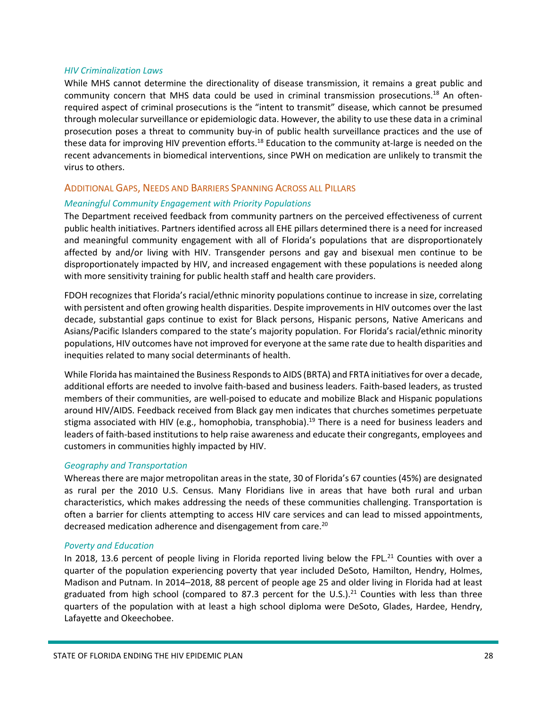#### *HIV Criminalization Laws*

While MHS cannot determine the directionality of disease transmission, it remains a great public and community concern that MHS data could be used in criminal transmission prosecutions.18 An oftenrequired aspect of criminal prosecutions is the "intent to transmit" disease, which cannot be presumed through molecular surveillance or epidemiologic data. However, the ability to use these data in a criminal prosecution poses a threat to community buy-in of public health surveillance practices and the use of these data for improving HIV prevention efforts.<sup>18</sup> Education to the community at-large is needed on the recent advancements in biomedical interventions, since PWH on medication are unlikely to transmit the virus to others.

#### ADDITIONAL GAPS, NEEDS AND BARRIERS SPANNING ACROSS ALL PILLARS

#### *Meaningful Community Engagement with Priority Populations*

The Department received feedback from community partners on the perceived effectiveness of current public health initiatives. Partners identified across all EHE pillars determined there is a need for increased and meaningful community engagement with all of Florida's populations that are disproportionately affected by and/or living with HIV. Transgender persons and gay and bisexual men continue to be disproportionately impacted by HIV, and increased engagement with these populations is needed along with more sensitivity training for public health staff and health care providers.

FDOH recognizes that Florida's racial/ethnic minority populations continue to increase in size, correlating with persistent and often growing health disparities. Despite improvements in HIV outcomes over the last decade, substantial gaps continue to exist for Black persons, Hispanic persons, Native Americans and Asians/Pacific Islanders compared to the state's majority population. For Florida's racial/ethnic minority populations, HIV outcomes have not improved for everyone at the same rate due to health disparities and inequities related to many social determinants of health.

While Florida has maintained the Business Responds to AIDS (BRTA) and FRTA initiatives for over a decade, additional efforts are needed to involve faith-based and business leaders. Faith-based leaders, as trusted members of their communities, are well-poised to educate and mobilize Black and Hispanic populations around HIV/AIDS. Feedback received from Black gay men indicates that churches sometimes perpetuate stigma associated with HIV (e.g., homophobia, transphobia).<sup>19</sup> There is a need for business leaders and leaders of faith-based institutions to help raise awareness and educate their congregants, employees and customers in communities highly impacted by HIV.

#### *Geography and Transportation*

Whereasthere are major metropolitan areas in the state, 30 of Florida's 67 counties (45%) are designated as rural per the 2010 U.S. Census. Many Floridians live in areas that have both rural and urban characteristics, which makes addressing the needs of these communities challenging. Transportation is often a barrier for clients attempting to access HIV care services and can lead to missed appointments, decreased medication adherence and disengagement from care.<sup>20</sup>

#### *Poverty and Education*

In 2018, 13.6 percent of people living in Florida reported living below the FPL. $^{21}$  Counties with over a quarter of the population experiencing poverty that year included DeSoto, Hamilton, Hendry, Holmes, Madison and Putnam. In 2014–2018, 88 percent of people age 25 and older living in Florida had at least graduated from high school (compared to 87.3 percent for the U.S.).<sup>21</sup> Counties with less than three quarters of the population with at least a high school diploma were DeSoto, Glades, Hardee, Hendry, Lafayette and Okeechobee.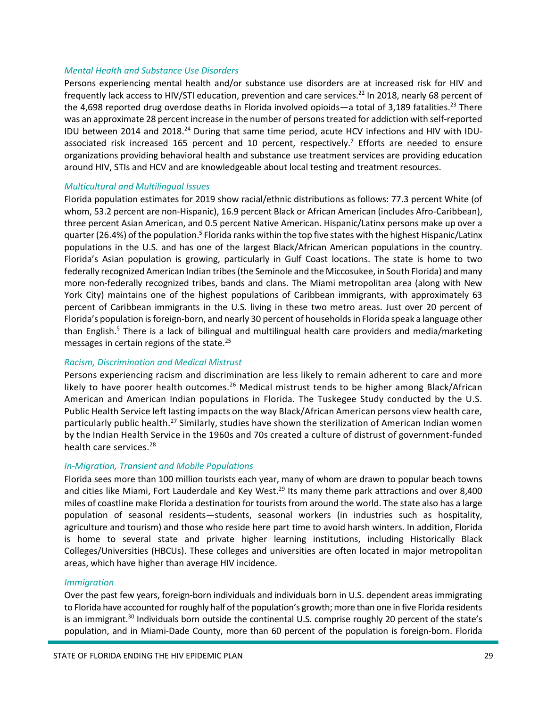#### *Mental Health and Substance Use Disorders*

Persons experiencing mental health and/or substance use disorders are at increased risk for HIV and frequently lack access to HIV/STI education, prevention and care services. <sup>22</sup> In 2018, nearly 68 percent of the 4,698 reported drug overdose deaths in Florida involved opioids—a total of 3,189 fatalities.<sup>23</sup> There was an approximate 28 percent increase in the number of persons treated for addiction with self-reported IDU between 2014 and 2018.<sup>24</sup> During that same time period, acute HCV infections and HIV with IDUassociated risk increased 165 percent and 10 percent, respectively.<sup>7</sup> Efforts are needed to ensure organizations providing behavioral health and substance use treatment services are providing education around HIV, STIs and HCV and are knowledgeable about local testing and treatment resources.

#### *Multicultural and Multilingual Issues*

Florida population estimates for 2019 show racial/ethnic distributions as follows: 77.3 percent White (of whom, 53.2 percent are non-Hispanic), 16.9 percent Black or African American (includes Afro-Caribbean), three percent Asian American, and 0.5 percent Native American. Hispanic/Latinx persons make up over a quarter (26.4%) of the population.<sup>5</sup> Florida ranks within the top five states with the highest Hispanic/Latinx populations in the U.S. and has one of the largest Black/African American populations in the country. Florida's Asian population is growing, particularly in Gulf Coast locations. The state is home to two federally recognized American Indian tribes (the Seminole and the Miccosukee, in South Florida) and many more non-federally recognized tribes, bands and clans. The Miami metropolitan area (along with New York City) maintains one of the highest populations of Caribbean immigrants, with approximately 63 percent of Caribbean immigrants in the U.S. living in these two metro areas. Just over 20 percent of Florida's population is foreign-born, and nearly 30 percent of households in Florida speak a language other than English.<sup>5</sup> There is a lack of bilingual and multilingual health care providers and media/marketing messages in certain regions of the state. 25

#### *Racism, Discrimination and Medical Mistrust*

Persons experiencing racism and discrimination are less likely to remain adherent to care and more likely to have poorer health outcomes.<sup>26</sup> Medical mistrust tends to be higher among Black/African American and American Indian populations in Florida. The Tuskegee Study conducted by the U.S. Public Health Service left lasting impacts on the way Black/African American persons view health care, particularly public health.<sup>27</sup> Similarly, studies have shown the sterilization of American Indian women by the Indian Health Service in the 1960s and 70s created a culture of distrust of government-funded health care services. 28

#### *In-Migration, Transient and Mobile Populations*

Florida sees more than 100 million tourists each year, many of whom are drawn to popular beach towns and cities like Miami, Fort Lauderdale and Key West.<sup>29</sup> Its many theme park attractions and over 8,400 miles of coastline make Florida a destination for tourists from around the world. The state also has a large population of seasonal residents—students, seasonal workers (in industries such as hospitality, agriculture and tourism) and those who reside here part time to avoid harsh winters. In addition, Florida is home to several state and private higher learning institutions, including Historically Black Colleges/Universities (HBCUs). These colleges and universities are often located in major metropolitan areas, which have higher than average HIV incidence.

#### *Immigration*

Over the past few years, foreign-born individuals and individuals born in U.S. dependent areas immigrating to Florida have accounted for roughly half of the population's growth; more than one in five Florida residents is an immigrant.<sup>30</sup> Individuals born outside the continental U.S. comprise roughly 20 percent of the state's population, and in Miami-Dade County, more than 60 percent of the population is foreign-born. Florida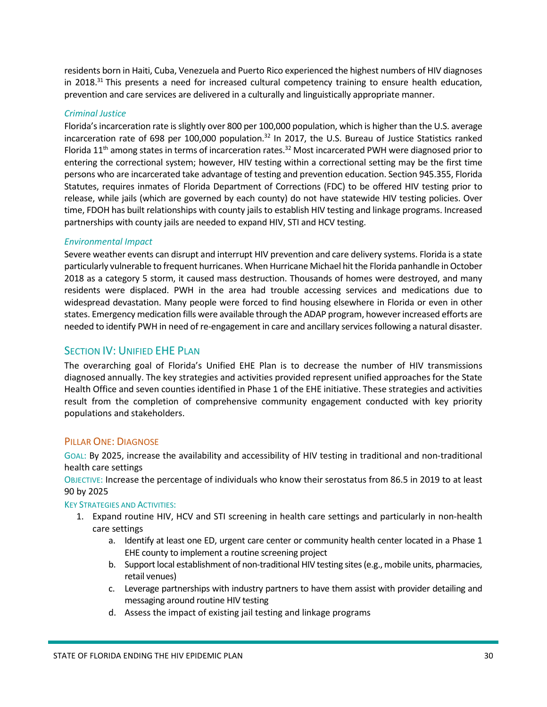residents born in Haiti, Cuba, Venezuela and Puerto Rico experienced the highest numbers of HIV diagnoses in 2018. $31$  This presents a need for increased cultural competency training to ensure health education, prevention and care services are delivered in a culturally and linguistically appropriate manner.

#### *Criminal Justice*

Florida's incarceration rate is slightly over 800 per 100,000 population, which is higher than the U.S. average incarceration rate of 698 per 100,000 population.<sup>32</sup> In 2017, the U.S. Bureau of Justice Statistics ranked Florida 11<sup>th</sup> among states in terms of incarceration rates.<sup>32</sup> Most incarcerated PWH were diagnosed prior to entering the correctional system; however, HIV testing within a correctional setting may be the first time persons who are incarcerated take advantage of testing and prevention education. Section 945.355, Florida Statutes, requires inmates of Florida Department of Corrections (FDC) to be offered HIV testing prior to release, while jails (which are governed by each county) do not have statewide HIV testing policies. Over time, FDOH has built relationships with county jails to establish HIV testing and linkage programs. Increased partnerships with county jails are needed to expand HIV, STI and HCV testing.

#### *Environmental Impact*

Severe weather events can disrupt and interrupt HIV prevention and care delivery systems. Florida is a state particularly vulnerable to frequent hurricanes. When Hurricane Michael hit the Florida panhandle in October 2018 as a category 5 storm, it caused mass destruction. Thousands of homes were destroyed, and many residents were displaced. PWH in the area had trouble accessing services and medications due to widespread devastation. Many people were forced to find housing elsewhere in Florida or even in other states. Emergency medication fills were available through the ADAP program, however increased efforts are needed to identify PWH in need of re-engagement in care and ancillary services following a natural disaster.

### **SECTION IV: UNIFIED EHE PLAN**

The overarching goal of Florida's Unified EHE Plan is to decrease the number of HIV transmissions diagnosed annually. The key strategies and activities provided represent unified approaches for the State Health Office and seven counties identified in Phase 1 of the EHE initiative. These strategies and activities result from the completion of comprehensive community engagement conducted with key priority populations and stakeholders.

### PILLAR ONE: DIAGNOSE

GOAL: By 2025, increase the availability and accessibility of HIV testing in traditional and non-traditional health care settings

OBJECTIVE: Increase the percentage of individuals who know their serostatus from 86.5 in 2019 to at least 90 by 2025

- 1. Expand routine HIV, HCV and STI screening in health care settings and particularly in non-health care settings
	- a. Identify at least one ED, urgent care center or community health center located in a Phase 1 EHE county to implement a routine screening project
	- b. Support local establishment of non-traditional HIV testing sites (e.g., mobile units, pharmacies, retail venues)
	- c. Leverage partnerships with industry partners to have them assist with provider detailing and messaging around routine HIV testing
	- d. Assess the impact of existing jail testing and linkage programs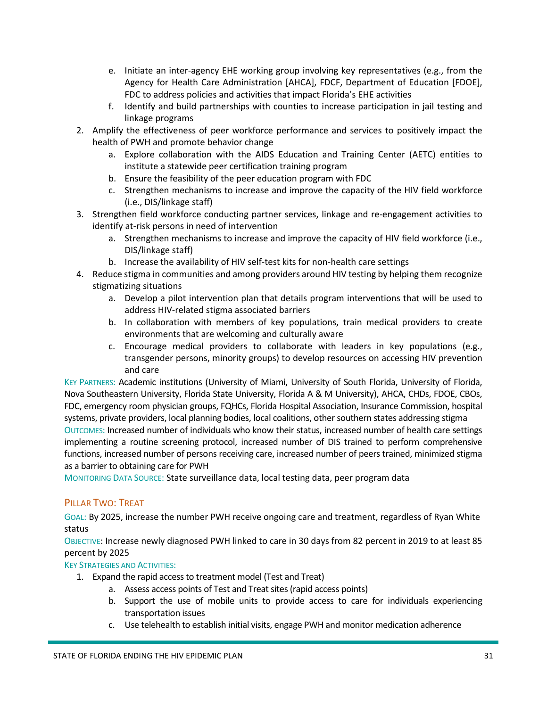- e. Initiate an inter-agency EHE working group involving key representatives (e.g., from the Agency for Health Care Administration [AHCA], FDCF, Department of Education [FDOE], FDC to address policies and activities that impact Florida's EHE activities
- f. Identify and build partnerships with counties to increase participation in jail testing and linkage programs
- 2. Amplify the effectiveness of peer workforce performance and services to positively impact the health of PWH and promote behavior change
	- a. Explore collaboration with the AIDS Education and Training Center (AETC) entities to institute a statewide peer certification training program
	- b. Ensure the feasibility of the peer education program with FDC
	- c. Strengthen mechanisms to increase and improve the capacity of the HIV field workforce (i.e., DIS/linkage staff)
- 3. Strengthen field workforce conducting partner services, linkage and re-engagement activities to identify at-risk persons in need of intervention
	- a. Strengthen mechanisms to increase and improve the capacity of HIV field workforce (i.e., DIS/linkage staff)
	- b. Increase the availability of HIV self-test kits for non-health care settings
- 4. Reduce stigma in communities and among providers around HIV testing by helping them recognize stigmatizing situations
	- a. Develop a pilot intervention plan that details program interventions that will be used to address HIV-related stigma associated barriers
	- b. In collaboration with members of key populations, train medical providers to create environments that are welcoming and culturally aware
	- c. Encourage medical providers to collaborate with leaders in key populations (e.g., transgender persons, minority groups) to develop resources on accessing HIV prevention and care

KEY PARTNERS: Academic institutions (University of Miami, University of South Florida, University of Florida, Nova Southeastern University, Florida State University, Florida A & M University), AHCA, CHDs, FDOE, CBOs, FDC, emergency room physician groups, FQHCs, Florida Hospital Association, Insurance Commission, hospital systems, private providers, local planning bodies, local coalitions, other southern states addressing stigma OUTCOMES: Increased number of individuals who know their status, increased number of health care settings implementing a routine screening protocol, increased number of DIS trained to perform comprehensive functions, increased number of persons receiving care, increased number of peers trained, minimized stigma as a barrier to obtaining care for PWH

MONITORING DATA SOURCE: State surveillance data, local testing data, peer program data

### PILLAR TWO: TREAT

GOAL: By 2025, increase the number PWH receive ongoing care and treatment, regardless of Ryan White status

OBJECTIVE: Increase newly diagnosed PWH linked to care in 30 days from 82 percent in 2019 to at least 85 percent by 2025

- 1. Expand the rapid access to treatment model (Test and Treat)
	- a. Assess access points of Test and Treat sites (rapid access points)
	- b. Support the use of mobile units to provide access to care for individuals experiencing transportation issues
	- c. Use telehealth to establish initial visits, engage PWH and monitor medication adherence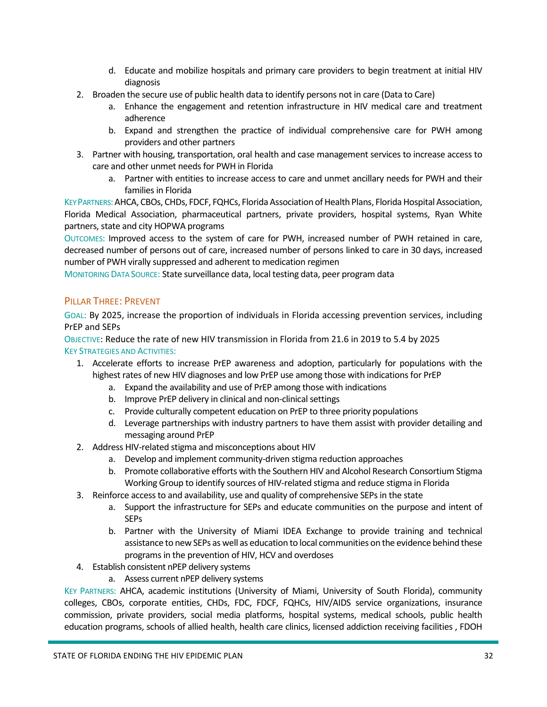- d. Educate and mobilize hospitals and primary care providers to begin treatment at initial HIV diagnosis
- 2. Broaden the secure use of public health data to identify persons not in care (Data to Care)
	- a. Enhance the engagement and retention infrastructure in HIV medical care and treatment adherence
	- b. Expand and strengthen the practice of individual comprehensive care for PWH among providers and other partners
- 3. Partner with housing, transportation, oral health and case management services to increase access to care and other unmet needs for PWH in Florida
	- a. Partner with entities to increase access to care and unmet ancillary needs for PWH and their families in Florida

KEY PARTNERS:AHCA, CBOs, CHDs, FDCF, FQHCs, Florida Association of Health Plans, Florida Hospital Association, Florida Medical Association, pharmaceutical partners, private providers, hospital systems, Ryan White partners, state and city HOPWA programs

OUTCOMES: Improved access to the system of care for PWH, increased number of PWH retained in care, decreased number of persons out of care, increased number of persons linked to care in 30 days, increased number of PWH virally suppressed and adherent to medication regimen

MONITORING DATA SOURCE: State surveillance data, local testing data, peer program data

### PILLAR THREE: PREVENT

GOAL: By 2025, increase the proportion of individuals in Florida accessing prevention services, including PrEP and SEPs

OBJECTIVE: Reduce the rate of new HIV transmission in Florida from 21.6 in 2019 to 5.4 by 2025 KEY STRATEGIES AND ACTIVITIES:

- 1. Accelerate efforts to increase PrEP awareness and adoption, particularly for populations with the highest rates of new HIV diagnoses and low PrEP use among those with indications for PrEP
	- a. Expand the availability and use of PrEP among those with indications
	- b. Improve PrEP delivery in clinical and non-clinical settings
	- c. Provide culturally competent education on PrEP to three priority populations
	- d. Leverage partnerships with industry partners to have them assist with provider detailing and messaging around PrEP
- 2. Address HIV-related stigma and misconceptions about HIV
	- a. Develop and implement community-driven stigma reduction approaches
	- b. Promote collaborative efforts with the Southern HIV and Alcohol Research Consortium Stigma Working Group to identify sources of HIV-related stigma and reduce stigma in Florida
- 3. Reinforce access to and availability, use and quality of comprehensive SEPs in the state
	- a. Support the infrastructure for SEPs and educate communities on the purpose and intent of **SEPs**
	- b. Partner with the University of Miami IDEA Exchange to provide training and technical assistance to new SEPs as well as education to local communities on the evidence behind these programs in the prevention of HIV, HCV and overdoses
- 4. Establish consistent nPEP delivery systems
	- a. Assess current nPEP delivery systems

KEY PARTNERS: AHCA, academic institutions (University of Miami, University of South Florida), community colleges, CBOs, corporate entities, CHDs, FDC, FDCF, FQHCs, HIV/AIDS service organizations, insurance commission, private providers, social media platforms, hospital systems, medical schools, public health education programs, schools of allied health, health care clinics, licensed addiction receiving facilities , FDOH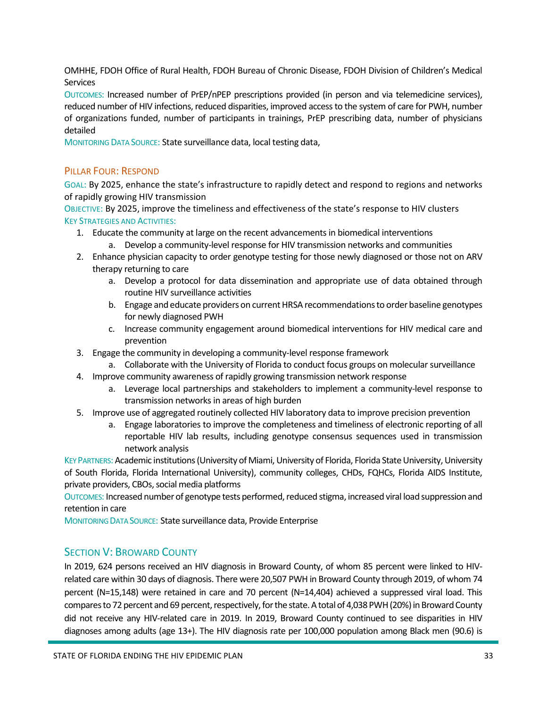OMHHE, FDOH Office of Rural Health, FDOH Bureau of Chronic Disease, FDOH Division of Children's Medical **Services** 

OUTCOMES: Increased number of PrEP/nPEP prescriptions provided (in person and via telemedicine services), reduced number of HIV infections, reduced disparities, improved access to the system of care for PWH, number of organizations funded, number of participants in trainings, PrEP prescribing data, number of physicians detailed

MONITORING DATA SOURCE: State surveillance data, local testing data,

#### PILLAR FOUR: RESPOND

GOAL: By 2025, enhance the state's infrastructure to rapidly detect and respond to regions and networks of rapidly growing HIV transmission

OBJECTIVE: By 2025, improve the timeliness and effectiveness of the state's response to HIV clusters KEY STRATEGIES AND ACTIVITIES:

- 1. Educate the community at large on the recent advancements in biomedical interventions
	- a. Develop a community-level response for HIV transmission networks and communities
- 2. Enhance physician capacity to order genotype testing for those newly diagnosed or those not on ARV therapy returning to care
	- a. Develop a protocol for data dissemination and appropriate use of data obtained through routine HIV surveillance activities
	- b. Engage and educate providers on current HRSA recommendations to order baseline genotypes for newly diagnosed PWH
	- c. Increase community engagement around biomedical interventions for HIV medical care and prevention
- 3. Engage the community in developing a community-level response framework
- a. Collaborate with the University of Florida to conduct focus groups on molecular surveillance
- 4. Improve community awareness of rapidly growing transmission network response
	- a. Leverage local partnerships and stakeholders to implement a community-level response to transmission networks in areas of high burden
- 5. Improve use of aggregated routinely collected HIV laboratory data to improve precision prevention
	- a. Engage laboratories to improve the completeness and timeliness of electronic reporting of all reportable HIV lab results, including genotype consensus sequences used in transmission network analysis

KEY PARTNERS: Academic institutions (University of Miami, University of Florida, Florida State University, University of South Florida, Florida International University), community colleges, CHDs, FQHCs, Florida AIDS Institute, private providers, CBOs, social media platforms

OUTCOMES: Increased number of genotype tests performed, reduced stigma, increased viral load suppression and retention in care

MONITORING DATA SOURCE: State surveillance data, Provide Enterprise

### SECTION V: BROWARD COUNTY

In 2019, 624 persons received an HIV diagnosis in Broward County, of whom 85 percent were linked to HIVrelated care within 30 days of diagnosis. There were 20,507 PWH in Broward County through 2019, of whom 74 percent (N=15,148) were retained in care and 70 percent (N=14,404) achieved a suppressed viral load. This compares to 72 percent and 69 percent, respectively, for the state. A total of 4,038 PWH (20%) in Broward County did not receive any HIV-related care in 2019. In 2019, Broward County continued to see disparities in HIV diagnoses among adults (age 13+). The HIV diagnosis rate per 100,000 population among Black men (90.6) is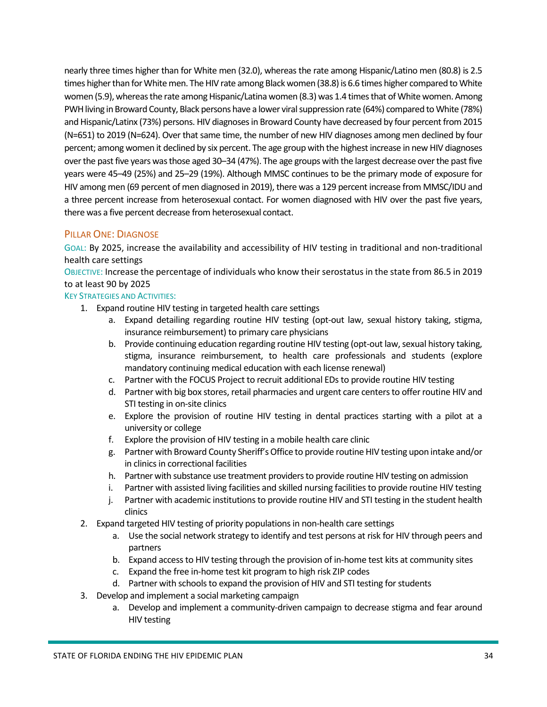nearly three times higher than for White men (32.0), whereas the rate among Hispanic/Latino men (80.8) is 2.5 times higher than for White men. The HIV rate among Black women (38.8) is 6.6 times higher compared to White women (5.9), whereas the rate among Hispanic/Latina women (8.3) was 1.4 times that of White women. Among PWH living in Broward County, Black persons have a lower viral suppression rate (64%) compared to White (78%) and Hispanic/Latinx (73%) persons. HIV diagnoses in Broward County have decreased by four percent from 2015 (N=651) to 2019 (N=624). Over that same time, the number of new HIV diagnoses among men declined by four percent; among women it declined by six percent. The age group with the highest increase in new HIV diagnoses over the past five years was those aged 30–34 (47%). The age groups with the largest decrease over the past five years were 45–49 (25%) and 25–29 (19%). Although MMSC continues to be the primary mode of exposure for HIV among men (69 percent of men diagnosed in 2019), there was a 129 percent increase from MMSC/IDU and a three percent increase from heterosexual contact. For women diagnosed with HIV over the past five years, there was a five percent decrease from heterosexual contact.

### PILLAR ONE: DIAGNOSE

GOAL: By 2025, increase the availability and accessibility of HIV testing in traditional and non-traditional health care settings

OBJECTIVE: Increase the percentage of individuals who know their serostatus in the state from 86.5 in 2019 to at least 90 by 2025

- 1. Expand routine HIV testing in targeted health care settings
	- a. Expand detailing regarding routine HIV testing (opt-out law, sexual history taking, stigma, insurance reimbursement) to primary care physicians
	- b. Provide continuing education regarding routine HIV testing (opt-out law, sexual history taking, stigma, insurance reimbursement, to health care professionals and students (explore mandatory continuing medical education with each license renewal)
	- c. Partner with the FOCUS Project to recruit additional EDs to provide routine HIV testing
	- d. Partner with big box stores, retail pharmacies and urgent care centers to offer routine HIV and STI testing in on-site clinics
	- e. Explore the provision of routine HIV testing in dental practices starting with a pilot at a university or college
	- f. Explore the provision of HIV testing in a mobile health care clinic
	- g. Partner with Broward County Sheriff's Office to provide routine HIV testing upon intake and/or in clinics in correctional facilities
	- h. Partner with substance use treatment providers to provide routine HIV testing on admission
	- i. Partner with assisted living facilities and skilled nursing facilities to provide routine HIV testing
	- j. Partner with academic institutions to provide routine HIV and STI testing in the student health clinics
- 2. Expand targeted HIV testing of priority populations in non-health care settings
	- a. Use the social network strategy to identify and test persons at risk for HIV through peers and partners
	- b. Expand access to HIV testing through the provision of in-home test kits at community sites
	- c. Expand the free in-home test kit program to high risk ZIP codes
	- d. Partner with schools to expand the provision of HIV and STI testing for students
- 3. Develop and implement a social marketing campaign
	- a. Develop and implement a community-driven campaign to decrease stigma and fear around HIV testing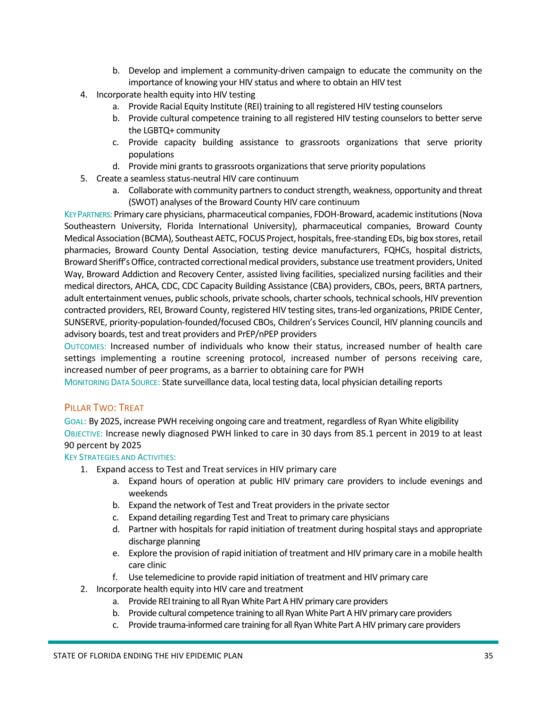- b. Develop and implement a community-driven campaign to educate the community on the importance of knowing your HIV status and where to obtain an HIV test
- 4. Incorporate health equity into HIV testing
	- a. Provide Racial Equity Institute (REI) training to all registered HIV testing counselors
	- b. Provide cultural competence training to all registered HIV testing counselors to better serve the LGBTQ+ community
	- c. Provide capacity building assistance to grassroots organizations that serve priority populations
	- d. Provide mini grants to grassroots organizations that serve priority populations
- 5. Create a seamless status-neutral HIV care continuum
	- a. Collaborate with community partners to conduct strength, weakness, opportunity and threat (SWOT) analyses of the Broward County HIV care continuum

KEY PARTNERS: Primary care physicians, pharmaceutical companies, FDOH-Broward, academic institutions (Nova Southeastern University, Florida International University), pharmaceutical companies, Broward County Medical Association (BCMA), Southeast AETC, FOCUS Project, hospitals, free-standing EDs, big box stores, retail pharmacies, Broward County Dental Association, testing device manufacturers, FQHCs, hospital districts, Broward Sheriff's Office, contracted correctional medical providers, substance use treatment providers, United Way, Broward Addiction and Recovery Center, assisted living facilities, specialized nursing facilities and their medical directors, AHCA, CDC, CDC Capacity Building Assistance (CBA) providers, CBOs, peers, BRTA partners, adult entertainment venues, public schools, private schools, charter schools, technical schools, HIV prevention contracted providers, REI, Broward County, registered HIV testing sites, trans-led organizations, PRIDE Center, SUNSERVE, priority-population-founded/focused CBOs, Children's Services Council, HIV planning councils and advisory boards, test and treat providers and PrEP/nPEP providers

OUTCOMES: Increased number of individuals who know their status, increased number of health care settings implementing a routine screening protocol, increased number of persons receiving care, increased number of peer programs, as a barrier to obtaining care for PWH

MONITORING DATA SOURCE: State surveillance data, local testing data, local physician detailing reports

### PILLAR TWO: TREAT

GOAL: By 2025, increase PWH receiving ongoing care and treatment, regardless of Ryan White eligibility OBJECTIVE: Increase newly diagnosed PWH linked to care in 30 days from 85.1 percent in 2019 to at least 90 percent by 2025

- 1. Expand access to Test and Treat services in HIV primary care
	- a. Expand hours of operation at public HIV primary care providers to include evenings and weekends
	- b. Expand the network of Test and Treat providers in the private sector
	- c. Expand detailing regarding Test and Treat to primary care physicians
	- d. Partner with hospitals for rapid initiation of treatment during hospital stays and appropriate discharge planning
	- e. Explore the provision of rapid initiation of treatment and HIV primary care in a mobile health care clinic
	- f. Use telemedicine to provide rapid initiation of treatment and HIV primary care
- 2. Incorporate health equity into HIV care and treatment
	- a. Provide REI training to all Ryan White Part A HIV primary care providers
	- b. Provide cultural competence training to all Ryan White Part A HIV primary care providers
	- c. Provide trauma-informed care training for all Ryan White Part A HIV primary care providers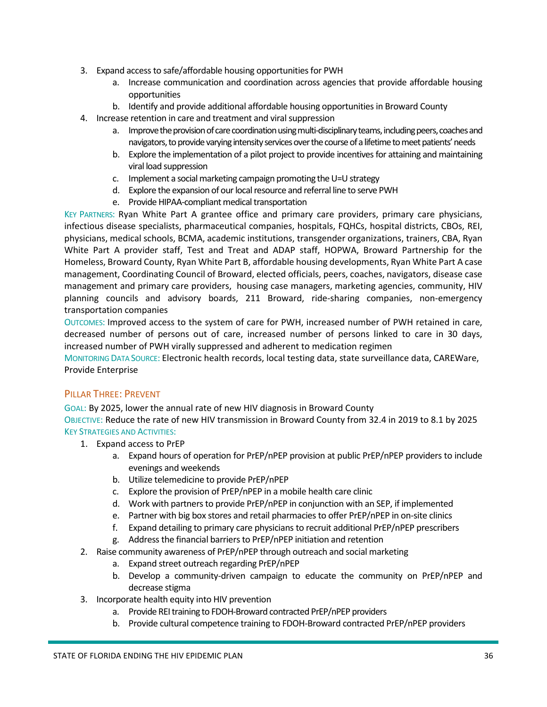- 3. Expand access to safe/affordable housing opportunities for PWH
	- a. Increase communication and coordination across agencies that provide affordable housing opportunities
	- b. Identify and provide additional affordable housing opportunities in Broward County
- 4. Increase retention in care and treatment and viral suppression
	- a. Improve the provision of care coordination using multi-disciplinary teams,including peers, coaches and navigators, to provide varying intensity services over the course of a lifetime to meet patients' needs
	- b. Explore the implementation of a pilot project to provide incentives for attaining and maintaining viral load suppression
	- c. Implement a social marketing campaign promoting the U=U strategy
	- d. Explore the expansion of our local resource and referral line to serve PWH
	- e. Provide HIPAA-compliant medical transportation

KEY PARTNERS: Ryan White Part A grantee office and primary care providers, primary care physicians, infectious disease specialists, pharmaceutical companies, hospitals, FQHCs, hospital districts, CBOs, REI, physicians, medical schools, BCMA, academic institutions, transgender organizations, trainers, CBA, Ryan White Part A provider staff, Test and Treat and ADAP staff, HOPWA, Broward Partnership for the Homeless, Broward County, Ryan White Part B, affordable housing developments, Ryan White Part A case management, Coordinating Council of Broward, elected officials, peers, coaches, navigators, disease case management and primary care providers, housing case managers, marketing agencies, community, HIV planning councils and advisory boards, 211 Broward, ride-sharing companies, non-emergency transportation companies

OUTCOMES: Improved access to the system of care for PWH, increased number of PWH retained in care, decreased number of persons out of care, increased number of persons linked to care in 30 days, increased number of PWH virally suppressed and adherent to medication regimen

MONITORING DATA SOURCE: Electronic health records, local testing data, state surveillance data, CAREWare, Provide Enterprise

### PILLAR THREE: PREVENT

GOAL: By 2025, lower the annual rate of new HIV diagnosis in Broward County OBJECTIVE: Reduce the rate of new HIV transmission in Broward County from 32.4 in 2019 to 8.1 by 2025 KEY STRATEGIES AND ACTIVITIES:

- 1. Expand access to PrEP
	- a. Expand hours of operation for PrEP/nPEP provision at public PrEP/nPEP providers to include evenings and weekends
	- b. Utilize telemedicine to provide PrEP/nPEP
	- c. Explore the provision of PrEP/nPEP in a mobile health care clinic
	- d. Work with partners to provide PrEP/nPEP in conjunction with an SEP, if implemented
	- e. Partner with big box stores and retail pharmacies to offer PrEP/nPEP in on-site clinics
	- f. Expand detailing to primary care physicians to recruit additional PrEP/nPEP prescribers
	- g. Address the financial barriers to PrEP/nPEP initiation and retention
- 2. Raise community awareness of PrEP/nPEP through outreach and social marketing
	- a. Expand street outreach regarding PrEP/nPEP
	- b. Develop a community-driven campaign to educate the community on PrEP/nPEP and decrease stigma
- 3. Incorporate health equity into HIV prevention
	- a. Provide REI training to FDOH-Broward contracted PrEP/nPEP providers
	- b. Provide cultural competence training to FDOH-Broward contracted PrEP/nPEP providers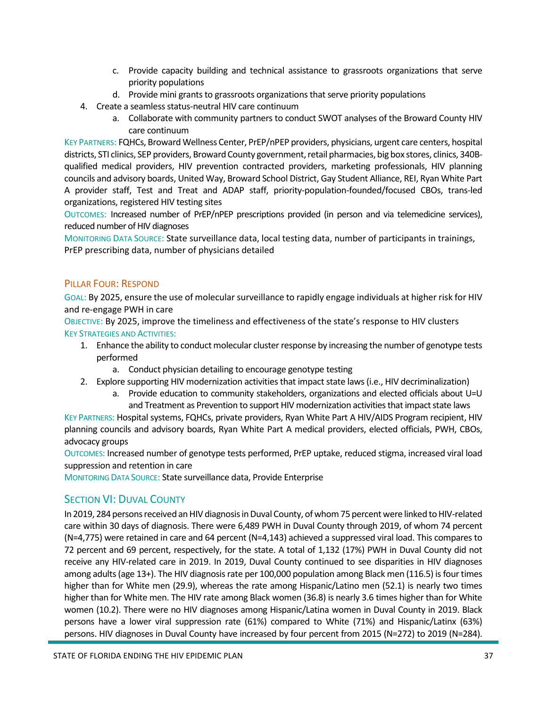- c. Provide capacity building and technical assistance to grassroots organizations that serve priority populations
- d. Provide mini grants to grassroots organizations that serve priority populations
- 4. Create a seamless status-neutral HIV care continuum
	- a. Collaborate with community partners to conduct SWOT analyses of the Broward County HIV care continuum

KEY PARTNERS: FQHCs, Broward Wellness Center, PrEP/nPEP providers, physicians, urgent care centers, hospital districts, STI clinics, SEP providers, Broward County government, retail pharmacies, big box stores, clinics, 340Bqualified medical providers, HIV prevention contracted providers, marketing professionals, HIV planning councils and advisory boards, United Way, Broward School District, Gay Student Alliance, REI, Ryan White Part A provider staff, Test and Treat and ADAP staff, priority-population-founded/focused CBOs, trans-led organizations, registered HIV testing sites

OUTCOMES: Increased number of PrEP/nPEP prescriptions provided (in person and via telemedicine services), reduced number of HIV diagnoses

MONITORING DATA SOURCE: State surveillance data, local testing data, number of participants in trainings, PrEP prescribing data, number of physicians detailed

#### PILLAR FOUR: RESPOND

GOAL: By 2025, ensure the use of molecular surveillance to rapidly engage individuals at higher risk for HIV and re-engage PWH in care

OBJECTIVE: By 2025, improve the timeliness and effectiveness of the state's response to HIV clusters KEY STRATEGIES AND ACTIVITIES:

- 1. Enhance the ability to conduct molecular cluster response by increasing the number of genotype tests performed
	- a. Conduct physician detailing to encourage genotype testing
- 2. Explore supporting HIV modernization activities that impact state laws (i.e., HIV decriminalization)
	- a. Provide education to community stakeholders, organizations and elected officials about U=U and Treatment as Prevention to support HIV modernization activities that impact state laws

KEY PARTNERS: Hospital systems, FQHCs, private providers, Ryan White Part A HIV/AIDS Program recipient, HIV planning councils and advisory boards, Ryan White Part A medical providers, elected officials, PWH, CBOs, advocacy groups

OUTCOMES: Increased number of genotype tests performed, PrEP uptake, reduced stigma, increased viral load suppression and retention in care

MONITORING DATA SOURCE: State surveillance data, Provide Enterprise

### **SECTION VI: DUVAL COUNTY**

In 2019, 284 persons received an HIV diagnosis in Duval County, of whom 75 percent were linked to HIV-related care within 30 days of diagnosis. There were 6,489 PWH in Duval County through 2019, of whom 74 percent (N=4,775) were retained in care and 64 percent (N=4,143) achieved a suppressed viral load. This compares to 72 percent and 69 percent, respectively, for the state. A total of 1,132 (17%) PWH in Duval County did not receive any HIV-related care in 2019. In 2019, Duval County continued to see disparities in HIV diagnoses among adults (age 13+). The HIV diagnosis rate per 100,000 population among Black men (116.5) is four times higher than for White men (29.9), whereas the rate among Hispanic/Latino men (52.1) is nearly two times higher than for White men. The HIV rate among Black women (36.8) is nearly 3.6 times higher than for White women (10.2). There were no HIV diagnoses among Hispanic/Latina women in Duval County in 2019. Black persons have a lower viral suppression rate (61%) compared to White (71%) and Hispanic/Latinx (63%) persons. HIV diagnoses in Duval County have increased by four percent from 2015 (N=272) to 2019 (N=284).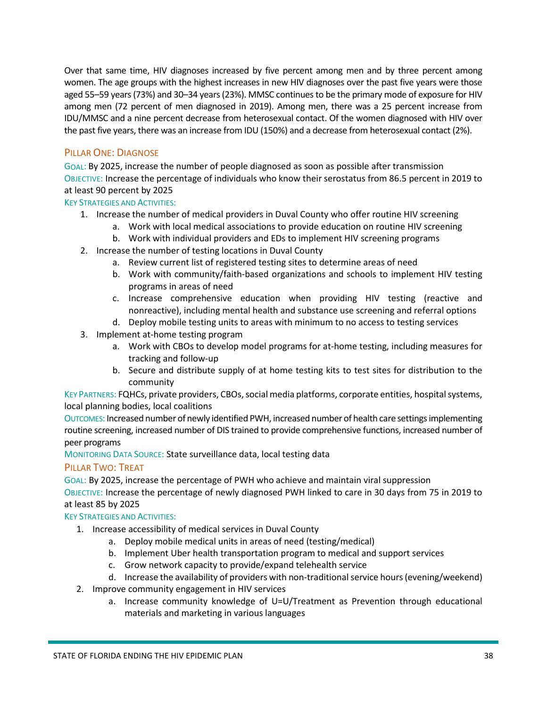Over that same time, HIV diagnoses increased by five percent among men and by three percent among women. The age groups with the highest increases in new HIV diagnoses over the past five years were those aged 55–59 years (73%) and 30–34 years (23%). MMSC continues to be the primary mode of exposure for HIV among men (72 percent of men diagnosed in 2019). Among men, there was a 25 percent increase from IDU/MMSC and a nine percent decrease from heterosexual contact. Of the women diagnosed with HIV over the past five years, there was an increase from IDU (150%) and a decrease from heterosexual contact (2%).

### PILLAR ONE: DIAGNOSE

GOAL: By 2025, increase the number of people diagnosed as soon as possible after transmission OBJECTIVE: Increase the percentage of individuals who know their serostatus from 86.5 percent in 2019 to at least 90 percent by 2025

### KEY STRATEGIES AND ACTIVITIES:

- 1. Increase the number of medical providers in Duval County who offer routine HIV screening
	- a. Work with local medical associations to provide education on routine HIV screening
	- b. Work with individual providers and EDs to implement HIV screening programs
- 2. Increase the number of testing locations in Duval County
	- a. Review current list of registered testing sites to determine areas of need
	- b. Work with community/faith-based organizations and schools to implement HIV testing programs in areas of need
	- c. Increase comprehensive education when providing HIV testing (reactive and nonreactive), including mental health and substance use screening and referral options
	- d. Deploy mobile testing units to areas with minimum to no access to testing services
- 3. Implement at-home testing program
	- a. Work with CBOs to develop model programs for at-home testing, including measures for tracking and follow-up
	- b. Secure and distribute supply of at home testing kits to test sites for distribution to the community

KEY PARTNERS: FQHCs, private providers, CBOs, social media platforms, corporate entities, hospital systems, local planning bodies, local coalitions

OUTCOMES: Increased number of newly identified PWH, increased number of health care settings implementing routine screening, increased number of DIS trained to provide comprehensive functions, increased number of peer programs

MONITORING DATA SOURCE: State surveillance data, local testing data

### PILLAR TWO: TREAT

GOAL: By 2025, increase the percentage of PWH who achieve and maintain viral suppression

OBJECTIVE: Increase the percentage of newly diagnosed PWH linked to care in 30 days from 75 in 2019 to at least 85 by 2025

- 1. Increase accessibility of medical services in Duval County
	- a. Deploy mobile medical units in areas of need (testing/medical)
	- b. Implement Uber health transportation program to medical and support services
	- c. Grow network capacity to provide/expand telehealth service
	- d. Increase the availability of providers with non-traditional service hours (evening/weekend)
- 2. Improve community engagement in HIV services
	- a. Increase community knowledge of U=U/Treatment as Prevention through educational materials and marketing in various languages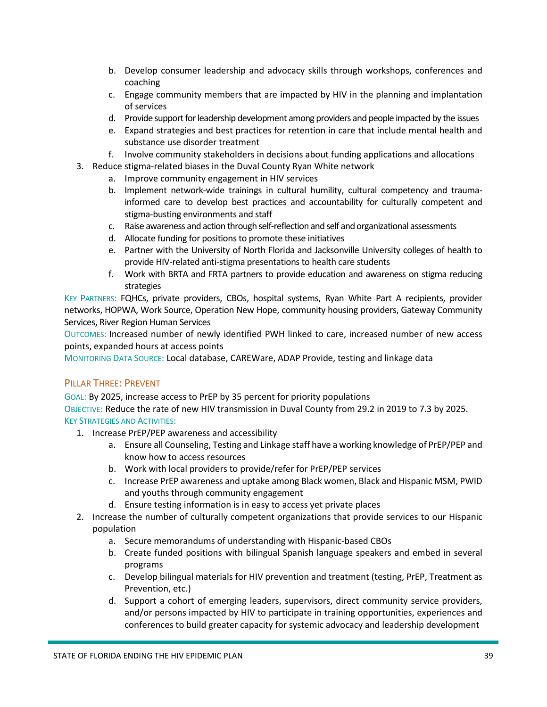- b. Develop consumer leadership and advocacy skills through workshops, conferences and coaching
- c. Engage community members that are impacted by HIV in the planning and implantation of services
- d. Provide support for leadership development among providers and people impacted by the issues
- e. Expand strategies and best practices for retention in care that include mental health and substance use disorder treatment
- f. Involve community stakeholders in decisions about funding applications and allocations
- 3. Reduce stigma-related biases in the Duval County Ryan White network
	- a. Improve community engagement in HIV services
	- b. Implement network-wide trainings in cultural humility, cultural competency and traumainformed care to develop best practices and accountability for culturally competent and stigma-busting environments and staff
	- c. Raise awareness and action through self-reflection and self and organizational assessments
	- d. Allocate funding for positions to promote these initiatives
	- e. Partner with the University of North Florida and Jacksonville University colleges of health to provide HIV-related anti-stigma presentations to health care students
	- f. Work with BRTA and FRTA partners to provide education and awareness on stigma reducing strategies

KEY PARTNERS: FQHCs, private providers, CBOs, hospital systems, Ryan White Part A recipients, provider networks, HOPWA, Work Source, Operation New Hope, community housing providers, Gateway Community Services, River Region Human Services

OUTCOMES: Increased number of newly identified PWH linked to care, increased number of new access points, expanded hours at access points

MONITORING DATA SOURCE: Local database, CAREWare, ADAP Provide, testing and linkage data

### PILLAR THREE: PREVENT

GOAL: By 2025, increase access to PrEP by 35 percent for priority populations OBJECTIVE: Reduce the rate of new HIV transmission in Duval County from 29.2 in 2019 to 7.3 by 2025. KEY STRATEGIES AND ACTIVITIES:

- 1. Increase PrEP/PEP awareness and accessibility
	- a. Ensure all Counseling, Testing and Linkage staff have a working knowledge of PrEP/PEP and know how to access resources
	- b. Work with local providers to provide/refer for PrEP/PEP services
	- c. Increase PrEP awareness and uptake among Black women, Black and Hispanic MSM, PWID and youths through community engagement
	- d. Ensure testing information is in easy to access yet private places
- 2. Increase the number of culturally competent organizations that provide services to our Hispanic population
	- a. Secure memorandums of understanding with Hispanic-based CBOs
	- b. Create funded positions with bilingual Spanish language speakers and embed in several programs
	- c. Develop bilingual materials for HIV prevention and treatment (testing, PrEP, Treatment as Prevention, etc.)
	- d. Support a cohort of emerging leaders, supervisors, direct community service providers, and/or persons impacted by HIV to participate in training opportunities, experiences and conferences to build greater capacity for systemic advocacy and leadership development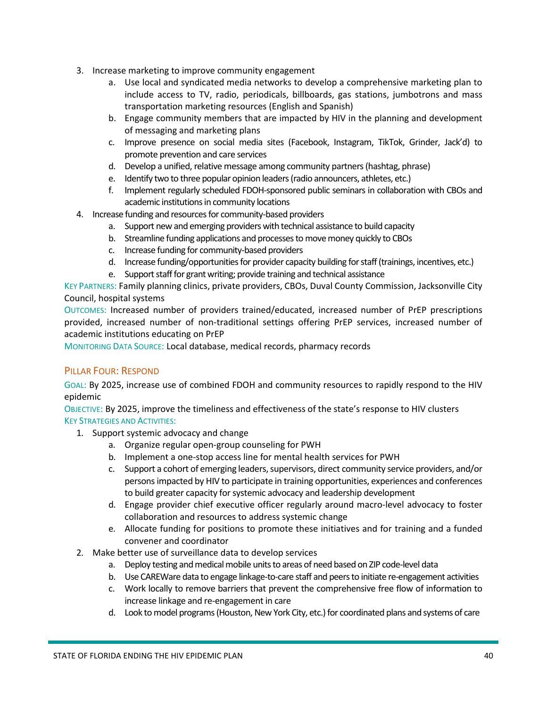- 3. Increase marketing to improve community engagement
	- a. Use local and syndicated media networks to develop a comprehensive marketing plan to include access to TV, radio, periodicals, billboards, gas stations, jumbotrons and mass transportation marketing resources (English and Spanish)
	- b. Engage community members that are impacted by HIV in the planning and development of messaging and marketing plans
	- c. Improve presence on social media sites (Facebook, Instagram, TikTok, Grinder, Jack'd) to promote prevention and care services
	- d. Develop a unified, relative message among community partners (hashtag, phrase)
	- e. Identify two to three popular opinion leaders (radio announcers, athletes, etc.)
	- f. Implement regularly scheduled FDOH-sponsored public seminars in collaboration with CBOs and academic institutions in community locations
- 4. Increase funding and resources for community-based providers
	- a. Support new and emerging providers with technical assistance to build capacity
	- b. Streamline funding applications and processes to move money quickly to CBOs
	- c. Increase funding for community-based providers
	- d. Increase funding/opportunitiesfor provider capacity building for staff (trainings, incentives, etc.)
	- e. Support staff for grant writing; provide training and technical assistance

KEY PARTNERS: Family planning clinics, private providers, CBOs, Duval County Commission, Jacksonville City Council, hospital systems

OUTCOMES: Increased number of providers trained/educated, increased number of PrEP prescriptions provided, increased number of non-traditional settings offering PrEP services, increased number of academic institutions educating on PrEP

MONITORING DATA SOURCE: Local database, medical records, pharmacy records

### PILLAR FOUR: RESPOND

GOAL: By 2025, increase use of combined FDOH and community resources to rapidly respond to the HIV epidemic

OBJECTIVE: By 2025, improve the timeliness and effectiveness of the state's response to HIV clusters KEY STRATEGIES AND ACTIVITIES:

- 1. Support systemic advocacy and change
	- a. Organize regular open-group counseling for PWH
	- b. Implement a one-stop access line for mental health services for PWH
	- c. Support a cohort of emerging leaders, supervisors, direct community service providers, and/or persons impacted by HIV to participate in training opportunities, experiences and conferences to build greater capacity for systemic advocacy and leadership development
	- d. Engage provider chief executive officer regularly around macro-level advocacy to foster collaboration and resources to address systemic change
	- e. Allocate funding for positions to promote these initiatives and for training and a funded convener and coordinator
- 2. Make better use of surveillance data to develop services
	- a. Deploy testing and medical mobile units to areas of need based on ZIP code-level data
	- b. Use CAREWare data to engage linkage-to-care staff and peers to initiate re-engagement activities
	- c. Work locally to remove barriers that prevent the comprehensive free flow of information to increase linkage and re-engagement in care
	- d. Look to model programs (Houston, New York City, etc.) for coordinated plans and systems of care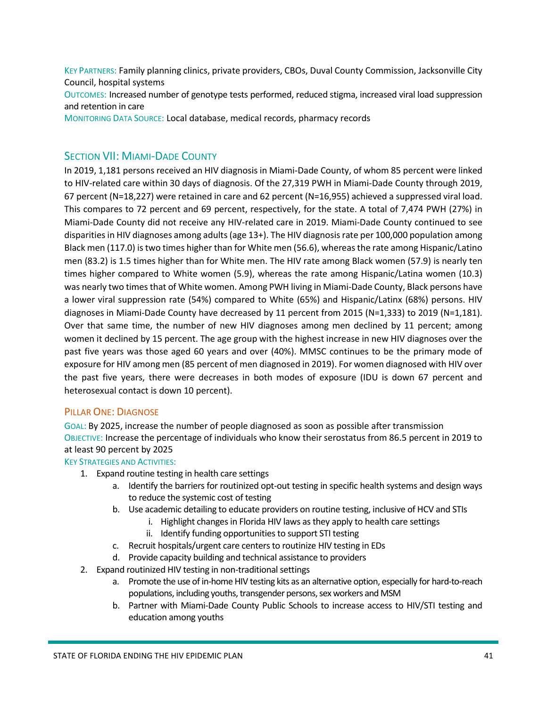KEY PARTNERS: Family planning clinics, private providers, CBOs, Duval County Commission, Jacksonville City Council, hospital systems

OUTCOMES: Increased number of genotype tests performed, reduced stigma, increased viral load suppression and retention in care

MONITORING DATA SOURCE: Local database, medical records, pharmacy records

### SECTION VII: MIAMI-DADE COUNTY

In 2019, 1,181 persons received an HIV diagnosis in Miami-Dade County, of whom 85 percent were linked to HIV-related care within 30 days of diagnosis. Of the 27,319 PWH in Miami-Dade County through 2019, 67 percent (N=18,227) were retained in care and 62 percent (N=16,955) achieved a suppressed viral load. This compares to 72 percent and 69 percent, respectively, for the state. A total of 7,474 PWH (27%) in Miami-Dade County did not receive any HIV-related care in 2019. Miami-Dade County continued to see disparities in HIV diagnoses among adults (age 13+). The HIV diagnosis rate per 100,000 population among Black men (117.0) is two times higher than for White men (56.6), whereas the rate among Hispanic/Latino men (83.2) is 1.5 times higher than for White men. The HIV rate among Black women (57.9) is nearly ten times higher compared to White women (5.9), whereas the rate among Hispanic/Latina women (10.3) was nearly two times that of White women. Among PWH living in Miami-Dade County, Black persons have a lower viral suppression rate (54%) compared to White (65%) and Hispanic/Latinx (68%) persons. HIV diagnoses in Miami-Dade County have decreased by 11 percent from 2015 (N=1,333) to 2019 (N=1,181). Over that same time, the number of new HIV diagnoses among men declined by 11 percent; among women it declined by 15 percent. The age group with the highest increase in new HIV diagnoses over the past five years was those aged 60 years and over (40%). MMSC continues to be the primary mode of exposure for HIV among men (85 percent of men diagnosed in 2019). For women diagnosed with HIV over the past five years, there were decreases in both modes of exposure (IDU is down 67 percent and heterosexual contact is down 10 percent).

### PILLAR ONE: DIAGNOSE

GOAL: By 2025, increase the number of people diagnosed as soon as possible after transmission OBJECTIVE: Increase the percentage of individuals who know their serostatus from 86.5 percent in 2019 to at least 90 percent by 2025

- 1. Expand routine testing in health care settings
	- a. Identify the barriers for routinized opt-out testing in specific health systems and design ways to reduce the systemic cost of testing
	- b. Use academic detailing to educate providers on routine testing, inclusive of HCV and STIs
		- i. Highlight changes in Florida HIV laws as they apply to health care settings
		- ii. Identify funding opportunities to support STI testing
	- c. Recruit hospitals/urgent care centers to routinize HIV testing in EDs
	- d. Provide capacity building and technical assistance to providers
- 2. Expand routinized HIV testing in non-traditional settings
	- a. Promote the use of in-home HIV testing kits as an alternative option, especially for hard-to-reach populations, including youths, transgender persons, sex workers and MSM
	- b. Partner with Miami-Dade County Public Schools to increase access to HIV/STI testing and education among youths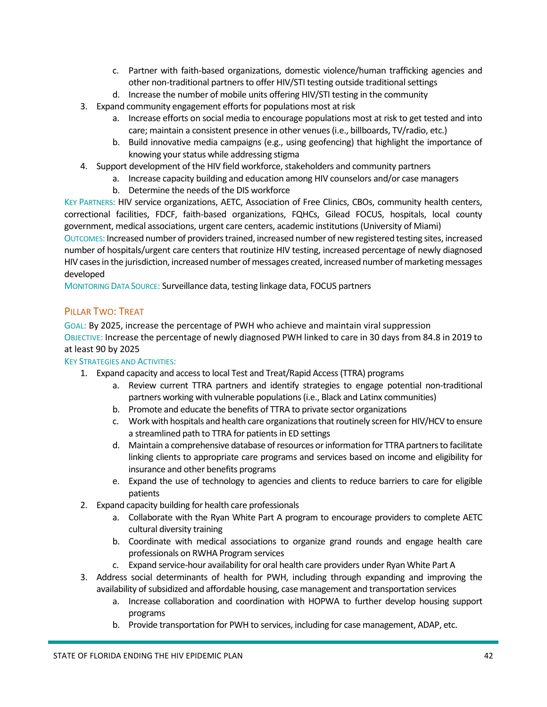- c. Partner with faith-based organizations, domestic violence/human trafficking agencies and other non-traditional partners to offer HIV/STI testing outside traditional settings
- d. Increase the number of mobile units offering HIV/STI testing in the community
- 3. Expand community engagement efforts for populations most at risk
	- a. Increase efforts on social media to encourage populations most at risk to get tested and into care; maintain a consistent presence in other venues (i.e., billboards, TV/radio, etc.)
	- b. Build innovative media campaigns (e.g., using geofencing) that highlight the importance of knowing your status while addressing stigma
- 4. Support development of the HIV field workforce, stakeholders and community partners
	- a. Increase capacity building and education among HIV counselors and/or case managers
	- b. Determine the needs of the DIS workforce

KEY PARTNERS: HIV service organizations, AETC, Association of Free Clinics, CBOs, community health centers, correctional facilities, FDCF, faith-based organizations, FQHCs, Gilead FOCUS, hospitals, local county government, medical associations, urgent care centers, academic institutions(University of Miami)

OUTCOMES: Increased number of providers trained, increased number of new registered testing sites, increased number of hospitals/urgent care centers that routinize HIV testing, increased percentage of newly diagnosed HIV cases in the jurisdiction, increased number of messages created, increased number of marketing messages developed

MONITORING DATA SOURCE: Surveillance data, testing linkage data, FOCUS partners

### PILLAR TWO: TREAT

GOAL: By 2025, increase the percentage of PWH who achieve and maintain viral suppression OBJECTIVE: Increase the percentage of newly diagnosed PWH linked to care in 30 days from 84.8 in 2019 to at least 90 by 2025

- 1. Expand capacity and access to local Test and Treat/Rapid Access (TTRA) programs
	- a. Review current TTRA partners and identify strategies to engage potential non-traditional partners working with vulnerable populations (i.e., Black and Latinx communities)
	- b. Promote and educate the benefits of TTRA to private sector organizations
	- c. Work with hospitals and health care organizations that routinely screen for HIV/HCV to ensure a streamlined path to TTRA for patients in ED settings
	- d. Maintain a comprehensive database of resources or information for TTRA partners to facilitate linking clients to appropriate care programs and services based on income and eligibility for insurance and other benefits programs
	- e. Expand the use of technology to agencies and clients to reduce barriers to care for eligible patients
- 2. Expand capacity building for health care professionals
	- a. Collaborate with the Ryan White Part A program to encourage providers to complete AETC cultural diversity training
	- b. Coordinate with medical associations to organize grand rounds and engage health care professionals on RWHA Program services
	- c. Expand service-hour availability for oral health care providers under Ryan White Part A
- 3. Address social determinants of health for PWH, including through expanding and improving the availability of subsidized and affordable housing, case management and transportation services
	- a. Increase collaboration and coordination with HOPWA to further develop housing support programs
	- b. Provide transportation for PWH to services, including for case management, ADAP, etc.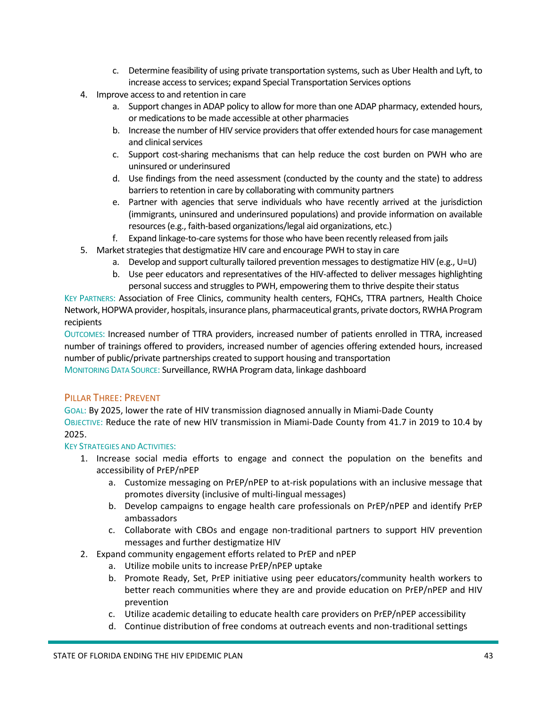- c. Determine feasibility of using private transportation systems, such as Uber Health and Lyft, to increase access to services; expand Special Transportation Services options
- 4. Improve access to and retention in care
	- a. Support changes in ADAP policy to allow for more than one ADAP pharmacy, extended hours, or medications to be made accessible at other pharmacies
	- b. Increase the number of HIV service providers that offer extended hours for case management and clinical services
	- c. Support cost-sharing mechanisms that can help reduce the cost burden on PWH who are uninsured or underinsured
	- d. Use findings from the need assessment (conducted by the county and the state) to address barriers to retention in care by collaborating with community partners
	- e. Partner with agencies that serve individuals who have recently arrived at the jurisdiction (immigrants, uninsured and underinsured populations) and provide information on available resources (e.g., faith-based organizations/legal aid organizations, etc.)
	- f. Expand linkage-to-care systems for those who have been recently released from jails
- 5. Market strategies that destigmatize HIV care and encourage PWH to stay in care
	- a. Develop and support culturally tailored prevention messages to destigmatize HIV (e.g., U=U)
	- b. Use peer educators and representatives of the HIV-affected to deliver messages highlighting personal success and struggles to PWH, empowering them to thrive despite their status

KEY PARTNERS: Association of Free Clinics, community health centers, FQHCs, TTRA partners, Health Choice Network, HOPWA provider, hospitals, insurance plans, pharmaceutical grants, private doctors, RWHA Program recipients

OUTCOMES: Increased number of TTRA providers, increased number of patients enrolled in TTRA, increased number of trainings offered to providers, increased number of agencies offering extended hours, increased number of public/private partnerships created to support housing and transportation MONITORING DATA SOURCE: Surveillance, RWHA Program data, linkage dashboard

### PILLAR THREE: PREVENT

GOAL: By 2025, lower the rate of HIV transmission diagnosed annually in Miami-Dade County OBJECTIVE: Reduce the rate of new HIV transmission in Miami-Dade County from 41.7 in 2019 to 10.4 by 2025.

- 1. Increase social media efforts to engage and connect the population on the benefits and accessibility of PrEP/nPEP
	- a. Customize messaging on PrEP/nPEP to at-risk populations with an inclusive message that promotes diversity (inclusive of multi-lingual messages)
	- b. Develop campaigns to engage health care professionals on PrEP/nPEP and identify PrEP ambassadors
	- c. Collaborate with CBOs and engage non-traditional partners to support HIV prevention messages and further destigmatize HIV
- 2. Expand community engagement efforts related to PrEP and nPEP
	- a. Utilize mobile units to increase PrEP/nPEP uptake
	- b. Promote Ready, Set, PrEP initiative using peer educators/community health workers to better reach communities where they are and provide education on PrEP/nPEP and HIV prevention
	- c. Utilize academic detailing to educate health care providers on PrEP/nPEP accessibility
	- d. Continue distribution of free condoms at outreach events and non-traditional settings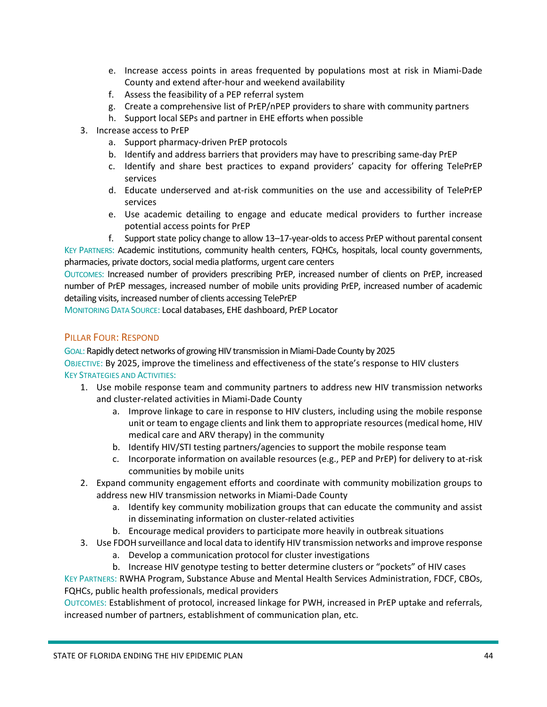- e. Increase access points in areas frequented by populations most at risk in Miami-Dade County and extend after-hour and weekend availability
- f. Assess the feasibility of a PEP referral system
- g. Create a comprehensive list of PrEP/nPEP providers to share with community partners
- h. Support local SEPs and partner in EHE efforts when possible
- 3. Increase access to PrEP
	- a. Support pharmacy-driven PrEP protocols
	- b. Identify and address barriers that providers may have to prescribing same-day PrEP
	- c. Identify and share best practices to expand providers' capacity for offering TelePrEP services
	- d. Educate underserved and at-risk communities on the use and accessibility of TelePrEP services
	- e. Use academic detailing to engage and educate medical providers to further increase potential access points for PrEP

f. Support state policy change to allow 13–17-year-olds to access PrEP without parental consent KEY PARTNERS: Academic institutions, community health centers, FQHCs, hospitals, local county governments, pharmacies, private doctors, social media platforms, urgent care centers

OUTCOMES: Increased number of providers prescribing PrEP, increased number of clients on PrEP, increased number of PrEP messages, increased number of mobile units providing PrEP, increased number of academic detailing visits, increased number of clients accessing TelePrEP

MONITORING DATA SOURCE: Local databases, EHE dashboard, PrEP Locator

#### PILLAR FOUR: RESPOND

GOAL: Rapidly detect networks of growing HIV transmission in Miami-Dade County by 2025 OBJECTIVE: By 2025, improve the timeliness and effectiveness of the state's response to HIV clusters KEY STRATEGIES AND ACTIVITIES:

- 1. Use mobile response team and community partners to address new HIV transmission networks and cluster-related activities in Miami-Dade County
	- a. Improve linkage to care in response to HIV clusters, including using the mobile response unit or team to engage clients and link them to appropriate resources (medical home, HIV medical care and ARV therapy) in the community
	- b. Identify HIV/STI testing partners/agencies to support the mobile response team
	- c. Incorporate information on available resources (e.g., PEP and PrEP) for delivery to at-risk communities by mobile units
- 2. Expand community engagement efforts and coordinate with community mobilization groups to address new HIV transmission networks in Miami-Dade County
	- a. Identify key community mobilization groups that can educate the community and assist in disseminating information on cluster-related activities
	- b. Encourage medical providers to participate more heavily in outbreak situations
- 3. Use FDOH surveillance and local data to identify HIV transmission networks and improve response a. Develop a communication protocol for cluster investigations
	- b. Increase HIV genotype testing to better determine clusters or "pockets" of HIV cases

KEY PARTNERS: RWHA Program, Substance Abuse and Mental Health Services Administration, FDCF, CBOs, FQHCs, public health professionals, medical providers

OUTCOMES: Establishment of protocol, increased linkage for PWH, increased in PrEP uptake and referrals, increased number of partners, establishment of communication plan, etc.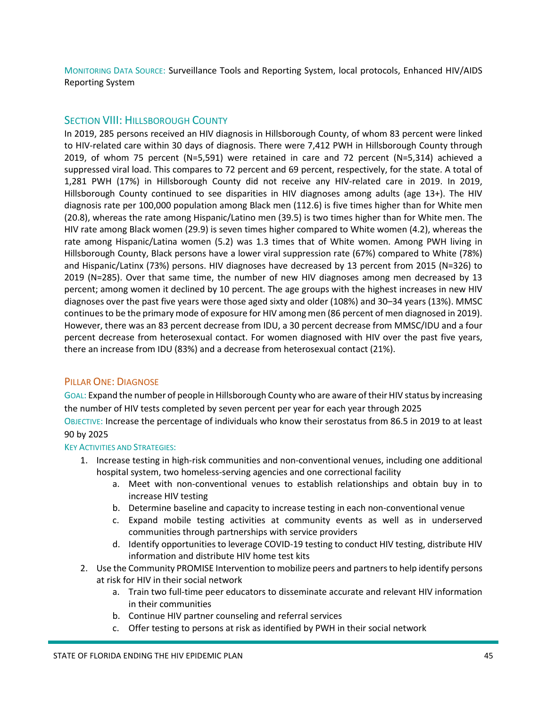MONITORING DATA SOURCE: Surveillance Tools and Reporting System, local protocols, Enhanced HIV/AIDS Reporting System

#### SECTION VIII: HILLSBOROUGH COUNTY

In 2019, 285 persons received an HIV diagnosis in Hillsborough County, of whom 83 percent were linked to HIV-related care within 30 days of diagnosis. There were 7,412 PWH in Hillsborough County through 2019, of whom 75 percent (N=5,591) were retained in care and 72 percent (N=5,314) achieved a suppressed viral load. This compares to 72 percent and 69 percent, respectively, for the state. A total of 1,281 PWH (17%) in Hillsborough County did not receive any HIV-related care in 2019. In 2019, Hillsborough County continued to see disparities in HIV diagnoses among adults (age 13+). The HIV diagnosis rate per 100,000 population among Black men (112.6) is five times higher than for White men (20.8), whereas the rate among Hispanic/Latino men (39.5) is two times higher than for White men. The HIV rate among Black women (29.9) is seven times higher compared to White women (4.2), whereas the rate among Hispanic/Latina women (5.2) was 1.3 times that of White women. Among PWH living in Hillsborough County, Black persons have a lower viral suppression rate (67%) compared to White (78%) and Hispanic/Latinx (73%) persons. HIV diagnoses have decreased by 13 percent from 2015 (N=326) to 2019 (N=285). Over that same time, the number of new HIV diagnoses among men decreased by 13 percent; among women it declined by 10 percent. The age groups with the highest increases in new HIV diagnoses over the past five years were those aged sixty and older (108%) and 30–34 years (13%). MMSC continues to be the primary mode of exposure for HIV among men (86 percent of men diagnosed in 2019). However, there was an 83 percent decrease from IDU, a 30 percent decrease from MMSC/IDU and a four percent decrease from heterosexual contact. For women diagnosed with HIV over the past five years, there an increase from IDU (83%) and a decrease from heterosexual contact (21%).

#### PILLAR ONE: DIAGNOSE

GOAL: Expand the number of people in Hillsborough County who are aware of their HIV status by increasing the number of HIV tests completed by seven percent per year for each year through 2025

OBJECTIVE: Increase the percentage of individuals who know their serostatus from 86.5 in 2019 to at least 90 by 2025

#### KEY ACTIVITIES AND STRATEGIES:

- 1. Increase testing in high-risk communities and non-conventional venues, including one additional hospital system, two homeless-serving agencies and one correctional facility
	- a. Meet with non-conventional venues to establish relationships and obtain buy in to increase HIV testing
	- b. Determine baseline and capacity to increase testing in each non-conventional venue
	- c. Expand mobile testing activities at community events as well as in underserved communities through partnerships with service providers
	- d. Identify opportunities to leverage COVID-19 testing to conduct HIV testing, distribute HIV information and distribute HIV home test kits
- 2. Use the Community PROMISE Intervention to mobilize peers and partners to help identify persons at risk for HIV in their social network
	- a. Train two full-time peer educators to disseminate accurate and relevant HIV information in their communities
	- b. Continue HIV partner counseling and referral services
	- c. Offer testing to persons at risk as identified by PWH in their social network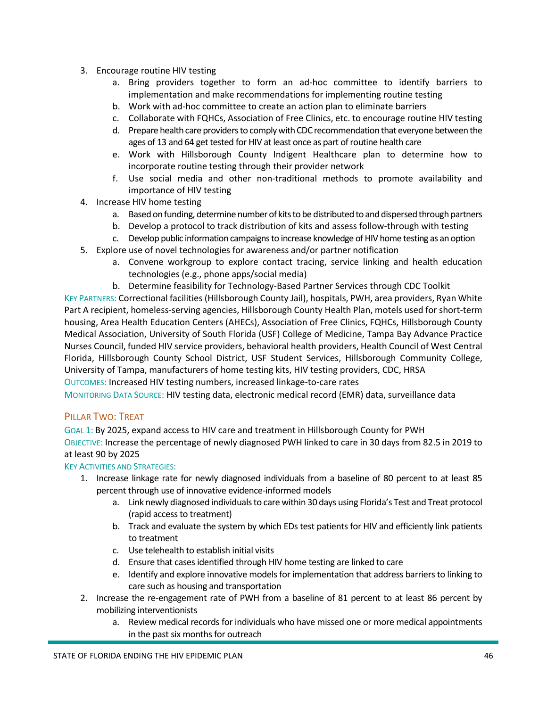- 3. Encourage routine HIV testing
	- a. Bring providers together to form an ad-hoc committee to identify barriers to implementation and make recommendations for implementing routine testing
	- b. Work with ad-hoc committee to create an action plan to eliminate barriers
	- c. Collaborate with FQHCs, Association of Free Clinics, etc. to encourage routine HIV testing
	- d. Prepare health care providers to comply with CDC recommendation that everyone between the ages of 13 and 64 get tested for HIV at least once as part of routine health care
	- e. Work with Hillsborough County Indigent Healthcare plan to determine how to incorporate routine testing through their provider network
	- f. Use social media and other non-traditional methods to promote availability and importance of HIV testing
- 4. Increase HIV home testing
	- a. Based on funding, determine number of kits to be distributed to and dispersed through partners
	- b. Develop a protocol to track distribution of kits and assess follow-through with testing
	- c. Develop public information campaigns to increase knowledge ofHIV home testing as an option
- 5. Explore use of novel technologies for awareness and/or partner notification
	- a. Convene workgroup to explore contact tracing, service linking and health education technologies (e.g., phone apps/social media)
	- b. Determine feasibility for Technology-Based Partner Services through CDC Toolkit

KEY PARTNERS: Correctional facilities (Hillsborough County Jail), hospitals, PWH, area providers, Ryan White Part A recipient, homeless-serving agencies, Hillsborough County Health Plan, motels used for short-term housing, Area Health Education Centers (AHECs), Association of Free Clinics, FQHCs, Hillsborough County Medical Association, University of South Florida (USF) College of Medicine, Tampa Bay Advance Practice Nurses Council, funded HIV service providers, behavioral health providers, Health Council of West Central Florida, Hillsborough County School District, USF Student Services, Hillsborough Community College, University of Tampa, manufacturers of home testing kits, HIV testing providers, CDC, HRSA

OUTCOMES: Increased HIV testing numbers, increased linkage-to-care rates

MONITORING DATA SOURCE: HIV testing data, electronic medical record (EMR) data, surveillance data

#### PILLAR TWO: TREAT

GOAL 1: By 2025, expand access to HIV care and treatment in Hillsborough County for PWH OBJECTIVE: Increase the percentage of newly diagnosed PWH linked to care in 30 days from 82.5 in 2019 to at least 90 by 2025

#### KEY ACTIVITIES AND STRATEGIES:

- 1. Increase linkage rate for newly diagnosed individuals from a baseline of 80 percent to at least 85 percent through use of innovative evidence-informed models
	- a. Link newly diagnosed individuals to care within 30 days using Florida's Test and Treat protocol (rapid access to treatment)
	- b. Track and evaluate the system by which EDs test patients for HIV and efficiently link patients to treatment
	- c. Use telehealth to establish initial visits
	- d. Ensure that cases identified through HIV home testing are linked to care
	- e. Identify and explore innovative models for implementation that address barriers to linking to care such as housing and transportation
- 2. Increase the re-engagement rate of PWH from a baseline of 81 percent to at least 86 percent by mobilizing interventionists
	- a. Review medical records for individuals who have missed one or more medical appointments in the past six months for outreach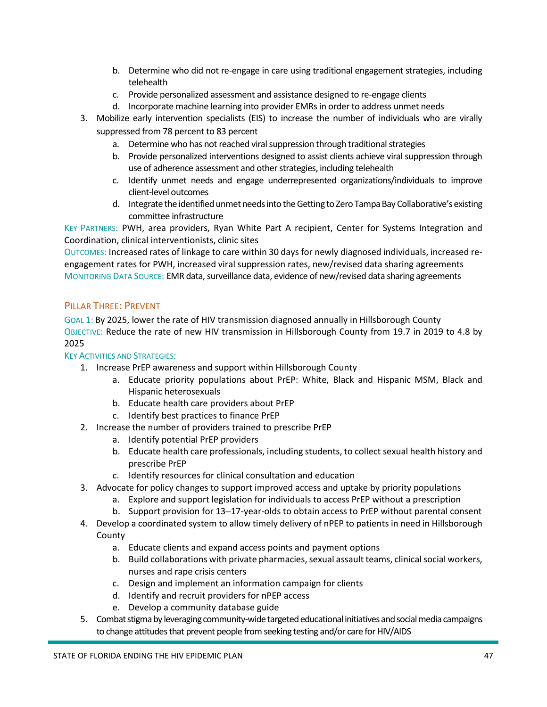- b. Determine who did not re-engage in care using traditional engagement strategies, including telehealth
- c. Provide personalized assessment and assistance designed to re-engage clients
- d. Incorporate machine learning into provider EMRs in order to address unmet needs
- 3. Mobilize early intervention specialists (EIS) to increase the number of individuals who are virally suppressed from 78 percent to 83 percent
	- a. Determine who has not reached viral suppression through traditional strategies
	- b. Provide personalized interventions designed to assist clients achieve viral suppression through use of adherence assessment and other strategies, including telehealth
	- c. Identify unmet needs and engage underrepresented organizations/individuals to improve client-level outcomes
	- d. Integrate the identified unmet needs into the Getting to Zero Tampa Bay Collaborative's existing committee infrastructure

KEY PARTNERS: PWH, area providers, Ryan White Part A recipient, Center for Systems Integration and Coordination, clinical interventionists, clinic sites

OUTCOMES: Increased rates of linkage to care within 30 days for newly diagnosed individuals, increased reengagement rates for PWH, increased viral suppression rates, new/revised data sharing agreements MONITORING DATA SOURCE: EMR data, surveillance data, evidence of new/revised data sharing agreements

### PILLAR THREE: PREVENT

GOAL 1: By 2025, lower the rate of HIV transmission diagnosed annually in Hillsborough County OBJECTIVE: Reduce the rate of new HIV transmission in Hillsborough County from 19.7 in 2019 to 4.8 by 2025

### KEY ACTIVITIES AND STRATEGIES:

- 1. Increase PrEP awareness and support within Hillsborough County
	- a. Educate priority populations about PrEP: White, Black and Hispanic MSM, Black and Hispanic heterosexuals
	- b. Educate health care providers about PrEP
	- c. Identify best practices to finance PrEP
- 2. Increase the number of providers trained to prescribe PrEP
	- a. Identify potential PrEP providers
	- b. Educate health care professionals, including students, to collect sexual health history and prescribe PrEP
	- c. Identify resources for clinical consultation and education
- 3. Advocate for policy changes to support improved access and uptake by priority populations
	- a. Explore and support legislation for individuals to access PrEP without a prescription
	- b. Support provision for 13–17-year-olds to obtain access to PrEP without parental consent
- 4. Develop a coordinated system to allow timely delivery of nPEP to patients in need in Hillsborough County
	- a. Educate clients and expand access points and payment options
	- b. Build collaborations with private pharmacies, sexual assault teams, clinical social workers, nurses and rape crisis centers
	- c. Design and implement an information campaign for clients
	- d. Identify and recruit providers for nPEP access
	- e. Develop a community database guide
- 5. Combat stigma by leveraging community-wide targeted educational initiatives and social media campaigns to change attitudes that prevent people from seeking testing and/or care for HIV/AIDS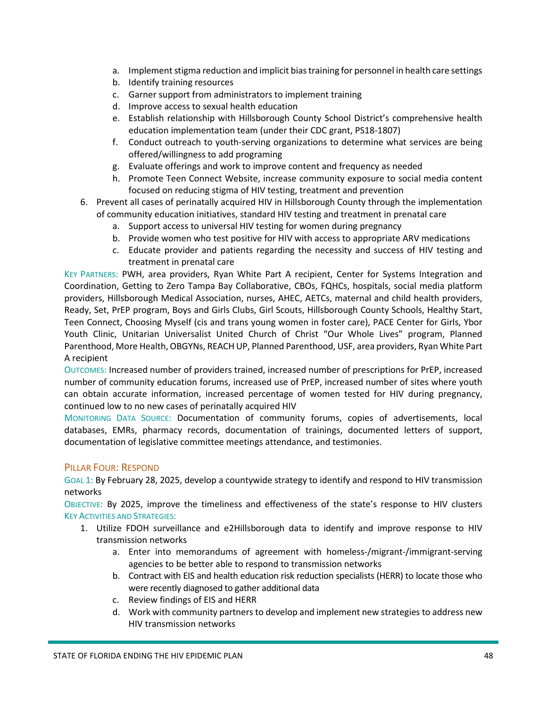- a. Implement stigma reduction and implicit bias training for personnel in health care settings
- b. Identify training resources
- c. Garner support from administrators to implement training
- d. Improve access to sexual health education
- e. Establish relationship with Hillsborough County School District's comprehensive health education implementation team (under their CDC grant, PS18-1807)
- f. Conduct outreach to youth-serving organizations to determine what services are being offered/willingness to add programing
- g. Evaluate offerings and work to improve content and frequency as needed
- h. Promote Teen Connect Website, increase community exposure to social media content focused on reducing stigma of HIV testing, treatment and prevention
- 6. Prevent all cases of perinatally acquired HIV in Hillsborough County through the implementation of community education initiatives, standard HIV testing and treatment in prenatal care
	- a. Support access to universal HIV testing for women during pregnancy
	- b. Provide women who test positive for HIV with access to appropriate ARV medications
	- c. Educate provider and patients regarding the necessity and success of HIV testing and treatment in prenatal care

KEY PARTNERS: PWH, area providers, Ryan White Part A recipient, Center for Systems Integration and Coordination, Getting to Zero Tampa Bay Collaborative, CBOs, FQHCs, hospitals, social media platform providers, Hillsborough Medical Association, nurses, AHEC, AETCs, maternal and child health providers, Ready, Set, PrEP program, Boys and Girls Clubs, Girl Scouts, Hillsborough County Schools, Healthy Start, Teen Connect, Choosing Myself (cis and trans young women in foster care), PACE Center for Girls, Ybor Youth Clinic, Unitarian Universalist United Church of Christ "Our Whole Lives" program, Planned Parenthood, More Health, OBGYNs, REACH UP, Planned Parenthood, USF, area providers, Ryan White Part A recipient

OUTCOMES: Increased number of providers trained, increased number of prescriptions for PrEP, increased number of community education forums, increased use of PrEP, increased number of sites where youth can obtain accurate information, increased percentage of women tested for HIV during pregnancy, continued low to no new cases of perinatally acquired HIV

MONITORING DATA SOURCE: Documentation of community forums, copies of advertisements, local databases, EMRs, pharmacy records, documentation of trainings, documented letters of support, documentation of legislative committee meetings attendance, and testimonies.

### PILLAR FOUR: RESPOND

GOAL 1: By February 28, 2025, develop a countywide strategy to identify and respond to HIV transmission networks

OBJECTIVE: By 2025, improve the timeliness and effectiveness of the state's response to HIV clusters KEY ACTIVITIES AND STRATEGIES:

- 1. Utilize FDOH surveillance and e2Hillsborough data to identify and improve response to HIV transmission networks
	- a. Enter into memorandums of agreement with homeless-/migrant-/immigrant-serving agencies to be better able to respond to transmission networks
	- b. Contract with EIS and health education risk reduction specialists (HERR) to locate those who were recently diagnosed to gather additional data
	- c. Review findings of EIS and HERR
	- d. Work with community partners to develop and implement new strategies to address new HIV transmission networks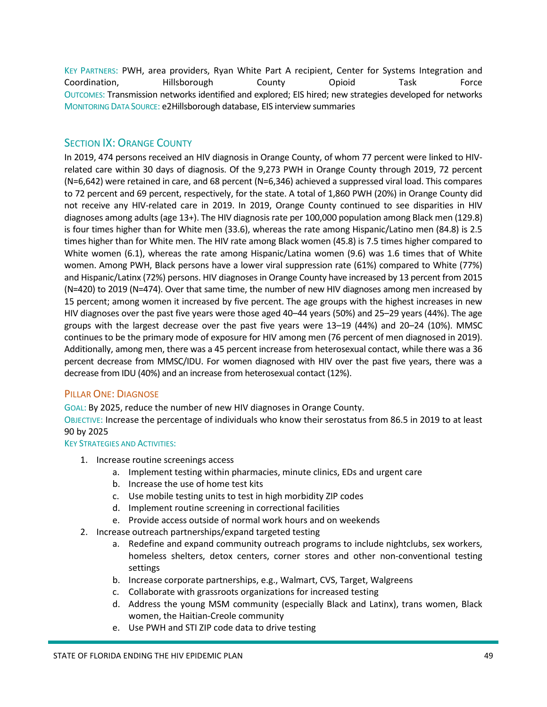KEY PARTNERS: PWH, area providers, Ryan White Part A recipient, Center for Systems Integration and Coordination, Hillsborough County Opioid Task Force OUTCOMES: Transmission networks identified and explored; EIS hired; new strategies developed for networks MONITORING DATA SOURCE: e2Hillsborough database, EIS interview summaries

### **SECTION IX: ORANGE COUNTY**

In 2019, 474 persons received an HIV diagnosis in Orange County, of whom 77 percent were linked to HIVrelated care within 30 days of diagnosis. Of the 9,273 PWH in Orange County through 2019, 72 percent (N=6,642) were retained in care, and 68 percent (N=6,346) achieved a suppressed viral load. This compares to 72 percent and 69 percent, respectively, for the state. A total of 1,860 PWH (20%) in Orange County did not receive any HIV-related care in 2019. In 2019, Orange County continued to see disparities in HIV diagnoses among adults (age 13+). The HIV diagnosis rate per 100,000 population among Black men (129.8) is four times higher than for White men (33.6), whereas the rate among Hispanic/Latino men (84.8) is 2.5 times higher than for White men. The HIV rate among Black women (45.8) is 7.5 times higher compared to White women (6.1), whereas the rate among Hispanic/Latina women (9.6) was 1.6 times that of White women. Among PWH, Black persons have a lower viral suppression rate (61%) compared to White (77%) and Hispanic/Latinx (72%) persons. HIV diagnoses in Orange County have increased by 13 percent from 2015 (N=420) to 2019 (N=474). Over that same time, the number of new HIV diagnoses among men increased by 15 percent; among women it increased by five percent. The age groups with the highest increases in new HIV diagnoses over the past five years were those aged 40–44 years (50%) and 25–29 years (44%). The age groups with the largest decrease over the past five years were 13–19 (44%) and 20–24 (10%). MMSC continues to be the primary mode of exposure for HIV among men (76 percent of men diagnosed in 2019). Additionally, among men, there was a 45 percent increase from heterosexual contact, while there was a 36 percent decrease from MMSC/IDU. For women diagnosed with HIV over the past five years, there was a decrease from IDU (40%) and an increase from heterosexual contact (12%).

### PILLAR ONE: DIAGNOSE

GOAL: By 2025, reduce the number of new HIV diagnoses in Orange County.

OBJECTIVE: Increase the percentage of individuals who know their serostatus from 86.5 in 2019 to at least 90 by 2025

- 1. Increase routine screenings access
	- a. Implement testing within pharmacies, minute clinics, EDs and urgent care
	- b. Increase the use of home test kits
	- c. Use mobile testing units to test in high morbidity ZIP codes
	- d. Implement routine screening in correctional facilities
	- e. Provide access outside of normal work hours and on weekends
- 2. Increase outreach partnerships/expand targeted testing
	- a. Redefine and expand community outreach programs to include nightclubs, sex workers, homeless shelters, detox centers, corner stores and other non-conventional testing settings
	- b. Increase corporate partnerships, e.g., Walmart, CVS, Target, Walgreens
	- c. Collaborate with grassroots organizations for increased testing
	- d. Address the young MSM community (especially Black and Latinx), trans women, Black women, the Haitian-Creole community
	- e. Use PWH and STI ZIP code data to drive testing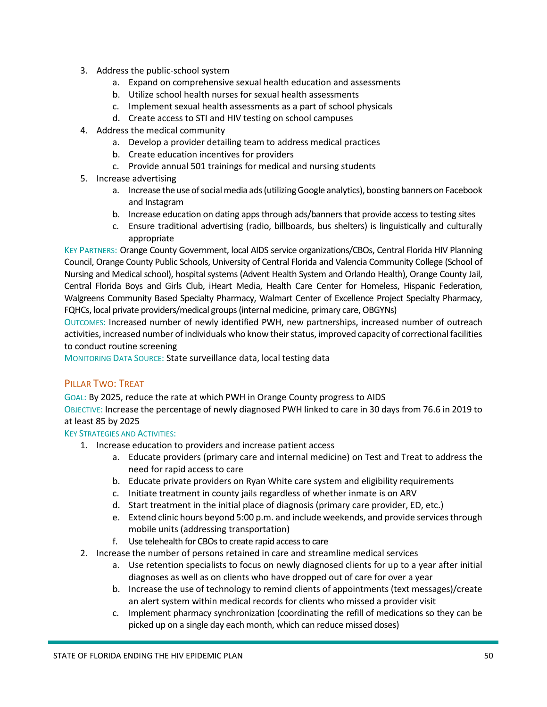- 3. Address the public-school system
	- a. Expand on comprehensive sexual health education and assessments
	- b. Utilize school health nurses for sexual health assessments
	- c. Implement sexual health assessments as a part of school physicals
	- d. Create access to STI and HIV testing on school campuses
- 4. Address the medical community
	- a. Develop a provider detailing team to address medical practices
	- b. Create education incentives for providers
	- c. Provide annual 501 trainings for medical and nursing students
- 5. Increase advertising
	- a. Increase the use of social media ads (utilizing Google analytics), boosting banners on Facebook and Instagram
	- b. Increase education on dating apps through ads/banners that provide access to testing sites
	- c. Ensure traditional advertising (radio, billboards, bus shelters) is linguistically and culturally appropriate

KEY PARTNERS: Orange County Government, local AIDS service organizations/CBOs, Central Florida HIV Planning Council, Orange County Public Schools, University of Central Florida and Valencia Community College (School of Nursing and Medical school), hospital systems (Advent Health System and Orlando Health), Orange County Jail, Central Florida Boys and Girls Club, iHeart Media, Health Care Center for Homeless, Hispanic Federation, Walgreens Community Based Specialty Pharmacy, Walmart Center of Excellence Project Specialty Pharmacy, FQHCs, local private providers/medical groups (internal medicine, primary care, OBGYNs)

OUTCOMES: Increased number of newly identified PWH, new partnerships, increased number of outreach activities, increased number of individuals who know their status, improved capacity of correctional facilities to conduct routine screening

MONITORING DATA SOURCE: State surveillance data, local testing data

### PILLAR TWO: TREAT

GOAL: By 2025, reduce the rate at which PWH in Orange County progress to AIDS

OBJECTIVE: Increase the percentage of newly diagnosed PWH linked to care in 30 days from 76.6 in 2019 to at least 85 by 2025

- 1. Increase education to providers and increase patient access
	- a. Educate providers (primary care and internal medicine) on Test and Treat to address the need for rapid access to care
	- b. Educate private providers on Ryan White care system and eligibility requirements
	- c. Initiate treatment in county jails regardless of whether inmate is on ARV
	- d. Start treatment in the initial place of diagnosis (primary care provider, ED, etc.)
	- e. Extend clinic hours beyond 5:00 p.m. and include weekends, and provide services through mobile units (addressing transportation)
	- f. Use telehealth for CBOsto create rapid access to care
- 2. Increase the number of persons retained in care and streamline medical services
	- a. Use retention specialists to focus on newly diagnosed clients for up to a year after initial diagnoses as well as on clients who have dropped out of care for over a year
	- b. Increase the use of technology to remind clients of appointments (text messages)/create an alert system within medical records for clients who missed a provider visit
	- c. Implement pharmacy synchronization (coordinating the refill of medications so they can be picked up on a single day each month, which can reduce missed doses)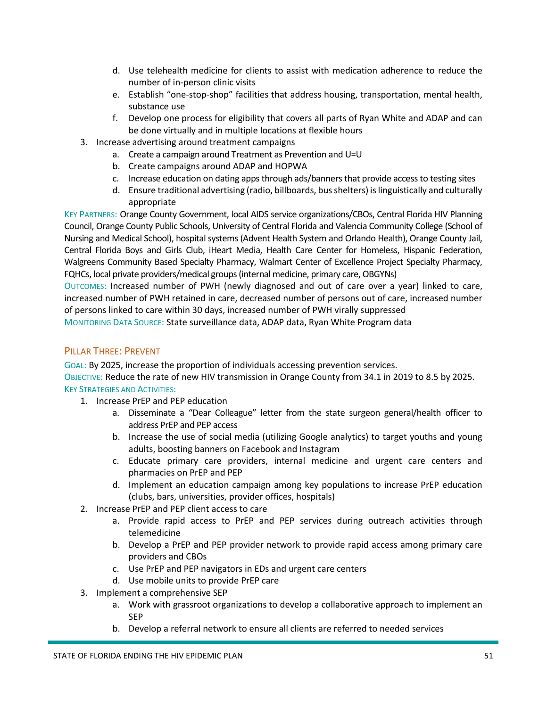- d. Use telehealth medicine for clients to assist with medication adherence to reduce the number of in-person clinic visits
- e. Establish "one-stop-shop" facilities that address housing, transportation, mental health, substance use
- f. Develop one process for eligibility that covers all parts of Ryan White and ADAP and can be done virtually and in multiple locations at flexible hours
- 3. Increase advertising around treatment campaigns
	- a. Create a campaign around Treatment as Prevention and U=U
	- b. Create campaigns around ADAP and HOPWA
	- c. Increase education on dating apps through ads/banners that provide access to testing sites
	- d. Ensure traditional advertising (radio, billboards, bus shelters) is linguistically and culturally appropriate

KEY PARTNERS: Orange County Government, local AIDS service organizations/CBOs, Central Florida HIV Planning Council, Orange County Public Schools, University of Central Florida and Valencia Community College (School of Nursing and Medical School), hospital systems (Advent Health System and Orlando Health), Orange County Jail, Central Florida Boys and Girls Club, iHeart Media, Health Care Center for Homeless, Hispanic Federation, Walgreens Community Based Specialty Pharmacy, Walmart Center of Excellence Project Specialty Pharmacy, FQHCs, local private providers/medical groups (internal medicine, primary care, OBGYNs)

OUTCOMES: Increased number of PWH (newly diagnosed and out of care over a year) linked to care, increased number of PWH retained in care, decreased number of persons out of care, increased number of persons linked to care within 30 days, increased number of PWH virally suppressed MONITORING DATA SOURCE: State surveillance data, ADAP data, Ryan White Program data

#### PILLAR THREE: PREVENT

GOAL: By 2025, increase the proportion of individuals accessing prevention services. OBJECTIVE: Reduce the rate of new HIV transmission in Orange County from 34.1 in 2019 to 8.5 by 2025. KEY STRATEGIES AND ACTIVITIES:

- 1. Increase PrEP and PEP education
	- a. Disseminate a "Dear Colleague" letter from the state surgeon general/health officer to address PrEP and PEP access
	- b. Increase the use of social media (utilizing Google analytics) to target youths and young adults, boosting banners on Facebook and Instagram
	- c. Educate primary care providers, internal medicine and urgent care centers and pharmacies on PrEP and PEP
	- d. Implement an education campaign among key populations to increase PrEP education (clubs, bars, universities, provider offices, hospitals)
- 2. Increase PrEP and PEP client access to care
	- a. Provide rapid access to PrEP and PEP services during outreach activities through telemedicine
	- b. Develop a PrEP and PEP provider network to provide rapid access among primary care providers and CBOs
	- c. Use PrEP and PEP navigators in EDs and urgent care centers
	- d. Use mobile units to provide PrEP care
- 3. Implement a comprehensive SEP
	- a. Work with grassroot organizations to develop a collaborative approach to implement an SEP
	- b. Develop a referral network to ensure all clients are referred to needed services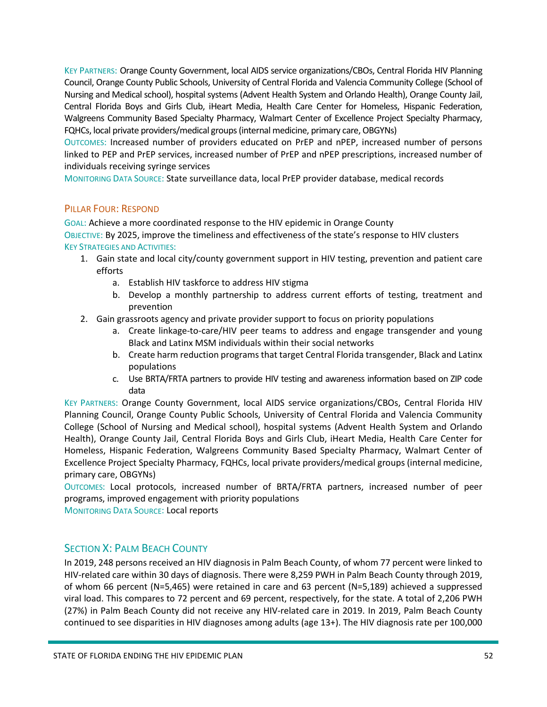KEY PARTNERS: Orange County Government, local AIDS service organizations/CBOs, Central Florida HIV Planning Council, Orange County Public Schools, University of Central Florida and Valencia Community College (School of Nursing and Medical school), hospital systems (Advent Health System and Orlando Health), Orange County Jail, Central Florida Boys and Girls Club, iHeart Media, Health Care Center for Homeless, Hispanic Federation, Walgreens Community Based Specialty Pharmacy, Walmart Center of Excellence Project Specialty Pharmacy, FQHCs, local private providers/medical groups (internal medicine, primary care, OBGYNs)

OUTCOMES: Increased number of providers educated on PrEP and nPEP, increased number of persons linked to PEP and PrEP services, increased number of PrEP and nPEP prescriptions, increased number of individuals receiving syringe services

MONITORING DATA SOURCE: State surveillance data, local PrEP provider database, medical records

### PILLAR FOUR: RESPOND

GOAL: Achieve a more coordinated response to the HIV epidemic in Orange County OBJECTIVE: By 2025, improve the timeliness and effectiveness of the state's response to HIV clusters KEY STRATEGIES AND ACTIVITIES:

- 1. Gain state and local city/county government support in HIV testing, prevention and patient care efforts
	- a. Establish HIV taskforce to address HIV stigma
	- b. Develop a monthly partnership to address current efforts of testing, treatment and prevention
- 2. Gain grassroots agency and private provider support to focus on priority populations
	- a. Create linkage-to-care/HIV peer teams to address and engage transgender and young Black and Latinx MSM individuals within their social networks
	- b. Create harm reduction programs that target Central Florida transgender, Black and Latinx populations
	- c. Use BRTA/FRTA partners to provide HIV testing and awareness information based on ZIP code data

KEY PARTNERS: Orange County Government, local AIDS service organizations/CBOs, Central Florida HIV Planning Council, Orange County Public Schools, University of Central Florida and Valencia Community College (School of Nursing and Medical school), hospital systems (Advent Health System and Orlando Health), Orange County Jail, Central Florida Boys and Girls Club, iHeart Media, Health Care Center for Homeless, Hispanic Federation, Walgreens Community Based Specialty Pharmacy, Walmart Center of Excellence Project Specialty Pharmacy, FQHCs, local private providers/medical groups (internal medicine, primary care, OBGYNs)

OUTCOMES: Local protocols, increased number of BRTA/FRTA partners, increased number of peer programs, improved engagement with priority populations

**MONITORING DATA SOURCE: Local reports** 

### SECTION X: PALM BEACH COUNTY

In 2019, 248 persons received an HIV diagnosis in Palm Beach County, of whom 77 percent were linked to HIV-related care within 30 days of diagnosis. There were 8,259 PWH in Palm Beach County through 2019, of whom 66 percent (N=5,465) were retained in care and 63 percent (N=5,189) achieved a suppressed viral load. This compares to 72 percent and 69 percent, respectively, for the state. A total of 2,206 PWH (27%) in Palm Beach County did not receive any HIV-related care in 2019. In 2019, Palm Beach County continued to see disparities in HIV diagnoses among adults (age 13+). The HIV diagnosis rate per 100,000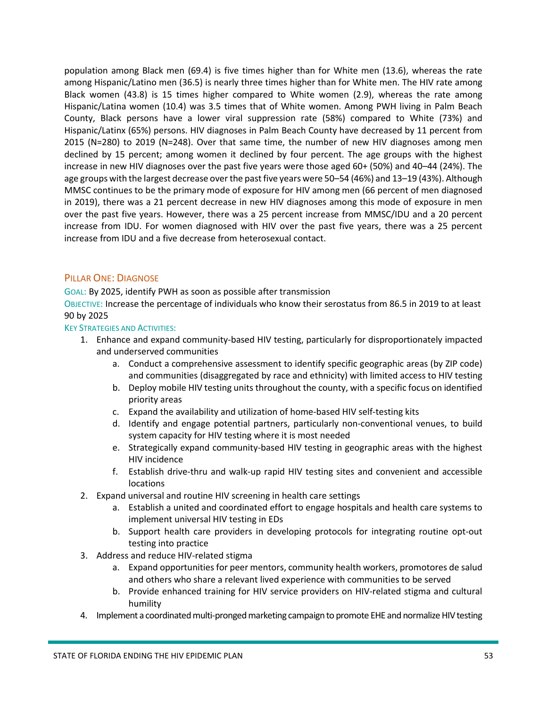population among Black men (69.4) is five times higher than for White men (13.6), whereas the rate among Hispanic/Latino men (36.5) is nearly three times higher than for White men. The HIV rate among Black women (43.8) is 15 times higher compared to White women (2.9), whereas the rate among Hispanic/Latina women (10.4) was 3.5 times that of White women. Among PWH living in Palm Beach County, Black persons have a lower viral suppression rate (58%) compared to White (73%) and Hispanic/Latinx (65%) persons. HIV diagnoses in Palm Beach County have decreased by 11 percent from 2015 (N=280) to 2019 (N=248). Over that same time, the number of new HIV diagnoses among men declined by 15 percent; among women it declined by four percent. The age groups with the highest increase in new HIV diagnoses over the past five years were those aged 60+ (50%) and 40-44 (24%). The age groups with the largest decrease over the past five years were 50–54 (46%) and 13–19 (43%). Although MMSC continues to be the primary mode of exposure for HIV among men (66 percent of men diagnosed in 2019), there was a 21 percent decrease in new HIV diagnoses among this mode of exposure in men over the past five years. However, there was a 25 percent increase from MMSC/IDU and a 20 percent increase from IDU. For women diagnosed with HIV over the past five years, there was a 25 percent increase from IDU and a five decrease from heterosexual contact.

#### PILLAR ONE: DIAGNOSE

GOAL: By 2025, identify PWH as soon as possible after transmission

OBJECTIVE: Increase the percentage of individuals who know their serostatus from 86.5 in 2019 to at least 90 by 2025

- 1. Enhance and expand community-based HIV testing, particularly for disproportionately impacted and underserved communities
	- a. Conduct a comprehensive assessment to identify specific geographic areas (by ZIP code) and communities (disaggregated by race and ethnicity) with limited access to HIV testing
	- b. Deploy mobile HIV testing units throughout the county, with a specific focus on identified priority areas
	- c. Expand the availability and utilization of home-based HIV self-testing kits
	- d. Identify and engage potential partners, particularly non-conventional venues, to build system capacity for HIV testing where it is most needed
	- e. Strategically expand community-based HIV testing in geographic areas with the highest HIV incidence
	- f. Establish drive-thru and walk-up rapid HIV testing sites and convenient and accessible locations
- 2. Expand universal and routine HIV screening in health care settings
	- a. Establish a united and coordinated effort to engage hospitals and health care systems to implement universal HIV testing in EDs
	- b. Support health care providers in developing protocols for integrating routine opt-out testing into practice
- 3. Address and reduce HIV-related stigma
	- a. Expand opportunities for peer mentors, community health workers, promotores de salud and others who share a relevant lived experience with communities to be served
	- b. Provide enhanced training for HIV service providers on HIV-related stigma and cultural humility
- 4. Implement a coordinated multi-pronged marketing campaign to promote EHE and normalize HIV testing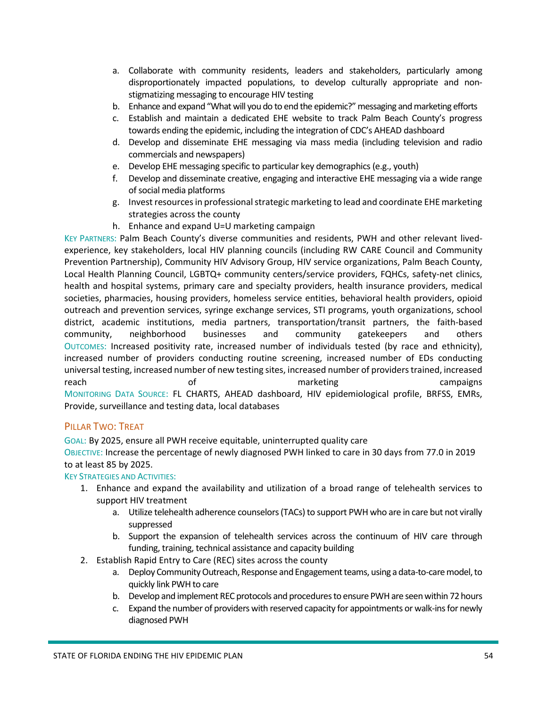- a. Collaborate with community residents, leaders and stakeholders, particularly among disproportionately impacted populations, to develop culturally appropriate and nonstigmatizing messaging to encourage HIV testing
- b. Enhance and expand "What will you do to end the epidemic?" messaging and marketing efforts
- c. Establish and maintain a dedicated EHE website to track Palm Beach County's progress towards ending the epidemic, including the integration of CDC's AHEAD dashboard
- d. Develop and disseminate EHE messaging via mass media (including television and radio commercials and newspapers)
- e. Develop EHE messaging specific to particular key demographics (e.g., youth)
- f. Develop and disseminate creative, engaging and interactive EHE messaging via a wide range of social media platforms
- g. Invest resources in professional strategic marketing to lead and coordinate EHEmarketing strategies across the county
- h. Enhance and expand U=U marketing campaign

KEY PARTNERS: Palm Beach County's diverse communities and residents, PWH and other relevant livedexperience, key stakeholders, local HIV planning councils (including RW CARE Council and Community Prevention Partnership), Community HIV Advisory Group, HIV service organizations, Palm Beach County, Local Health Planning Council, LGBTQ+ community centers/service providers, FQHCs, safety-net clinics, health and hospital systems, primary care and specialty providers, health insurance providers, medical societies, pharmacies, housing providers, homeless service entities, behavioral health providers, opioid outreach and prevention services, syringe exchange services, STI programs, youth organizations, school district, academic institutions, media partners, transportation/transit partners, the faith-based community, neighborhood businesses and community gatekeepers and others OUTCOMES: Increased positivity rate, increased number of individuals tested (by race and ethnicity), increased number of providers conducting routine screening, increased number of EDs conducting universal testing, increased number of new testing sites, increased number of providers trained, increased reach and of the marketing campaigns campaigns MONITORING DATA SOURCE: FL CHARTS, AHEAD dashboard, HIV epidemiological profile, BRFSS, EMRs, Provide, surveillance and testing data, local databases

### PILLAR TWO: TREAT

GOAL: By 2025, ensure all PWH receive equitable, uninterrupted quality care

OBJECTIVE: Increase the percentage of newly diagnosed PWH linked to care in 30 days from 77.0 in 2019 to at least 85 by 2025.

- 1. Enhance and expand the availability and utilization of a broad range of telehealth services to support HIV treatment
	- a. Utilize telehealth adherence counselors (TACs) to support PWH who are in care but not virally suppressed
	- b. Support the expansion of telehealth services across the continuum of HIV care through funding, training, technical assistance and capacity building
- 2. Establish Rapid Entry to Care (REC) sites across the county
	- a. Deploy Community Outreach, Response and Engagement teams, using a data-to-care model, to quickly link PWH to care
	- b. Develop and implement REC protocols and procedures to ensure PWH are seenwithin 72 hours
	- c. Expand the number of providers with reserved capacity for appointments or walk-ins for newly diagnosed PWH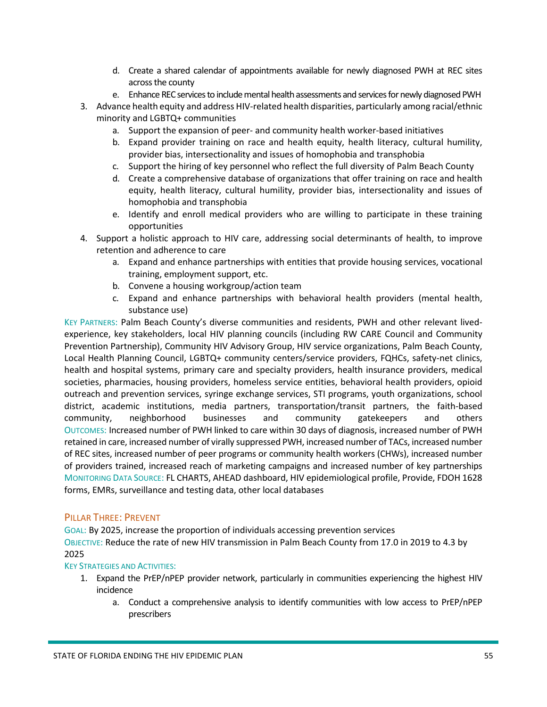- d. Create a shared calendar of appointments available for newly diagnosed PWH at REC sites across the county
- e. Enhance REC services to include mental health assessments and services fornewly diagnosed PWH
- 3. Advance health equity and address HIV-related health disparities, particularly among racial/ethnic minority and LGBTQ+ communities
	- a. Support the expansion of peer- and community health worker-based initiatives
	- b. Expand provider training on race and health equity, health literacy, cultural humility, provider bias, intersectionality and issues of homophobia and transphobia
	- c. Support the hiring of key personnel who reflect the full diversity of Palm Beach County
	- d. Create a comprehensive database of organizations that offer training on race and health equity, health literacy, cultural humility, provider bias, intersectionality and issues of homophobia and transphobia
	- e. Identify and enroll medical providers who are willing to participate in these training opportunities
- 4. Support a holistic approach to HIV care, addressing social determinants of health, to improve retention and adherence to care
	- a. Expand and enhance partnerships with entities that provide housing services, vocational training, employment support, etc.
	- b. Convene a housing workgroup/action team
	- c. Expand and enhance partnerships with behavioral health providers (mental health, substance use)

KEY PARTNERS: Palm Beach County's diverse communities and residents, PWH and other relevant livedexperience, key stakeholders, local HIV planning councils (including RW CARE Council and Community Prevention Partnership), Community HIV Advisory Group, HIV service organizations, Palm Beach County, Local Health Planning Council, LGBTQ+ community centers/service providers, FQHCs, safety-net clinics, health and hospital systems, primary care and specialty providers, health insurance providers, medical societies, pharmacies, housing providers, homeless service entities, behavioral health providers, opioid outreach and prevention services, syringe exchange services, STI programs, youth organizations, school district, academic institutions, media partners, transportation/transit partners, the faith-based community, neighborhood businesses and community gatekeepers and others OUTCOMES: Increased number of PWH linked to care within 30 days of diagnosis, increased number of PWH retained in care, increased number of virally suppressed PWH, increased number of TACs, increased number of REC sites, increased number of peer programs or community health workers (CHWs), increased number of providers trained, increased reach of marketing campaigns and increased number of key partnerships MONITORING DATA SOURCE: FL CHARTS, AHEAD dashboard, HIV epidemiological profile, Provide, FDOH 1628 forms, EMRs, surveillance and testing data, other local databases

#### PILLAR THREE: PREVENT

GOAL: By 2025, increase the proportion of individuals accessing prevention services OBJECTIVE: Reduce the rate of new HIV transmission in Palm Beach County from 17.0 in 2019 to 4.3 by 2025

- 1. Expand the PrEP/nPEP provider network, particularly in communities experiencing the highest HIV incidence
	- a. Conduct a comprehensive analysis to identify communities with low access to PrEP/nPEP prescribers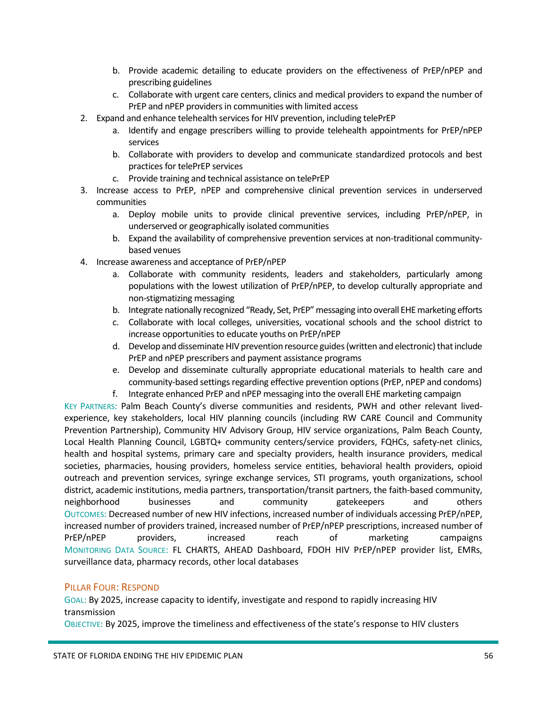- b. Provide academic detailing to educate providers on the effectiveness of PrEP/nPEP and prescribing guidelines
- c. Collaborate with urgent care centers, clinics and medical providers to expand the number of PrEP and nPEP providers in communities with limited access
- 2. Expand and enhance telehealth services for HIV prevention, including telePrEP
	- a. Identify and engage prescribers willing to provide telehealth appointments for PrEP/nPEP services
	- b. Collaborate with providers to develop and communicate standardized protocols and best practices for telePrEP services
	- c. Provide training and technical assistance on telePrEP
- 3. Increase access to PrEP, nPEP and comprehensive clinical prevention services in underserved communities
	- a. Deploy mobile units to provide clinical preventive services, including PrEP/nPEP, in underserved or geographically isolated communities
	- b. Expand the availability of comprehensive prevention services at non-traditional communitybased venues
- 4. Increase awareness and acceptance of PrEP/nPEP
	- a. Collaborate with community residents, leaders and stakeholders, particularly among populations with the lowest utilization of PrEP/nPEP, to develop culturally appropriate and non-stigmatizing messaging
	- b. Integrate nationally recognized "Ready, Set, PrEP" messaging into overall EHE marketing efforts
	- c. Collaborate with local colleges, universities, vocational schools and the school district to increase opportunities to educate youths on PrEP/nPEP
	- d. Develop and disseminate HIV prevention resource guides (written and electronic) thatinclude PrEP and nPEP prescribers and payment assistance programs
	- e. Develop and disseminate culturally appropriate educational materials to health care and community-based settings regarding effective prevention options (PrEP, nPEP and condoms)
	- f. Integrate enhanced PrEP and nPEP messaging into the overall EHE marketing campaign

KEY PARTNERS: Palm Beach County's diverse communities and residents, PWH and other relevant livedexperience, key stakeholders, local HIV planning councils (including RW CARE Council and Community Prevention Partnership), Community HIV Advisory Group, HIV service organizations, Palm Beach County, Local Health Planning Council, LGBTQ+ community centers/service providers, FQHCs, safety-net clinics, health and hospital systems, primary care and specialty providers, health insurance providers, medical societies, pharmacies, housing providers, homeless service entities, behavioral health providers, opioid outreach and prevention services, syringe exchange services, STI programs, youth organizations, school district, academic institutions, media partners, transportation/transit partners, the faith-based community, neighborhood businesses and community gatekeepers and others OUTCOMES: Decreased number of new HIV infections, increased number of individuals accessing PrEP/nPEP, increased number of providers trained, increased number of PrEP/nPEP prescriptions, increased number of PrEP/nPEP providers, increased reach of marketing campaigns MONITORING DATA SOURCE: FL CHARTS, AHEAD Dashboard, FDOH HIV PrEP/nPEP provider list, EMRs, surveillance data, pharmacy records, other local databases

#### PILLAR FOUR: RESPOND

GOAL: By 2025, increase capacity to identify, investigate and respond to rapidly increasing HIV transmission

OBJECTIVE: By 2025, improve the timeliness and effectiveness of the state's response to HIV clusters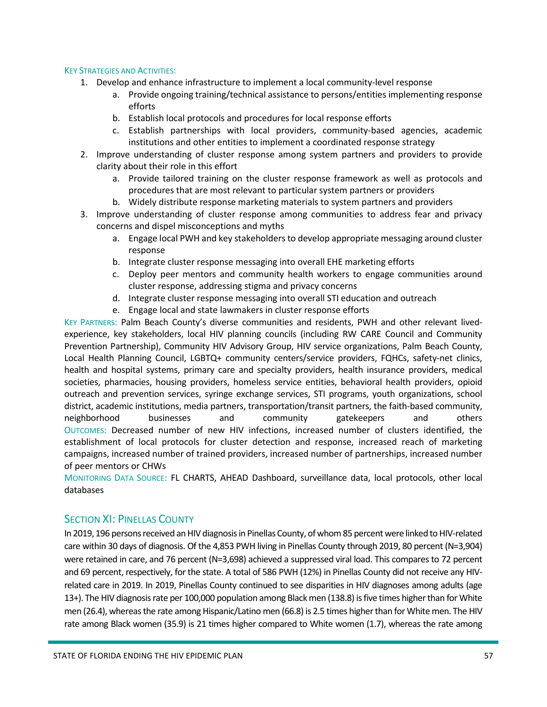#### KEY STRATEGIES AND ACTIVITIES:

- 1. Develop and enhance infrastructure to implement a local community-level response
	- a. Provide ongoing training/technical assistance to persons/entities implementing response efforts
	- b. Establish local protocols and procedures for local response efforts
	- c. Establish partnerships with local providers, community-based agencies, academic institutions and other entities to implement a coordinated response strategy
- 2. Improve understanding of cluster response among system partners and providers to provide clarity about their role in this effort
	- a. Provide tailored training on the cluster response framework as well as protocols and procedures that are most relevant to particular system partners or providers
	- b. Widely distribute response marketing materials to system partners and providers
- 3. Improve understanding of cluster response among communities to address fear and privacy concerns and dispel misconceptions and myths
	- a. Engage local PWH and key stakeholders to develop appropriate messaging around cluster response
	- b. Integrate cluster response messaging into overall EHE marketing efforts
	- c. Deploy peer mentors and community health workers to engage communities around cluster response, addressing stigma and privacy concerns
	- d. Integrate cluster response messaging into overall STI education and outreach
	- e. Engage local and state lawmakers in cluster response efforts

KEY PARTNERS: Palm Beach County's diverse communities and residents, PWH and other relevant livedexperience, key stakeholders, local HIV planning councils (including RW CARE Council and Community Prevention Partnership), Community HIV Advisory Group, HIV service organizations, Palm Beach County, Local Health Planning Council, LGBTQ+ community centers/service providers, FQHCs, safety-net clinics, health and hospital systems, primary care and specialty providers, health insurance providers, medical societies, pharmacies, housing providers, homeless service entities, behavioral health providers, opioid outreach and prevention services, syringe exchange services, STI programs, youth organizations, school district, academic institutions, media partners, transportation/transit partners, the faith-based community, neighborhood businesses and community gatekeepers and others OUTCOMES: Decreased number of new HIV infections, increased number of clusters identified, the establishment of local protocols for cluster detection and response, increased reach of marketing campaigns, increased number of trained providers, increased number of partnerships, increased number of peer mentors or CHWs

MONITORING DATA SOURCE: FL CHARTS, AHEAD Dashboard, surveillance data, local protocols, other local databases

### **SECTION XI: PINELLAS COUNTY**

In 2019, 196 persons received an HIV diagnosis in Pinellas County, of whom 85 percent were linked to HIV-related care within 30 days of diagnosis. Of the 4,853 PWH living in Pinellas County through 2019, 80 percent (N=3,904) were retained in care, and 76 percent (N=3,698) achieved a suppressed viral load. This compares to 72 percent and 69 percent, respectively, for the state. A total of 586 PWH (12%) in Pinellas County did not receive any HIVrelated care in 2019. In 2019, Pinellas County continued to see disparities in HIV diagnoses among adults (age 13+). The HIV diagnosis rate per 100,000 population among Black men (138.8) is five times higher than for White men (26.4), whereas the rate among Hispanic/Latino men (66.8) is 2.5 times higher than for White men. The HIV rate among Black women (35.9) is 21 times higher compared to White women (1.7), whereas the rate among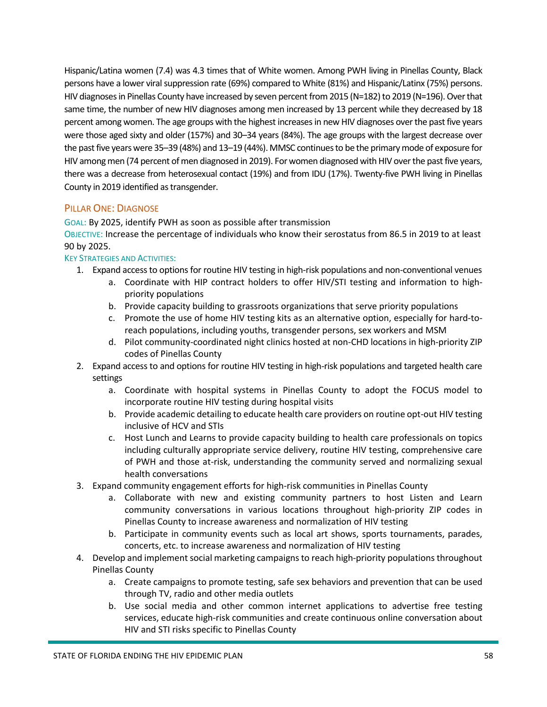Hispanic/Latina women (7.4) was 4.3 times that of White women. Among PWH living in Pinellas County, Black persons have a lower viral suppression rate (69%) compared to White (81%) and Hispanic/Latinx (75%) persons. HIV diagnoses in Pinellas County have increased by seven percent from 2015 (N=182) to 2019 (N=196). Over that same time, the number of new HIV diagnoses among men increased by 13 percent while they decreased by 18 percent among women. The age groups with the highest increases in new HIV diagnoses over the past five years were those aged sixty and older (157%) and 30–34 years (84%). The age groups with the largest decrease over the past five years were 35–39 (48%) and 13–19 (44%). MMSC continues to be the primary mode of exposure for HIV among men (74 percent of men diagnosed in 2019). For women diagnosed with HIV over the past five years, there was a decrease from heterosexual contact (19%) and from IDU (17%). Twenty-five PWH living in Pinellas County in 2019 identified as transgender.

### PILLAR ONE: DIAGNOSE

GOAL: By 2025, identify PWH as soon as possible after transmission

OBJECTIVE: Increase the percentage of individuals who know their serostatus from 86.5 in 2019 to at least 90 by 2025.

- 1. Expand access to options for routine HIV testing in high-risk populations and non-conventional venues
	- a. Coordinate with HIP contract holders to offer HIV/STI testing and information to highpriority populations
	- b. Provide capacity building to grassroots organizations that serve priority populations
	- c. Promote the use of home HIV testing kits as an alternative option, especially for hard-toreach populations, including youths, transgender persons, sex workers and MSM
	- d. Pilot community-coordinated night clinics hosted at non-CHD locations in high-priority ZIP codes of Pinellas County
- 2. Expand access to and options for routine HIV testing in high-risk populations and targeted health care settings
	- a. Coordinate with hospital systems in Pinellas County to adopt the FOCUS model to incorporate routine HIV testing during hospital visits
	- b. Provide academic detailing to educate health care providers on routine opt-out HIV testing inclusive of HCV and STIs
	- c. Host Lunch and Learns to provide capacity building to health care professionals on topics including culturally appropriate service delivery, routine HIV testing, comprehensive care of PWH and those at-risk, understanding the community served and normalizing sexual health conversations
- 3. Expand community engagement efforts for high-risk communities in Pinellas County
	- a. Collaborate with new and existing community partners to host Listen and Learn community conversations in various locations throughout high-priority ZIP codes in Pinellas County to increase awareness and normalization of HIV testing
	- b. Participate in community events such as local art shows, sports tournaments, parades, concerts, etc. to increase awareness and normalization of HIV testing
- 4. Develop and implement social marketing campaignsto reach high-priority populations throughout Pinellas County
	- a. Create campaigns to promote testing, safe sex behaviors and prevention that can be used through TV, radio and other media outlets
	- b. Use social media and other common internet applications to advertise free testing services, educate high-risk communities and create continuous online conversation about HIV and STI risks specific to Pinellas County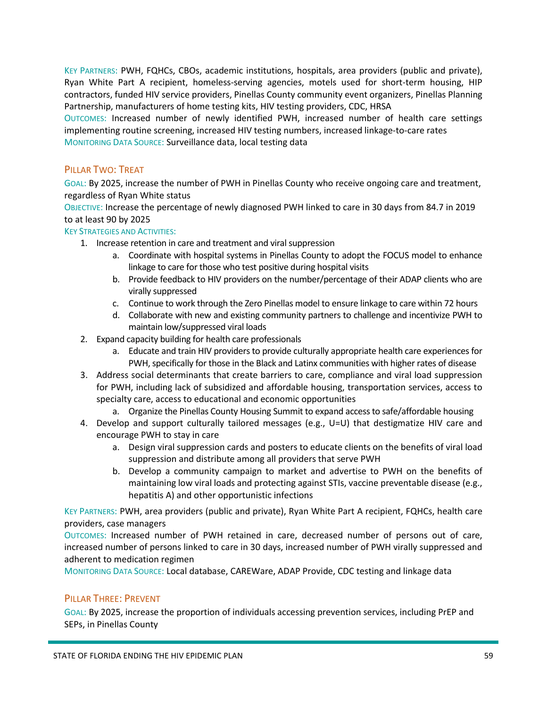KEY PARTNERS: PWH, FQHCs, CBOs, academic institutions, hospitals, area providers (public and private), Ryan White Part A recipient, homeless-serving agencies, motels used for short-term housing, HIP contractors, funded HIV service providers, Pinellas County community event organizers, Pinellas Planning Partnership, manufacturers of home testing kits, HIV testing providers, CDC, HRSA

OUTCOMES: Increased number of newly identified PWH, increased number of health care settings implementing routine screening, increased HIV testing numbers, increased linkage-to-care rates MONITORING DATA SOURCE: Surveillance data, local testing data

### PILLAR TWO: TREAT

GOAL: By 2025, increase the number of PWH in Pinellas County who receive ongoing care and treatment, regardless of Ryan White status

OBJECTIVE: Increase the percentage of newly diagnosed PWH linked to care in 30 days from 84.7 in 2019 to at least 90 by 2025

#### KEY STRATEGIES AND ACTIVITIES:

- 1. Increase retention in care and treatment and viral suppression
	- a. Coordinate with hospital systems in Pinellas County to adopt the FOCUS model to enhance linkage to care for those who test positive during hospital visits
	- b. Provide feedback to HIV providers on the number/percentage of their ADAP clients who are virally suppressed
	- c. Continue to work through the Zero Pinellas model to ensure linkage to care within 72 hours
	- d. Collaborate with new and existing community partners to challenge and incentivize PWH to maintain low/suppressed viral loads
- 2. Expand capacity building for health care professionals
	- a. Educate and train HIV providers to provide culturally appropriate health care experiences for PWH, specifically for those in the Black and Latinx communities with higher rates of disease
- 3. Address social determinants that create barriers to care, compliance and viral load suppression for PWH, including lack of subsidized and affordable housing, transportation services, access to specialty care, access to educational and economic opportunities
	- a. Organize the Pinellas County Housing Summit to expand access to safe/affordable housing
- 4. Develop and support culturally tailored messages (e.g., U=U) that destigmatize HIV care and encourage PWH to stay in care
	- a. Design viral suppression cards and posters to educate clients on the benefits of viral load suppression and distribute among all providers that serve PWH
	- b. Develop a community campaign to market and advertise to PWH on the benefits of maintaining low viral loads and protecting against STIs, vaccine preventable disease (e.g., hepatitis A) and other opportunistic infections

KEY PARTNERS: PWH, area providers (public and private), Ryan White Part A recipient, FQHCs, health care providers, case managers

OUTCOMES: Increased number of PWH retained in care, decreased number of persons out of care, increased number of persons linked to care in 30 days, increased number of PWH virally suppressed and adherent to medication regimen

MONITORING DATA SOURCE: Local database, CAREWare, ADAP Provide, CDC testing and linkage data

### PILLAR THREE: PREVENT

GOAL: By 2025, increase the proportion of individuals accessing prevention services, including PrEP and SEPs, in Pinellas County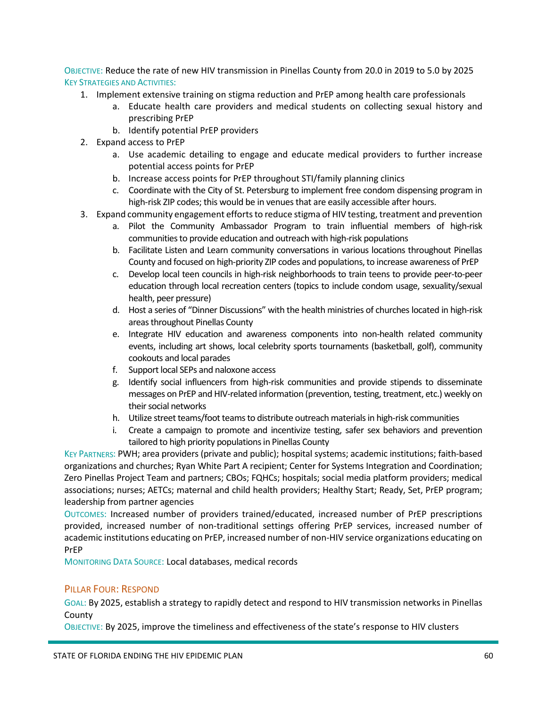OBJECTIVE: Reduce the rate of new HIV transmission in Pinellas County from 20.0 in 2019 to 5.0 by 2025 KEY STRATEGIES AND ACTIVITIES:

- 1. Implement extensive training on stigma reduction and PrEP among health care professionals
	- a. Educate health care providers and medical students on collecting sexual history and prescribing PrEP
	- b. Identify potential PrEP providers
- 2. Expand access to PrEP
	- a. Use academic detailing to engage and educate medical providers to further increase potential access points for PrEP
	- b. Increase access points for PrEP throughout STI/family planning clinics
	- c. Coordinate with the City of St. Petersburg to implement free condom dispensing program in high-risk ZIP codes; this would be in venues that are easily accessible after hours.
- 3. Expand community engagement efforts to reduce stigma of HIV testing, treatment and prevention
	- a. Pilot the Community Ambassador Program to train influential members of high-risk communities to provide education and outreach with high-risk populations
	- b. Facilitate Listen and Learn community conversations in various locations throughout Pinellas County and focused on high-priority ZIP codes and populations, to increase awareness of PrEP
	- c. Develop local teen councils in high-risk neighborhoods to train teens to provide peer-to-peer education through local recreation centers (topics to include condom usage, sexuality/sexual health, peer pressure)
	- d. Host a series of "Dinner Discussions" with the health ministries of churches located in high-risk areas throughout Pinellas County
	- e. Integrate HIV education and awareness components into non-health related community events, including art shows, local celebrity sports tournaments (basketball, golf), community cookouts and local parades
	- f. Support local SEPs and naloxone access
	- g. Identify social influencers from high-risk communities and provide stipends to disseminate messages on PrEP and HIV-related information (prevention, testing, treatment, etc.) weekly on their social networks
	- h. Utilize street teams/foot teams to distribute outreach materials in high-risk communities
	- i. Create a campaign to promote and incentivize testing, safer sex behaviors and prevention tailored to high priority populations in Pinellas County

KEY PARTNERS: PWH; area providers (private and public); hospital systems; academic institutions; faith-based organizations and churches; Ryan White Part A recipient; Center for Systems Integration and Coordination; Zero Pinellas Project Team and partners; CBOs; FQHCs; hospitals; social media platform providers; medical associations; nurses; AETCs; maternal and child health providers; Healthy Start; Ready, Set, PrEP program; leadership from partner agencies

OUTCOMES: Increased number of providers trained/educated, increased number of PrEP prescriptions provided, increased number of non-traditional settings offering PrEP services, increased number of academic institutions educating on PrEP, increased number of non-HIV service organizations educating on PrEP

MONITORING DATA SOURCE: Local databases, medical records

### PILLAR FOUR: RESPOND

GOAL: By 2025, establish a strategy to rapidly detect and respond to HIV transmission networks in Pinellas County

OBJECTIVE: By 2025, improve the timeliness and effectiveness of the state's response to HIV clusters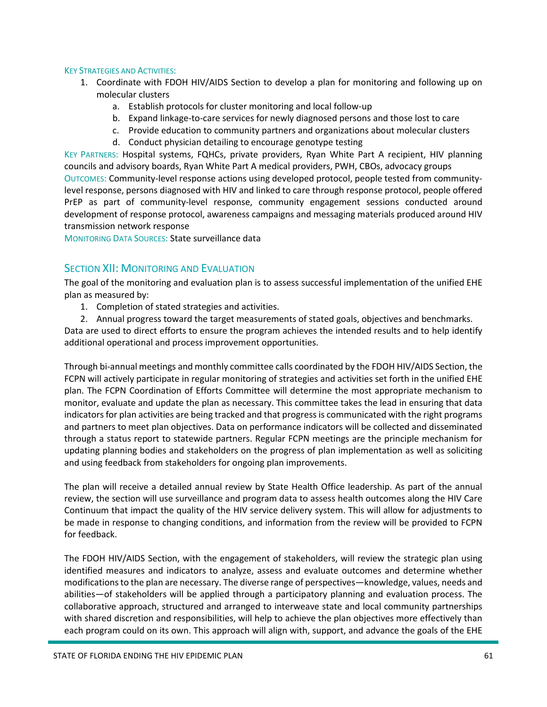#### KEY STRATEGIES AND ACTIVITIES:

- 1. Coordinate with FDOH HIV/AIDS Section to develop a plan for monitoring and following up on molecular clusters
	- a. Establish protocols for cluster monitoring and local follow-up
	- b. Expand linkage-to-care services for newly diagnosed persons and those lost to care
	- c. Provide education to community partners and organizations about molecular clusters
	- d. Conduct physician detailing to encourage genotype testing

KEY PARTNERS: Hospital systems, FQHCs, private providers, Ryan White Part A recipient, HIV planning councils and advisory boards, Ryan White Part A medical providers, PWH, CBOs, advocacy groups OUTCOMES: Community-level response actions using developed protocol, people tested from communitylevel response, persons diagnosed with HIV and linked to care through response protocol, people offered PrEP as part of community-level response, community engagement sessions conducted around development of response protocol, awareness campaigns and messaging materials produced around HIV transmission network response

MONITORING DATA SOURCES: State surveillance data

### **SECTION XII: MONITORING AND EVALUATION**

The goal of the monitoring and evaluation plan is to assess successful implementation of the unified EHE plan as measured by:

- 1. Completion of stated strategies and activities.
- 2. Annual progress toward the target measurements of stated goals, objectives and benchmarks.

Data are used to direct efforts to ensure the program achieves the intended results and to help identify additional operational and process improvement opportunities.

Through bi-annual meetings and monthly committee calls coordinated by the FDOH HIV/AIDS Section, the FCPN will actively participate in regular monitoring of strategies and activities set forth in the unified EHE plan. The FCPN Coordination of Efforts Committee will determine the most appropriate mechanism to monitor, evaluate and update the plan as necessary. This committee takes the lead in ensuring that data indicators for plan activities are being tracked and that progress is communicated with the right programs and partners to meet plan objectives. Data on performance indicators will be collected and disseminated through a status report to statewide partners. Regular FCPN meetings are the principle mechanism for updating planning bodies and stakeholders on the progress of plan implementation as well as soliciting and using feedback from stakeholders for ongoing plan improvements.

The plan will receive a detailed annual review by State Health Office leadership. As part of the annual review, the section will use surveillance and program data to assess health outcomes along the HIV Care Continuum that impact the quality of the HIV service delivery system. This will allow for adjustments to be made in response to changing conditions, and information from the review will be provided to FCPN for feedback.

The FDOH HIV/AIDS Section, with the engagement of stakeholders, will review the strategic plan using identified measures and indicators to analyze, assess and evaluate outcomes and determine whether modifications to the plan are necessary. The diverse range of perspectives—knowledge, values, needs and abilities—of stakeholders will be applied through a participatory planning and evaluation process. The collaborative approach, structured and arranged to interweave state and local community partnerships with shared discretion and responsibilities, will help to achieve the plan objectives more effectively than each program could on its own. This approach will align with, support, and advance the goals of the EHE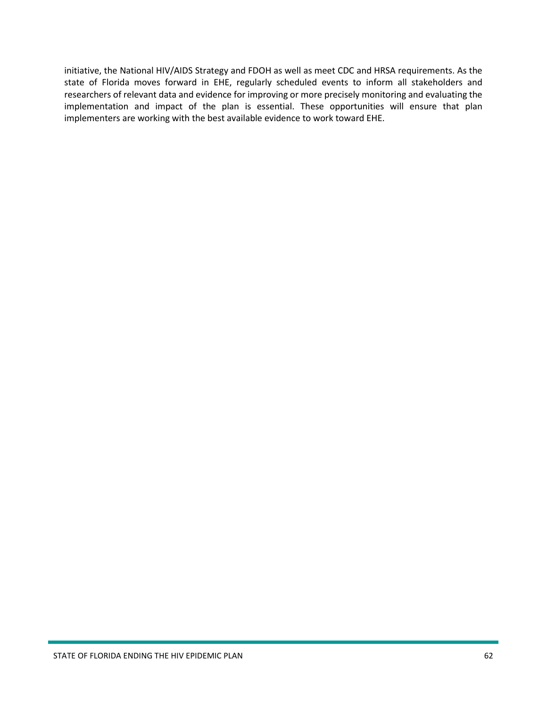initiative, the National HIV/AIDS Strategy and FDOH as well as meet CDC and HRSA requirements. As the state of Florida moves forward in EHE, regularly scheduled events to inform all stakeholders and researchers of relevant data and evidence for improving or more precisely monitoring and evaluating the implementation and impact of the plan is essential. These opportunities will ensure that plan implementers are working with the best available evidence to work toward EHE.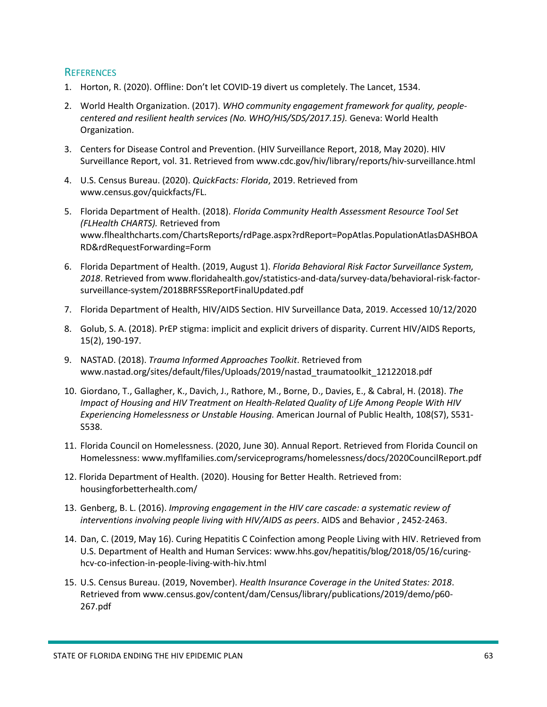#### **REFERENCES**

- 1. Horton, R. (2020). Offline: Don't let COVID-19 divert us completely. The Lancet, 1534.
- 2. World Health Organization. (2017). *WHO community engagement framework for quality, peoplecentered and resilient health services (No. WHO/HIS/SDS/2017.15).* Geneva: World Health Organization.
- 3. Centers for Disease Control and Prevention. (HIV Surveillance Report, 2018, May 2020). HIV Surveillance Report, vol. 31. Retrieved from www.cdc.gov/hiv/library/reports/hiv-surveillance.html
- 4. U.S. Census Bureau. (2020). *QuickFacts: Florida*, 2019. Retrieved from www.census.gov/quickfacts/FL.
- 5. Florida Department of Health. (2018). *Florida Community Health Assessment Resource Tool Set (FLHealth CHARTS).* Retrieved from www.flhealthcharts.com/ChartsReports/rdPage.aspx?rdReport=PopAtlas.PopulationAtlasDASHBOA RD&rdRequestForwarding=Form
- 6. Florida Department of Health. (2019, August 1). *Florida Behavioral Risk Factor Surveillance System, 2018*. Retrieved from www.floridahealth.gov/statistics-and-data/survey-data/behavioral-risk-factorsurveillance-system/2018BRFSSReportFinalUpdated.pdf
- 7. Florida Department of Health, HIV/AIDS Section. HIV Surveillance Data, 2019. Accessed 10/12/2020
- 8. Golub, S. A. (2018). PrEP stigma: implicit and explicit drivers of disparity. Current HIV/AIDS Reports, 15(2), 190-197.
- 9. NASTAD. (2018). *Trauma Informed Approaches Toolkit*. Retrieved from www.nastad.org/sites/default/files/Uploads/2019/nastad\_traumatoolkit\_12122018.pdf
- 10. Giordano, T., Gallagher, K., Davich, J., Rathore, M., Borne, D., Davies, E., & Cabral, H. (2018). *The Impact of Housing and HIV Treatment on Health-Related Quality of Life Among People With HIV Experiencing Homelessness or Unstable Housing.* American Journal of Public Health, 108(S7), S531- S538.
- 11. Florida Council on Homelessness. (2020, June 30). Annual Report. Retrieved from Florida Council on Homelessness: www.myflfamilies.com/serviceprograms/homelessness/docs/2020CouncilReport.pdf
- 12. Florida Department of Health. (2020). Housing for Better Health. Retrieved from: housingforbetterhealth.com/
- 13. Genberg, B. L. (2016). *Improving engagement in the HIV care cascade: a systematic review of interventions involving people living with HIV/AIDS as peers*. AIDS and Behavior , 2452-2463.
- 14. Dan, C. (2019, May 16). Curing Hepatitis C Coinfection among People Living with HIV. Retrieved from U.S. Department of Health and Human Services: www.hhs.gov/hepatitis/blog/2018/05/16/curinghcv-co-infection-in-people-living-with-hiv.html
- 15. U.S. Census Bureau. (2019, November). *Health Insurance Coverage in the United States: 2018*. Retrieved from www.census.gov/content/dam/Census/library/publications/2019/demo/p60- 267.pdf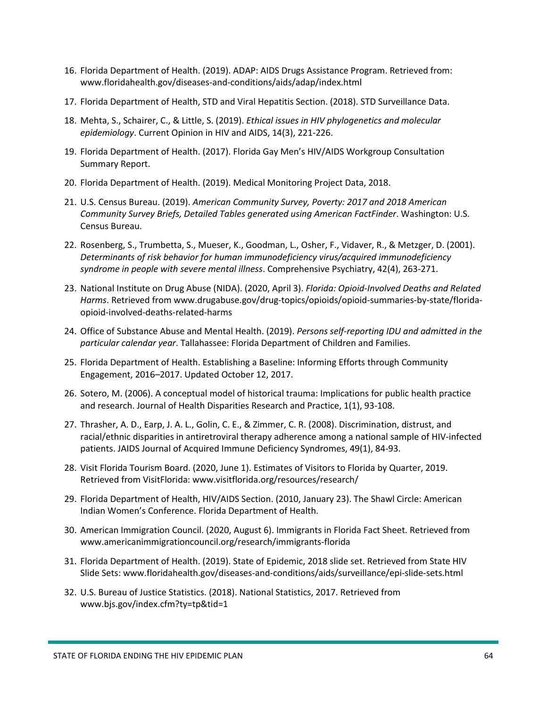- 16. Florida Department of Health. (2019). ADAP: AIDS Drugs Assistance Program. Retrieved from: www.floridahealth.gov/diseases-and-conditions/aids/adap/index.html
- 17. Florida Department of Health, STD and Viral Hepatitis Section. (2018). STD Surveillance Data.
- 18. Mehta, S., Schairer, C., & Little, S. (2019). *Ethical issues in HIV phylogenetics and molecular epidemiology*. Current Opinion in HIV and AIDS, 14(3), 221-226.
- 19. Florida Department of Health. (2017). Florida Gay Men's HIV/AIDS Workgroup Consultation Summary Report.
- 20. Florida Department of Health. (2019). Medical Monitoring Project Data, 2018.
- 21. U.S. Census Bureau. (2019). *American Community Survey, Poverty: 2017 and 2018 American Community Survey Briefs, Detailed Tables generated using American FactFinder*. Washington: U.S. Census Bureau.
- 22. Rosenberg, S., Trumbetta, S., Mueser, K., Goodman, L., Osher, F., Vidaver, R., & Metzger, D. (2001). *Determinants of risk behavior for human immunodeficiency virus/acquired immunodeficiency syndrome in people with severe mental illness*. Comprehensive Psychiatry, 42(4), 263-271.
- 23. National Institute on Drug Abuse (NIDA). (2020, April 3). *Florida: Opioid-Involved Deaths and Related Harms*. Retrieved from www.drugabuse.gov/drug-topics/opioids/opioid-summaries-by-state/floridaopioid-involved-deaths-related-harms
- 24. Office of Substance Abuse and Mental Health. (2019). *Persons self-reporting IDU and admitted in the particular calendar year*. Tallahassee: Florida Department of Children and Families.
- 25. Florida Department of Health. Establishing a Baseline: Informing Efforts through Community Engagement, 2016–2017. Updated October 12, 2017.
- 26. Sotero, M. (2006). A conceptual model of historical trauma: Implications for public health practice and research. Journal of Health Disparities Research and Practice, 1(1), 93-108.
- 27. Thrasher, A. D., Earp, J. A. L., Golin, C. E., & Zimmer, C. R. (2008). Discrimination, distrust, and racial/ethnic disparities in antiretroviral therapy adherence among a national sample of HIV-infected patients. JAIDS Journal of Acquired Immune Deficiency Syndromes, 49(1), 84-93.
- 28. Visit Florida Tourism Board. (2020, June 1). Estimates of Visitors to Florida by Quarter, 2019. Retrieved from VisitFlorida: www.visitflorida.org/resources/research/
- 29. Florida Department of Health, HIV/AIDS Section. (2010, January 23). The Shawl Circle: American Indian Women's Conference. Florida Department of Health.
- 30. American Immigration Council. (2020, August 6). Immigrants in Florida Fact Sheet. Retrieved from www.americanimmigrationcouncil.org/research/immigrants-florida
- 31. Florida Department of Health. (2019). State of Epidemic, 2018 slide set. Retrieved from State HIV Slide Sets: www.floridahealth.gov/diseases-and-conditions/aids/surveillance/epi-slide-sets.html
- 32. U.S. Bureau of Justice Statistics. (2018). National Statistics, 2017. Retrieved from www.bjs.gov/index.cfm?ty=tp&tid=1